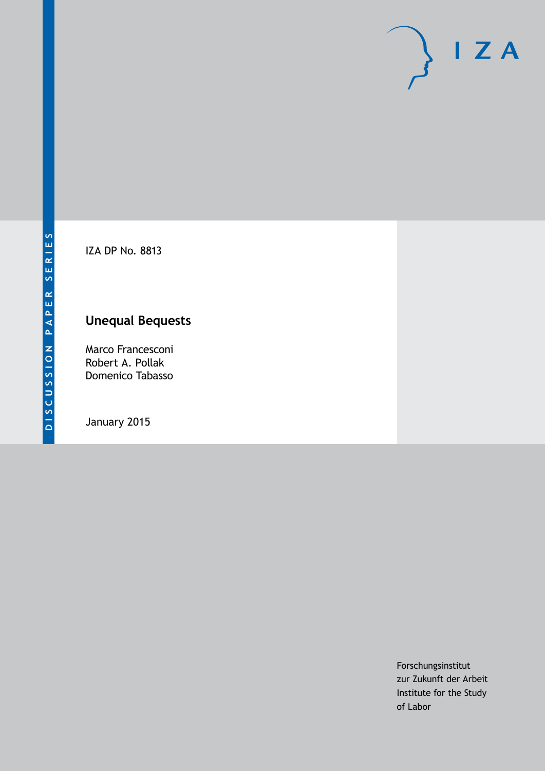

IZA DP No. 8813

## **Unequal Bequests**

Marco Francesconi Robert A. Pollak Domenico Tabasso

January 2015

Forschungsinstitut zur Zukunft der Arbeit Institute for the Study of Labor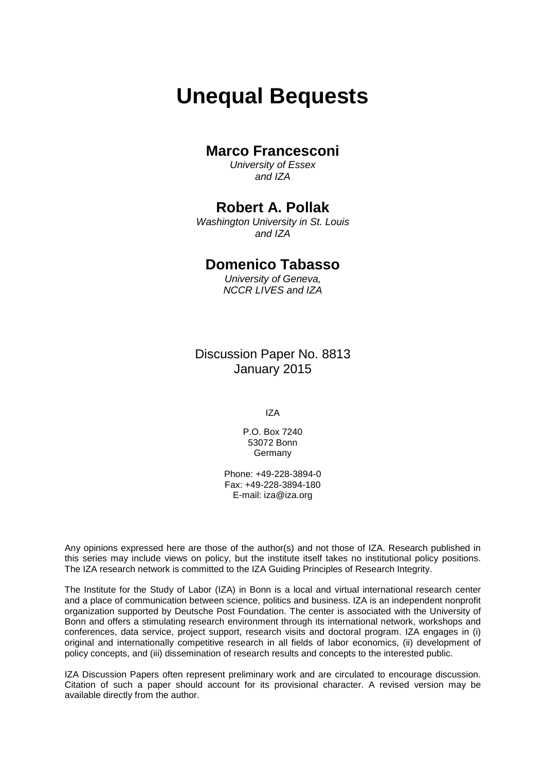# **Unequal Bequests**

### **Marco Francesconi**

*University of Essex and IZA*

### **Robert A. Pollak**

*Washington University in St. Louis and IZA*

### **Domenico Tabasso**

*University of Geneva, NCCR LIVES and IZA*

Discussion Paper No. 8813 January 2015

IZA

P.O. Box 7240 53072 Bonn Germany

Phone: +49-228-3894-0 Fax: +49-228-3894-180 E-mail: [iza@iza.org](mailto:iza@iza.org)

Any opinions expressed here are those of the author(s) and not those of IZA. Research published in this series may include views on policy, but the institute itself takes no institutional policy positions. The IZA research network is committed to the IZA Guiding Principles of Research Integrity.

The Institute for the Study of Labor (IZA) in Bonn is a local and virtual international research center and a place of communication between science, politics and business. IZA is an independent nonprofit organization supported by Deutsche Post Foundation. The center is associated with the University of Bonn and offers a stimulating research environment through its international network, workshops and conferences, data service, project support, research visits and doctoral program. IZA engages in (i) original and internationally competitive research in all fields of labor economics, (ii) development of policy concepts, and (iii) dissemination of research results and concepts to the interested public.

<span id="page-1-0"></span>IZA Discussion Papers often represent preliminary work and are circulated to encourage discussion. Citation of such a paper should account for its provisional character. A revised version may be available directly from the author.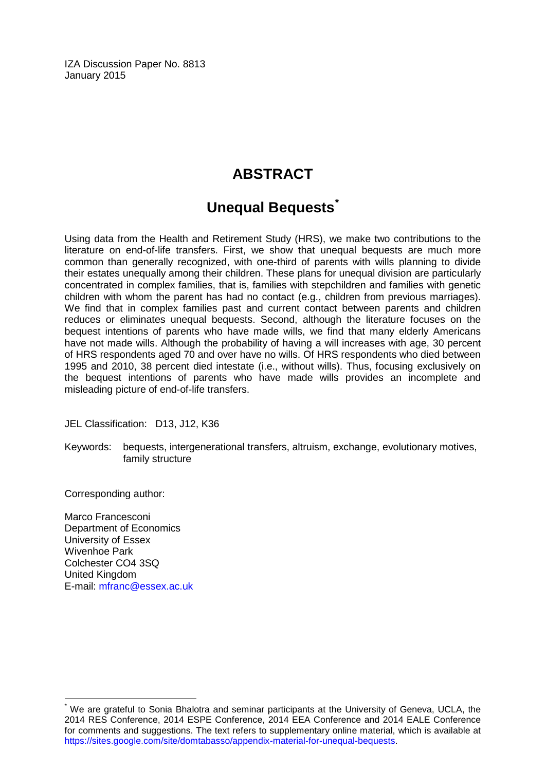IZA Discussion Paper No. 8813 January 2015

### **ABSTRACT**

### **Unequal Bequests[\\*](#page-1-0)**

Using data from the Health and Retirement Study (HRS), we make two contributions to the literature on end-of-life transfers. First, we show that unequal bequests are much more common than generally recognized, with one-third of parents with wills planning to divide their estates unequally among their children. These plans for unequal division are particularly concentrated in complex families, that is, families with stepchildren and families with genetic children with whom the parent has had no contact (e.g., children from previous marriages). We find that in complex families past and current contact between parents and children reduces or eliminates unequal bequests. Second, although the literature focuses on the bequest intentions of parents who have made wills, we find that many elderly Americans have not made wills. Although the probability of having a will increases with age, 30 percent of HRS respondents aged 70 and over have no wills. Of HRS respondents who died between 1995 and 2010, 38 percent died intestate (i.e., without wills). Thus, focusing exclusively on the bequest intentions of parents who have made wills provides an incomplete and misleading picture of end-of-life transfers.

JEL Classification: D13, J12, K36

Keywords: bequests, intergenerational transfers, altruism, exchange, evolutionary motives, family structure

Corresponding author:

Marco Francesconi Department of Economics University of Essex Wivenhoe Park Colchester CO4 3SQ United Kingdom E-mail: [mfranc@essex.ac.uk](mailto:mfranc@essex.ac.uk)

We are grateful to Sonia Bhalotra and seminar participants at the University of Geneva, UCLA, the 2014 RES Conference, 2014 ESPE Conference, 2014 EEA Conference and 2014 EALE Conference for comments and suggestions. The text refers to supplementary online material, which is available at [https://sites.google.com/site/domtabasso/appendix-material-for-unequal-bequests.](https://sites.google.com/site/domtabasso/appendix-material-for-unequal-bequests)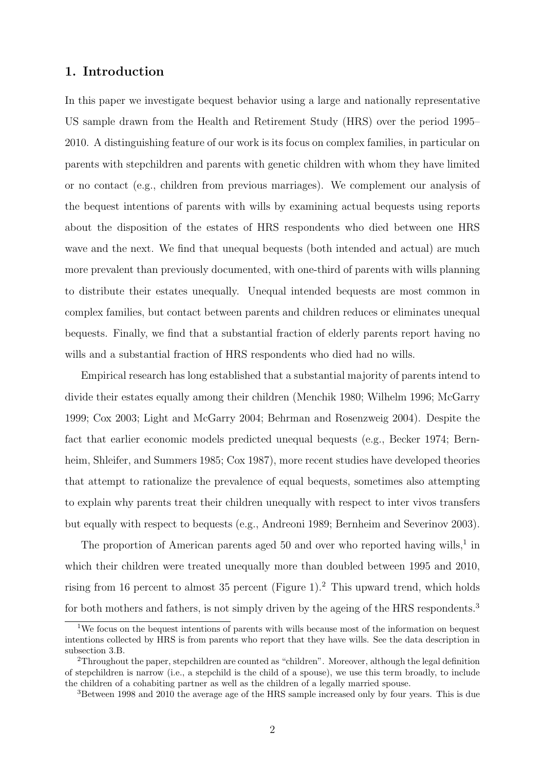#### 1. Introduction

In this paper we investigate bequest behavior using a large and nationally representative US sample drawn from the Health and Retirement Study (HRS) over the period 1995– 2010. A distinguishing feature of our work is its focus on complex families, in particular on parents with stepchildren and parents with genetic children with whom they have limited or no contact (e.g., children from previous marriages). We complement our analysis of the bequest intentions of parents with wills by examining actual bequests using reports about the disposition of the estates of HRS respondents who died between one HRS wave and the next. We find that unequal bequests (both intended and actual) are much more prevalent than previously documented, with one-third of parents with wills planning to distribute their estates unequally. Unequal intended bequests are most common in complex families, but contact between parents and children reduces or eliminates unequal bequests. Finally, we find that a substantial fraction of elderly parents report having no wills and a substantial fraction of HRS respondents who died had no wills.

Empirical research has long established that a substantial majority of parents intend to divide their estates equally among their children (Menchik 1980; Wilhelm 1996; McGarry 1999; Cox 2003; Light and McGarry 2004; Behrman and Rosenzweig 2004). Despite the fact that earlier economic models predicted unequal bequests (e.g., Becker 1974; Bernheim, Shleifer, and Summers 1985; Cox 1987), more recent studies have developed theories that attempt to rationalize the prevalence of equal bequests, sometimes also attempting to explain why parents treat their children unequally with respect to inter vivos transfers but equally with respect to bequests (e.g., Andreoni 1989; Bernheim and Severinov 2003).

The proportion of American parents aged 50 and over who reported having wills,<sup>1</sup> in which their children were treated unequally more than doubled between 1995 and 2010, rising from 16 percent to almost 35 percent (Figure 1).<sup>2</sup> This upward trend, which holds for both mothers and fathers, is not simply driven by the ageing of the HRS respondents.<sup>3</sup>

<sup>&</sup>lt;sup>1</sup>We focus on the bequest intentions of parents with wills because most of the information on bequest intentions collected by HRS is from parents who report that they have wills. See the data description in subsection 3.B.

<sup>2</sup>Throughout the paper, stepchildren are counted as "children". Moreover, although the legal definition of stepchildren is narrow (i.e., a stepchild is the child of a spouse), we use this term broadly, to include the children of a cohabiting partner as well as the children of a legally married spouse.

<sup>3</sup>Between 1998 and 2010 the average age of the HRS sample increased only by four years. This is due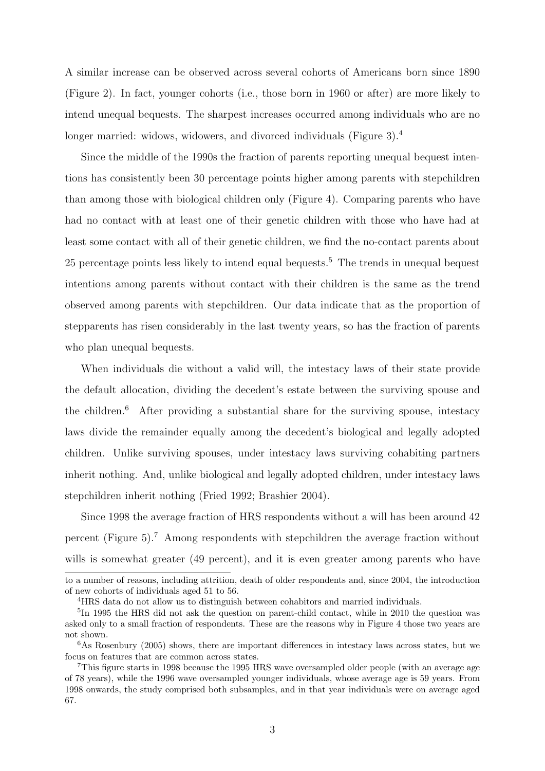A similar increase can be observed across several cohorts of Americans born since 1890 (Figure 2). In fact, younger cohorts (i.e., those born in 1960 or after) are more likely to intend unequal bequests. The sharpest increases occurred among individuals who are no longer married: widows, widowers, and divorced individuals (Figure 3).<sup>4</sup>

Since the middle of the 1990s the fraction of parents reporting unequal bequest intentions has consistently been 30 percentage points higher among parents with stepchildren than among those with biological children only (Figure 4). Comparing parents who have had no contact with at least one of their genetic children with those who have had at least some contact with all of their genetic children, we find the no-contact parents about 25 percentage points less likely to intend equal bequests.<sup>5</sup> The trends in unequal bequest intentions among parents without contact with their children is the same as the trend observed among parents with stepchildren. Our data indicate that as the proportion of stepparents has risen considerably in the last twenty years, so has the fraction of parents who plan unequal bequests.

When individuals die without a valid will, the intestacy laws of their state provide the default allocation, dividing the decedent's estate between the surviving spouse and the children. $6$  After providing a substantial share for the surviving spouse, intestacy laws divide the remainder equally among the decedent's biological and legally adopted children. Unlike surviving spouses, under intestacy laws surviving cohabiting partners inherit nothing. And, unlike biological and legally adopted children, under intestacy laws stepchildren inherit nothing (Fried 1992; Brashier 2004).

Since 1998 the average fraction of HRS respondents without a will has been around 42 percent (Figure 5).<sup>7</sup> Among respondents with stepchildren the average fraction without wills is somewhat greater (49 percent), and it is even greater among parents who have

to a number of reasons, including attrition, death of older respondents and, since 2004, the introduction of new cohorts of individuals aged 51 to 56.

<sup>4</sup>HRS data do not allow us to distinguish between cohabitors and married individuals.

<sup>&</sup>lt;sup>5</sup>In 1995 the HRS did not ask the question on parent-child contact, while in 2010 the question was asked only to a small fraction of respondents. These are the reasons why in Figure 4 those two years are not shown.

 $6$ As Rosenbury (2005) shows, there are important differences in intestacy laws across states, but we focus on features that are common across states.

<sup>7</sup>This figure starts in 1998 because the 1995 HRS wave oversampled older people (with an average age of 78 years), while the 1996 wave oversampled younger individuals, whose average age is 59 years. From 1998 onwards, the study comprised both subsamples, and in that year individuals were on average aged 67.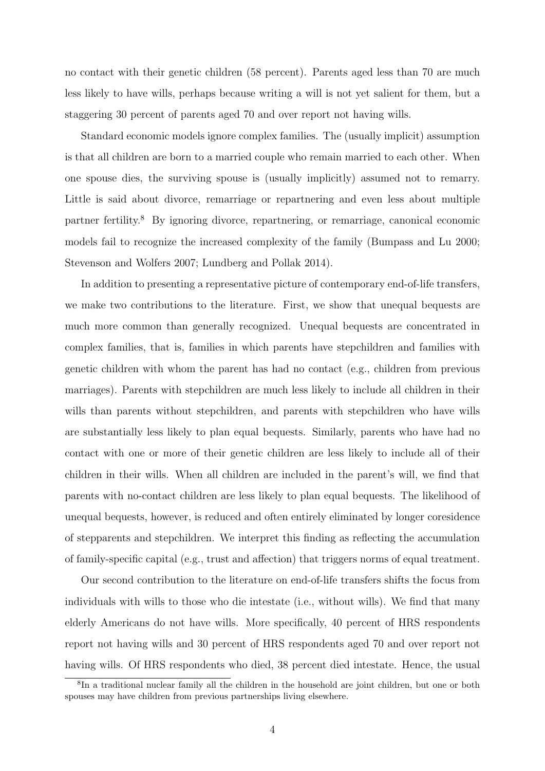no contact with their genetic children (58 percent). Parents aged less than 70 are much less likely to have wills, perhaps because writing a will is not yet salient for them, but a staggering 30 percent of parents aged 70 and over report not having wills.

Standard economic models ignore complex families. The (usually implicit) assumption is that all children are born to a married couple who remain married to each other. When one spouse dies, the surviving spouse is (usually implicitly) assumed not to remarry. Little is said about divorce, remarriage or repartnering and even less about multiple partner fertility.<sup>8</sup> By ignoring divorce, repartnering, or remarriage, canonical economic models fail to recognize the increased complexity of the family (Bumpass and Lu 2000; Stevenson and Wolfers 2007; Lundberg and Pollak 2014).

In addition to presenting a representative picture of contemporary end-of-life transfers, we make two contributions to the literature. First, we show that unequal bequests are much more common than generally recognized. Unequal bequests are concentrated in complex families, that is, families in which parents have stepchildren and families with genetic children with whom the parent has had no contact (e.g., children from previous marriages). Parents with stepchildren are much less likely to include all children in their wills than parents without stepchildren, and parents with stepchildren who have wills are substantially less likely to plan equal bequests. Similarly, parents who have had no contact with one or more of their genetic children are less likely to include all of their children in their wills. When all children are included in the parent's will, we find that parents with no-contact children are less likely to plan equal bequests. The likelihood of unequal bequests, however, is reduced and often entirely eliminated by longer coresidence of stepparents and stepchildren. We interpret this finding as reflecting the accumulation of family-specific capital (e.g., trust and affection) that triggers norms of equal treatment.

Our second contribution to the literature on end-of-life transfers shifts the focus from individuals with wills to those who die intestate (i.e., without wills). We find that many elderly Americans do not have wills. More specifically, 40 percent of HRS respondents report not having wills and 30 percent of HRS respondents aged 70 and over report not having wills. Of HRS respondents who died, 38 percent died intestate. Hence, the usual

<sup>8</sup> In a traditional nuclear family all the children in the household are joint children, but one or both spouses may have children from previous partnerships living elsewhere.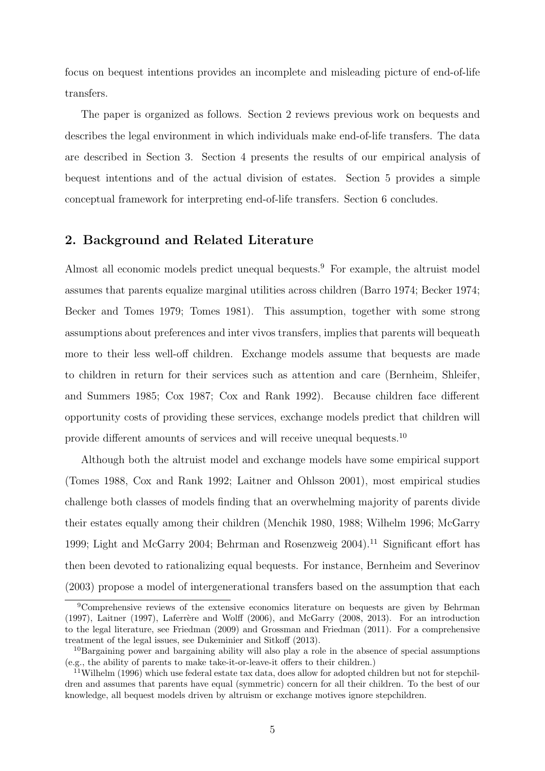focus on bequest intentions provides an incomplete and misleading picture of end-of-life transfers.

The paper is organized as follows. Section 2 reviews previous work on bequests and describes the legal environment in which individuals make end-of-life transfers. The data are described in Section 3. Section 4 presents the results of our empirical analysis of bequest intentions and of the actual division of estates. Section 5 provides a simple conceptual framework for interpreting end-of-life transfers. Section 6 concludes.

#### 2. Background and Related Literature

Almost all economic models predict unequal bequests.<sup>9</sup> For example, the altruist model assumes that parents equalize marginal utilities across children (Barro 1974; Becker 1974; Becker and Tomes 1979; Tomes 1981). This assumption, together with some strong assumptions about preferences and inter vivos transfers, implies that parents will bequeath more to their less well-off children. Exchange models assume that bequests are made to children in return for their services such as attention and care (Bernheim, Shleifer, and Summers 1985; Cox 1987; Cox and Rank 1992). Because children face different opportunity costs of providing these services, exchange models predict that children will provide different amounts of services and will receive unequal bequests.<sup>10</sup>

Although both the altruist model and exchange models have some empirical support (Tomes 1988, Cox and Rank 1992; Laitner and Ohlsson 2001), most empirical studies challenge both classes of models finding that an overwhelming majority of parents divide their estates equally among their children (Menchik 1980, 1988; Wilhelm 1996; McGarry 1999; Light and McGarry 2004; Behrman and Rosenzweig 2004).<sup>11</sup> Significant effort has then been devoted to rationalizing equal bequests. For instance, Bernheim and Severinov (2003) propose a model of intergenerational transfers based on the assumption that each

<sup>9</sup>Comprehensive reviews of the extensive economics literature on bequests are given by Behrman  $(1997)$ , Laitner  $(1997)$ , Laferrère and Wolff  $(2006)$ , and McGarry  $(2008, 2013)$ . For an introduction to the legal literature, see Friedman (2009) and Grossman and Friedman (2011). For a comprehensive treatment of the legal issues, see Dukeminier and Sitkoff (2013).

<sup>&</sup>lt;sup>10</sup>Bargaining power and bargaining ability will also play a role in the absence of special assumptions (e.g., the ability of parents to make take-it-or-leave-it offers to their children.)

<sup>11</sup>Wilhelm (1996) which use federal estate tax data, does allow for adopted children but not for stepchildren and assumes that parents have equal (symmetric) concern for all their children. To the best of our knowledge, all bequest models driven by altruism or exchange motives ignore stepchildren.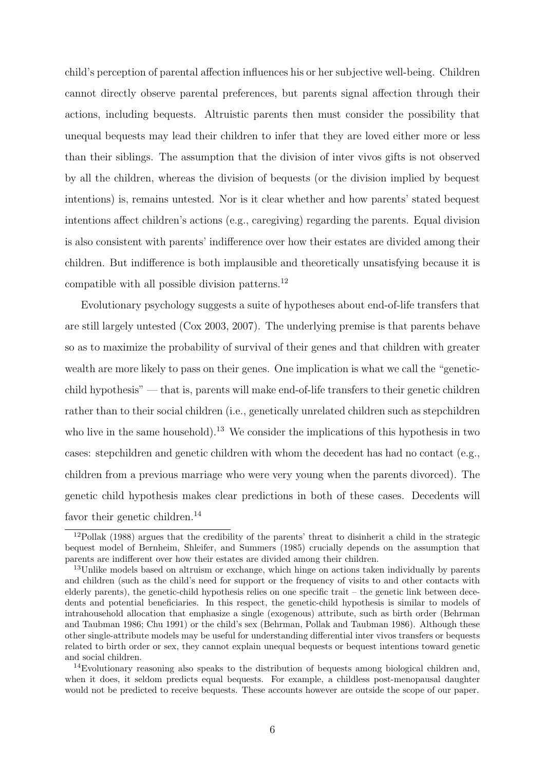child's perception of parental affection influences his or her subjective well-being. Children cannot directly observe parental preferences, but parents signal affection through their actions, including bequests. Altruistic parents then must consider the possibility that unequal bequests may lead their children to infer that they are loved either more or less than their siblings. The assumption that the division of inter vivos gifts is not observed by all the children, whereas the division of bequests (or the division implied by bequest intentions) is, remains untested. Nor is it clear whether and how parents' stated bequest intentions affect children's actions (e.g., caregiving) regarding the parents. Equal division is also consistent with parents' indifference over how their estates are divided among their children. But indifference is both implausible and theoretically unsatisfying because it is compatible with all possible division patterns.<sup>12</sup>

Evolutionary psychology suggests a suite of hypotheses about end-of-life transfers that are still largely untested (Cox 2003, 2007). The underlying premise is that parents behave so as to maximize the probability of survival of their genes and that children with greater wealth are more likely to pass on their genes. One implication is what we call the "geneticchild hypothesis" — that is, parents will make end-of-life transfers to their genetic children rather than to their social children (i.e., genetically unrelated children such as stepchildren who live in the same household).<sup>13</sup> We consider the implications of this hypothesis in two cases: stepchildren and genetic children with whom the decedent has had no contact (e.g., children from a previous marriage who were very young when the parents divorced). The genetic child hypothesis makes clear predictions in both of these cases. Decedents will favor their genetic children.<sup>14</sup>

 $12Pollak$  (1988) argues that the credibility of the parents' threat to disinherit a child in the strategic bequest model of Bernheim, Shleifer, and Summers (1985) crucially depends on the assumption that parents are indifferent over how their estates are divided among their children.

<sup>&</sup>lt;sup>13</sup>Unlike models based on altruism or exchange, which hinge on actions taken individually by parents and children (such as the child's need for support or the frequency of visits to and other contacts with elderly parents), the genetic-child hypothesis relies on one specific trait – the genetic link between decedents and potential beneficiaries. In this respect, the genetic-child hypothesis is similar to models of intrahousehold allocation that emphasize a single (exogenous) attribute, such as birth order (Behrman and Taubman 1986; Chu 1991) or the child's sex (Behrman, Pollak and Taubman 1986). Although these other single-attribute models may be useful for understanding differential inter vivos transfers or bequests related to birth order or sex, they cannot explain unequal bequests or bequest intentions toward genetic and social children.

<sup>14</sup>Evolutionary reasoning also speaks to the distribution of bequests among biological children and, when it does, it seldom predicts equal bequests. For example, a childless post-menopausal daughter would not be predicted to receive bequests. These accounts however are outside the scope of our paper.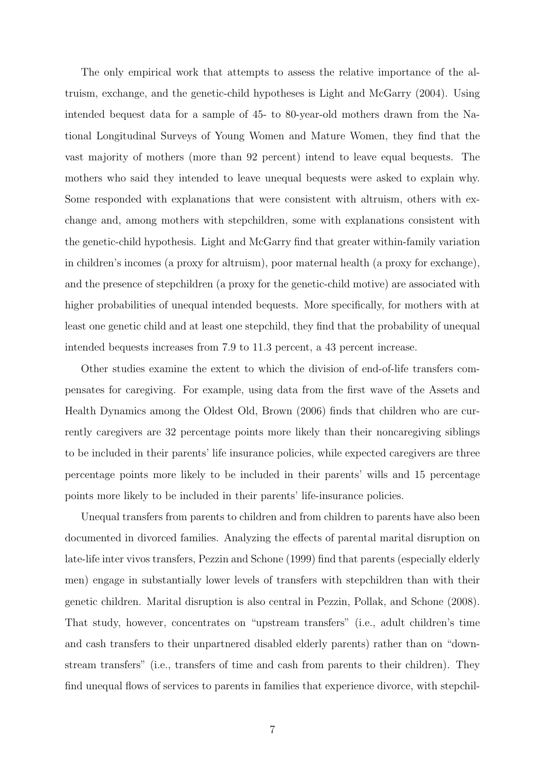The only empirical work that attempts to assess the relative importance of the altruism, exchange, and the genetic-child hypotheses is Light and McGarry (2004). Using intended bequest data for a sample of 45- to 80-year-old mothers drawn from the National Longitudinal Surveys of Young Women and Mature Women, they find that the vast majority of mothers (more than 92 percent) intend to leave equal bequests. The mothers who said they intended to leave unequal bequests were asked to explain why. Some responded with explanations that were consistent with altruism, others with exchange and, among mothers with stepchildren, some with explanations consistent with the genetic-child hypothesis. Light and McGarry find that greater within-family variation in children's incomes (a proxy for altruism), poor maternal health (a proxy for exchange), and the presence of stepchildren (a proxy for the genetic-child motive) are associated with higher probabilities of unequal intended bequests. More specifically, for mothers with at least one genetic child and at least one stepchild, they find that the probability of unequal intended bequests increases from 7.9 to 11.3 percent, a 43 percent increase.

Other studies examine the extent to which the division of end-of-life transfers compensates for caregiving. For example, using data from the first wave of the Assets and Health Dynamics among the Oldest Old, Brown (2006) finds that children who are currently caregivers are 32 percentage points more likely than their noncaregiving siblings to be included in their parents' life insurance policies, while expected caregivers are three percentage points more likely to be included in their parents' wills and 15 percentage points more likely to be included in their parents' life-insurance policies.

Unequal transfers from parents to children and from children to parents have also been documented in divorced families. Analyzing the effects of parental marital disruption on late-life inter vivos transfers, Pezzin and Schone (1999) find that parents (especially elderly men) engage in substantially lower levels of transfers with stepchildren than with their genetic children. Marital disruption is also central in Pezzin, Pollak, and Schone (2008). That study, however, concentrates on "upstream transfers" (i.e., adult children's time and cash transfers to their unpartnered disabled elderly parents) rather than on "downstream transfers" (i.e., transfers of time and cash from parents to their children). They find unequal flows of services to parents in families that experience divorce, with stepchil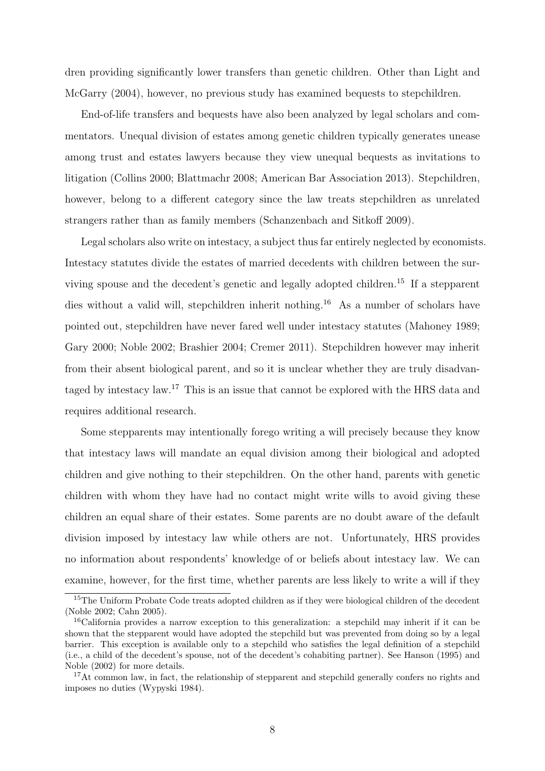dren providing significantly lower transfers than genetic children. Other than Light and McGarry (2004), however, no previous study has examined bequests to stepchildren.

End-of-life transfers and bequests have also been analyzed by legal scholars and commentators. Unequal division of estates among genetic children typically generates unease among trust and estates lawyers because they view unequal bequests as invitations to litigation (Collins 2000; Blattmachr 2008; American Bar Association 2013). Stepchildren, however, belong to a different category since the law treats stepchildren as unrelated strangers rather than as family members (Schanzenbach and Sitkoff 2009).

Legal scholars also write on intestacy, a subject thus far entirely neglected by economists. Intestacy statutes divide the estates of married decedents with children between the surviving spouse and the decedent's genetic and legally adopted children.<sup>15</sup> If a stepparent dies without a valid will, stepchildren inherit nothing.<sup>16</sup> As a number of scholars have pointed out, stepchildren have never fared well under intestacy statutes (Mahoney 1989; Gary 2000; Noble 2002; Brashier 2004; Cremer 2011). Stepchildren however may inherit from their absent biological parent, and so it is unclear whether they are truly disadvantaged by intestacy law.<sup>17</sup> This is an issue that cannot be explored with the HRS data and requires additional research.

Some stepparents may intentionally forego writing a will precisely because they know that intestacy laws will mandate an equal division among their biological and adopted children and give nothing to their stepchildren. On the other hand, parents with genetic children with whom they have had no contact might write wills to avoid giving these children an equal share of their estates. Some parents are no doubt aware of the default division imposed by intestacy law while others are not. Unfortunately, HRS provides no information about respondents' knowledge of or beliefs about intestacy law. We can examine, however, for the first time, whether parents are less likely to write a will if they

<sup>&</sup>lt;sup>15</sup>The Uniform Probate Code treats adopted children as if they were biological children of the decedent (Noble 2002; Cahn 2005).

<sup>16</sup>California provides a narrow exception to this generalization: a stepchild may inherit if it can be shown that the stepparent would have adopted the stepchild but was prevented from doing so by a legal barrier. This exception is available only to a stepchild who satisfies the legal definition of a stepchild (i.e., a child of the decedent's spouse, not of the decedent's cohabiting partner). See Hanson (1995) and Noble (2002) for more details.

<sup>&</sup>lt;sup>17</sup>At common law, in fact, the relationship of stepparent and stepchild generally confers no rights and imposes no duties (Wypyski 1984).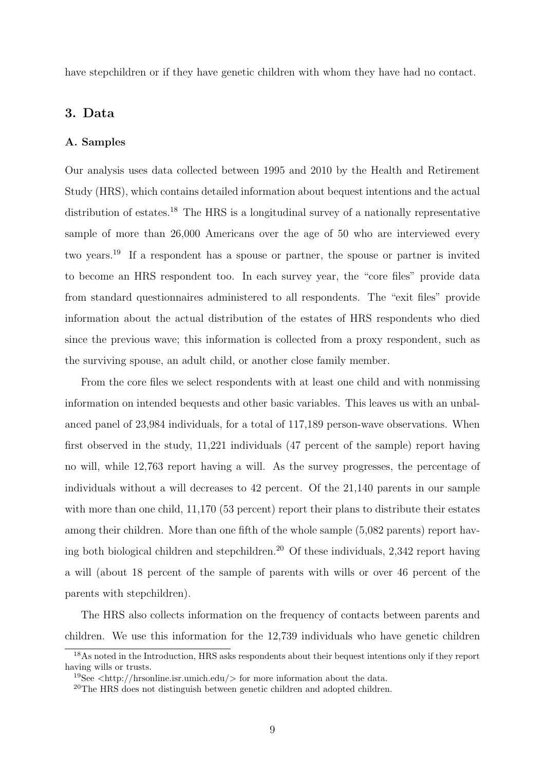have stepchildren or if they have genetic children with whom they have had no contact.

#### 3. Data

#### A. Samples

Our analysis uses data collected between 1995 and 2010 by the Health and Retirement Study (HRS), which contains detailed information about bequest intentions and the actual distribution of estates.<sup>18</sup> The HRS is a longitudinal survey of a nationally representative sample of more than 26,000 Americans over the age of 50 who are interviewed every two years.<sup>19</sup> If a respondent has a spouse or partner, the spouse or partner is invited to become an HRS respondent too. In each survey year, the "core files" provide data from standard questionnaires administered to all respondents. The "exit files" provide information about the actual distribution of the estates of HRS respondents who died since the previous wave; this information is collected from a proxy respondent, such as the surviving spouse, an adult child, or another close family member.

From the core files we select respondents with at least one child and with nonmissing information on intended bequests and other basic variables. This leaves us with an unbalanced panel of 23,984 individuals, for a total of 117,189 person-wave observations. When first observed in the study, 11,221 individuals (47 percent of the sample) report having no will, while 12,763 report having a will. As the survey progresses, the percentage of individuals without a will decreases to 42 percent. Of the 21,140 parents in our sample with more than one child, 11,170 (53 percent) report their plans to distribute their estates among their children. More than one fifth of the whole sample (5,082 parents) report having both biological children and stepchildren.<sup>20</sup> Of these individuals, 2,342 report having a will (about 18 percent of the sample of parents with wills or over 46 percent of the parents with stepchildren).

The HRS also collects information on the frequency of contacts between parents and children. We use this information for the 12,739 individuals who have genetic children

<sup>18</sup>As noted in the Introduction, HRS asks respondents about their bequest intentions only if they report having wills or trusts.

<sup>&</sup>lt;sup>19</sup>See  $\langle$ http://hrsonline.isr.umich.edu/ $>$  for more information about the data.

<sup>&</sup>lt;sup>20</sup>The HRS does not distinguish between genetic children and adopted children.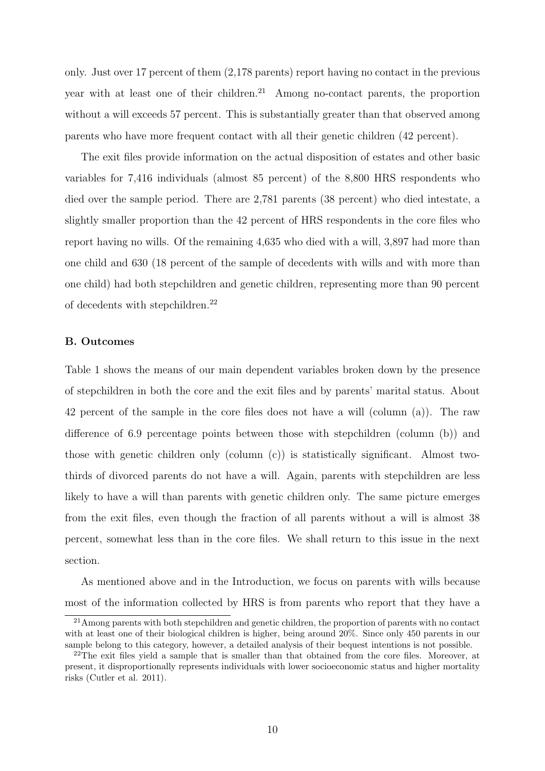only. Just over 17 percent of them (2,178 parents) report having no contact in the previous year with at least one of their children.<sup>21</sup> Among no-contact parents, the proportion without a will exceeds 57 percent. This is substantially greater than that observed among parents who have more frequent contact with all their genetic children (42 percent).

The exit files provide information on the actual disposition of estates and other basic variables for 7,416 individuals (almost 85 percent) of the 8,800 HRS respondents who died over the sample period. There are 2,781 parents (38 percent) who died intestate, a slightly smaller proportion than the 42 percent of HRS respondents in the core files who report having no wills. Of the remaining 4,635 who died with a will, 3,897 had more than one child and 630 (18 percent of the sample of decedents with wills and with more than one child) had both stepchildren and genetic children, representing more than 90 percent of decedents with stepchildren.<sup>22</sup>

#### B. Outcomes

Table 1 shows the means of our main dependent variables broken down by the presence of stepchildren in both the core and the exit files and by parents' marital status. About 42 percent of the sample in the core files does not have a will (column (a)). The raw difference of 6.9 percentage points between those with stepchildren (column (b)) and those with genetic children only (column (c)) is statistically significant. Almost twothirds of divorced parents do not have a will. Again, parents with stepchildren are less likely to have a will than parents with genetic children only. The same picture emerges from the exit files, even though the fraction of all parents without a will is almost 38 percent, somewhat less than in the core files. We shall return to this issue in the next section.

As mentioned above and in the Introduction, we focus on parents with wills because most of the information collected by HRS is from parents who report that they have a

<sup>&</sup>lt;sup>21</sup> Among parents with both stepchildren and genetic children, the proportion of parents with no contact with at least one of their biological children is higher, being around 20%. Since only 450 parents in our sample belong to this category, however, a detailed analysis of their bequest intentions is not possible.

<sup>&</sup>lt;sup>22</sup>The exit files yield a sample that is smaller than that obtained from the core files. Moreover, at present, it disproportionally represents individuals with lower socioeconomic status and higher mortality risks (Cutler et al. 2011).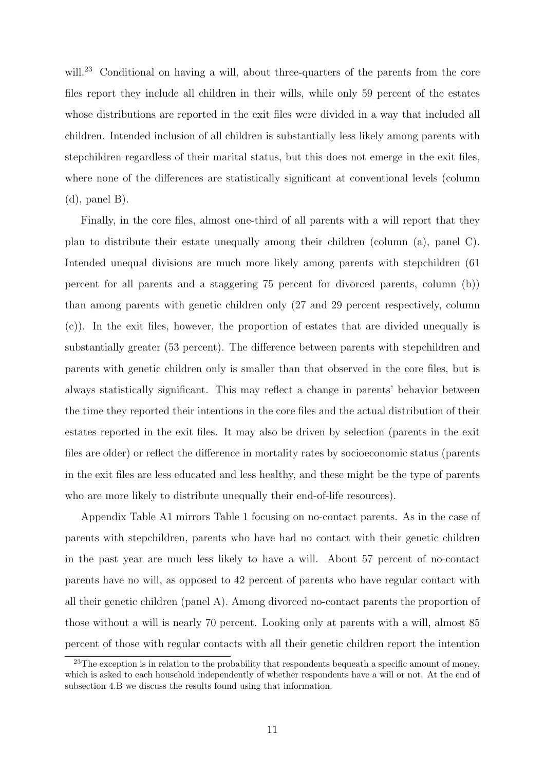will.<sup>23</sup> Conditional on having a will, about three-quarters of the parents from the core files report they include all children in their wills, while only 59 percent of the estates whose distributions are reported in the exit files were divided in a way that included all children. Intended inclusion of all children is substantially less likely among parents with stepchildren regardless of their marital status, but this does not emerge in the exit files, where none of the differences are statistically significant at conventional levels (column  $(d)$ , panel B).

Finally, in the core files, almost one-third of all parents with a will report that they plan to distribute their estate unequally among their children (column (a), panel C). Intended unequal divisions are much more likely among parents with stepchildren (61 percent for all parents and a staggering 75 percent for divorced parents, column (b)) than among parents with genetic children only (27 and 29 percent respectively, column (c)). In the exit files, however, the proportion of estates that are divided unequally is substantially greater (53 percent). The difference between parents with stepchildren and parents with genetic children only is smaller than that observed in the core files, but is always statistically significant. This may reflect a change in parents' behavior between the time they reported their intentions in the core files and the actual distribution of their estates reported in the exit files. It may also be driven by selection (parents in the exit files are older) or reflect the difference in mortality rates by socioeconomic status (parents in the exit files are less educated and less healthy, and these might be the type of parents who are more likely to distribute unequally their end-of-life resources).

Appendix Table A1 mirrors Table 1 focusing on no-contact parents. As in the case of parents with stepchildren, parents who have had no contact with their genetic children in the past year are much less likely to have a will. About 57 percent of no-contact parents have no will, as opposed to 42 percent of parents who have regular contact with all their genetic children (panel A). Among divorced no-contact parents the proportion of those without a will is nearly 70 percent. Looking only at parents with a will, almost 85 percent of those with regular contacts with all their genetic children report the intention

 $23$ The exception is in relation to the probability that respondents bequeath a specific amount of money, which is asked to each household independently of whether respondents have a will or not. At the end of subsection 4.B we discuss the results found using that information.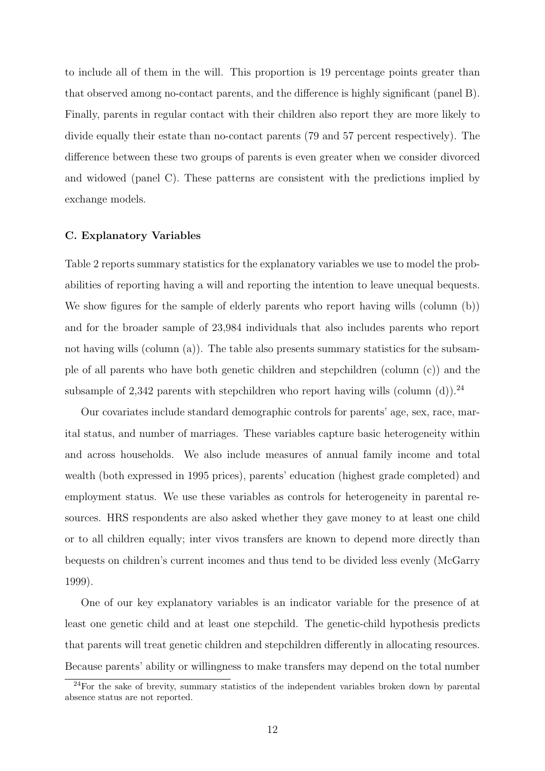to include all of them in the will. This proportion is 19 percentage points greater than that observed among no-contact parents, and the difference is highly significant (panel B). Finally, parents in regular contact with their children also report they are more likely to divide equally their estate than no-contact parents (79 and 57 percent respectively). The difference between these two groups of parents is even greater when we consider divorced and widowed (panel C). These patterns are consistent with the predictions implied by exchange models.

#### C. Explanatory Variables

Table 2 reports summary statistics for the explanatory variables we use to model the probabilities of reporting having a will and reporting the intention to leave unequal bequests. We show figures for the sample of elderly parents who report having wills (column (b)) and for the broader sample of 23,984 individuals that also includes parents who report not having wills (column (a)). The table also presents summary statistics for the subsample of all parents who have both genetic children and stepchildren (column (c)) and the subsample of 2,342 parents with stepchildren who report having wills (column  $(d)$ ).<sup>24</sup>

Our covariates include standard demographic controls for parents' age, sex, race, marital status, and number of marriages. These variables capture basic heterogeneity within and across households. We also include measures of annual family income and total wealth (both expressed in 1995 prices), parents' education (highest grade completed) and employment status. We use these variables as controls for heterogeneity in parental resources. HRS respondents are also asked whether they gave money to at least one child or to all children equally; inter vivos transfers are known to depend more directly than bequests on children's current incomes and thus tend to be divided less evenly (McGarry 1999).

One of our key explanatory variables is an indicator variable for the presence of at least one genetic child and at least one stepchild. The genetic-child hypothesis predicts that parents will treat genetic children and stepchildren differently in allocating resources. Because parents' ability or willingness to make transfers may depend on the total number

<sup>&</sup>lt;sup>24</sup>For the sake of brevity, summary statistics of the independent variables broken down by parental absence status are not reported.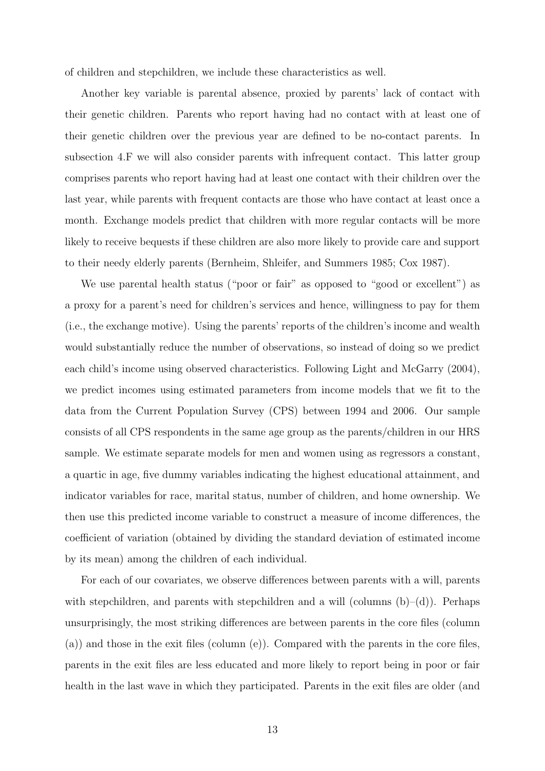of children and stepchildren, we include these characteristics as well.

Another key variable is parental absence, proxied by parents' lack of contact with their genetic children. Parents who report having had no contact with at least one of their genetic children over the previous year are defined to be no-contact parents. In subsection 4.F we will also consider parents with infrequent contact. This latter group comprises parents who report having had at least one contact with their children over the last year, while parents with frequent contacts are those who have contact at least once a month. Exchange models predict that children with more regular contacts will be more likely to receive bequests if these children are also more likely to provide care and support to their needy elderly parents (Bernheim, Shleifer, and Summers 1985; Cox 1987).

We use parental health status ("poor or fair" as opposed to "good or excellent") as a proxy for a parent's need for children's services and hence, willingness to pay for them (i.e., the exchange motive). Using the parents' reports of the children's income and wealth would substantially reduce the number of observations, so instead of doing so we predict each child's income using observed characteristics. Following Light and McGarry (2004), we predict incomes using estimated parameters from income models that we fit to the data from the Current Population Survey (CPS) between 1994 and 2006. Our sample consists of all CPS respondents in the same age group as the parents/children in our HRS sample. We estimate separate models for men and women using as regressors a constant, a quartic in age, five dummy variables indicating the highest educational attainment, and indicator variables for race, marital status, number of children, and home ownership. We then use this predicted income variable to construct a measure of income differences, the coefficient of variation (obtained by dividing the standard deviation of estimated income by its mean) among the children of each individual.

For each of our covariates, we observe differences between parents with a will, parents with stepchildren, and parents with stepchildren and a will (columns  $(b)$ – $(d)$ ). Perhaps unsurprisingly, the most striking differences are between parents in the core files (column (a)) and those in the exit files (column (e)). Compared with the parents in the core files, parents in the exit files are less educated and more likely to report being in poor or fair health in the last wave in which they participated. Parents in the exit files are older (and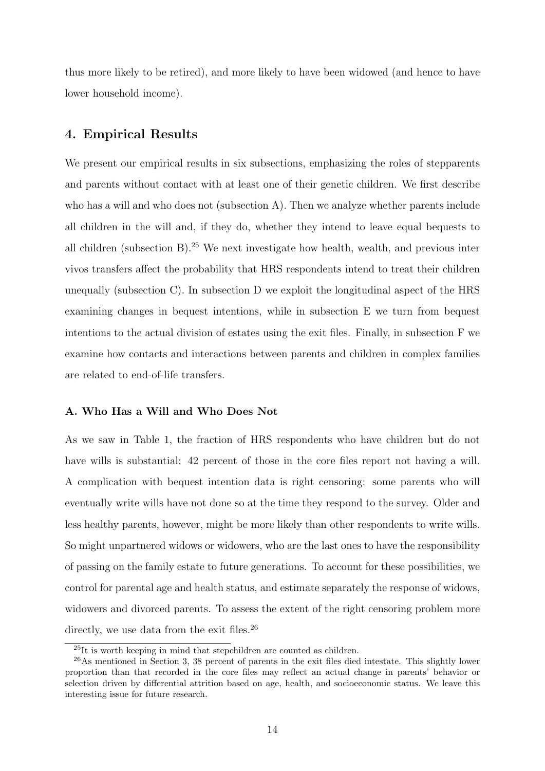thus more likely to be retired), and more likely to have been widowed (and hence to have lower household income).

#### 4. Empirical Results

We present our empirical results in six subsections, emphasizing the roles of stepparents and parents without contact with at least one of their genetic children. We first describe who has a will and who does not (subsection A). Then we analyze whether parents include all children in the will and, if they do, whether they intend to leave equal bequests to all children (subsection B).<sup>25</sup> We next investigate how health, wealth, and previous inter vivos transfers affect the probability that HRS respondents intend to treat their children unequally (subsection C). In subsection D we exploit the longitudinal aspect of the HRS examining changes in bequest intentions, while in subsection E we turn from bequest intentions to the actual division of estates using the exit files. Finally, in subsection F we examine how contacts and interactions between parents and children in complex families are related to end-of-life transfers.

#### A. Who Has a Will and Who Does Not

As we saw in Table 1, the fraction of HRS respondents who have children but do not have wills is substantial: 42 percent of those in the core files report not having a will. A complication with bequest intention data is right censoring: some parents who will eventually write wills have not done so at the time they respond to the survey. Older and less healthy parents, however, might be more likely than other respondents to write wills. So might unpartnered widows or widowers, who are the last ones to have the responsibility of passing on the family estate to future generations. To account for these possibilities, we control for parental age and health status, and estimate separately the response of widows, widowers and divorced parents. To assess the extent of the right censoring problem more directly, we use data from the exit files.<sup>26</sup>

<sup>25</sup>It is worth keeping in mind that stepchildren are counted as children.

<sup>26</sup>As mentioned in Section 3, 38 percent of parents in the exit files died intestate. This slightly lower proportion than that recorded in the core files may reflect an actual change in parents' behavior or selection driven by differential attrition based on age, health, and socioeconomic status. We leave this interesting issue for future research.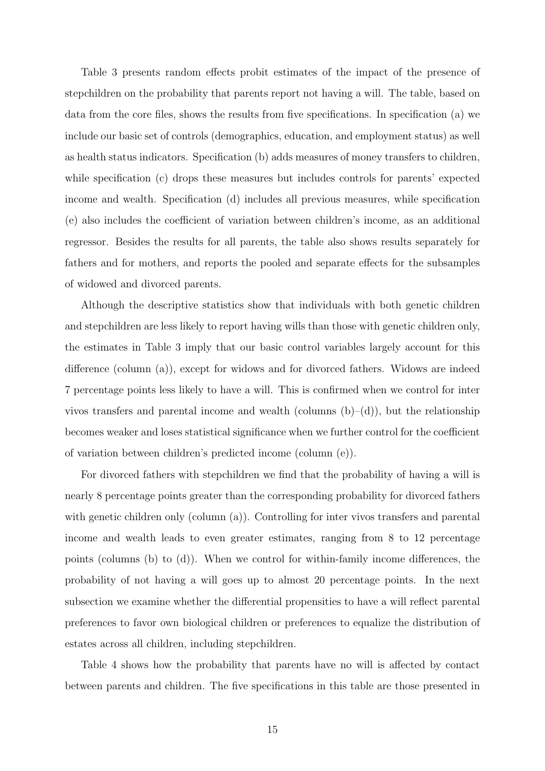Table 3 presents random effects probit estimates of the impact of the presence of stepchildren on the probability that parents report not having a will. The table, based on data from the core files, shows the results from five specifications. In specification (a) we include our basic set of controls (demographics, education, and employment status) as well as health status indicators. Specification (b) adds measures of money transfers to children, while specification (c) drops these measures but includes controls for parents' expected income and wealth. Specification (d) includes all previous measures, while specification (e) also includes the coefficient of variation between children's income, as an additional regressor. Besides the results for all parents, the table also shows results separately for fathers and for mothers, and reports the pooled and separate effects for the subsamples of widowed and divorced parents.

Although the descriptive statistics show that individuals with both genetic children and stepchildren are less likely to report having wills than those with genetic children only, the estimates in Table 3 imply that our basic control variables largely account for this difference (column (a)), except for widows and for divorced fathers. Widows are indeed 7 percentage points less likely to have a will. This is confirmed when we control for inter vivos transfers and parental income and wealth (columns  $(b)-(d)$ ), but the relationship becomes weaker and loses statistical significance when we further control for the coefficient of variation between children's predicted income (column (e)).

For divorced fathers with stepchildren we find that the probability of having a will is nearly 8 percentage points greater than the corresponding probability for divorced fathers with genetic children only (column (a)). Controlling for inter vivos transfers and parental income and wealth leads to even greater estimates, ranging from 8 to 12 percentage points (columns (b) to (d)). When we control for within-family income differences, the probability of not having a will goes up to almost 20 percentage points. In the next subsection we examine whether the differential propensities to have a will reflect parental preferences to favor own biological children or preferences to equalize the distribution of estates across all children, including stepchildren.

Table 4 shows how the probability that parents have no will is affected by contact between parents and children. The five specifications in this table are those presented in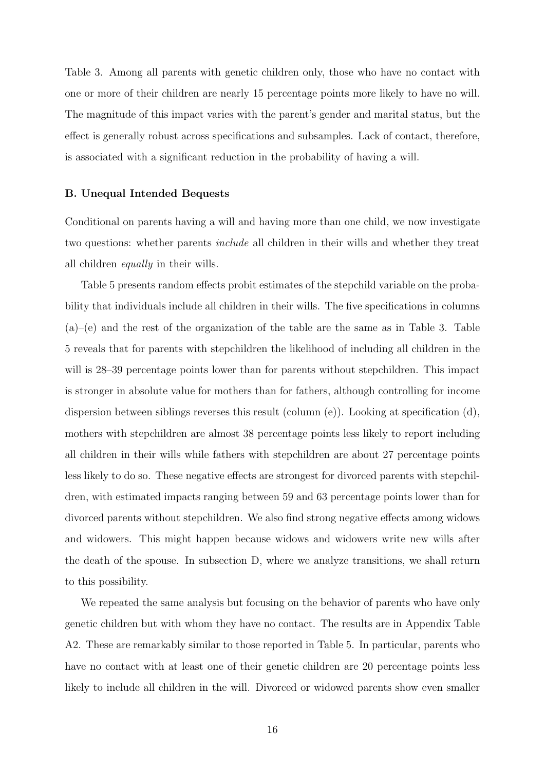Table 3. Among all parents with genetic children only, those who have no contact with one or more of their children are nearly 15 percentage points more likely to have no will. The magnitude of this impact varies with the parent's gender and marital status, but the effect is generally robust across specifications and subsamples. Lack of contact, therefore, is associated with a significant reduction in the probability of having a will.

#### B. Unequal Intended Bequests

Conditional on parents having a will and having more than one child, we now investigate two questions: whether parents include all children in their wills and whether they treat all children equally in their wills.

Table 5 presents random effects probit estimates of the stepchild variable on the probability that individuals include all children in their wills. The five specifications in columns  $(a)$ –(e) and the rest of the organization of the table are the same as in Table 3. Table 5 reveals that for parents with stepchildren the likelihood of including all children in the will is 28–39 percentage points lower than for parents without stepchildren. This impact is stronger in absolute value for mothers than for fathers, although controlling for income dispersion between siblings reverses this result (column (e)). Looking at specification (d), mothers with stepchildren are almost 38 percentage points less likely to report including all children in their wills while fathers with stepchildren are about 27 percentage points less likely to do so. These negative effects are strongest for divorced parents with stepchildren, with estimated impacts ranging between 59 and 63 percentage points lower than for divorced parents without stepchildren. We also find strong negative effects among widows and widowers. This might happen because widows and widowers write new wills after the death of the spouse. In subsection D, where we analyze transitions, we shall return to this possibility.

We repeated the same analysis but focusing on the behavior of parents who have only genetic children but with whom they have no contact. The results are in Appendix Table A2. These are remarkably similar to those reported in Table 5. In particular, parents who have no contact with at least one of their genetic children are 20 percentage points less likely to include all children in the will. Divorced or widowed parents show even smaller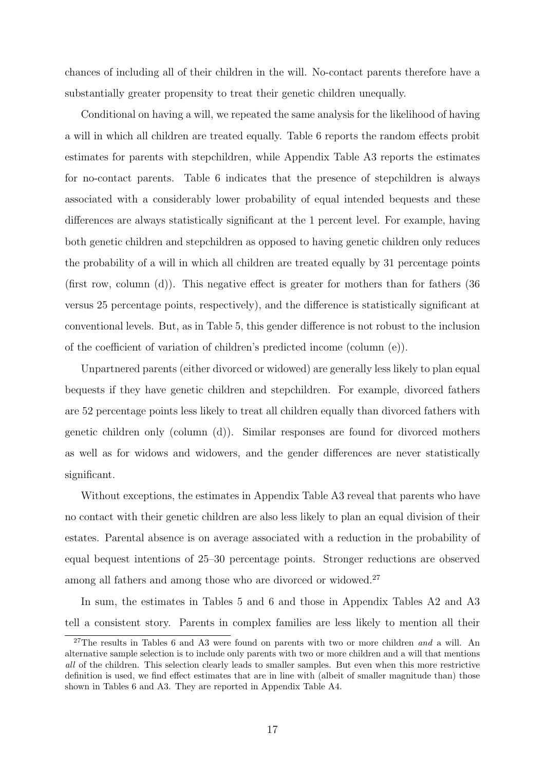chances of including all of their children in the will. No-contact parents therefore have a substantially greater propensity to treat their genetic children unequally.

Conditional on having a will, we repeated the same analysis for the likelihood of having a will in which all children are treated equally. Table 6 reports the random effects probit estimates for parents with stepchildren, while Appendix Table A3 reports the estimates for no-contact parents. Table 6 indicates that the presence of stepchildren is always associated with a considerably lower probability of equal intended bequests and these differences are always statistically significant at the 1 percent level. For example, having both genetic children and stepchildren as opposed to having genetic children only reduces the probability of a will in which all children are treated equally by 31 percentage points (first row, column  $(d)$ ). This negative effect is greater for mothers than for fathers  $(36)$ versus 25 percentage points, respectively), and the difference is statistically significant at conventional levels. But, as in Table 5, this gender difference is not robust to the inclusion of the coefficient of variation of children's predicted income (column (e)).

Unpartnered parents (either divorced or widowed) are generally less likely to plan equal bequests if they have genetic children and stepchildren. For example, divorced fathers are 52 percentage points less likely to treat all children equally than divorced fathers with genetic children only (column (d)). Similar responses are found for divorced mothers as well as for widows and widowers, and the gender differences are never statistically significant.

Without exceptions, the estimates in Appendix Table A3 reveal that parents who have no contact with their genetic children are also less likely to plan an equal division of their estates. Parental absence is on average associated with a reduction in the probability of equal bequest intentions of 25–30 percentage points. Stronger reductions are observed among all fathers and among those who are divorced or widowed.<sup>27</sup>

In sum, the estimates in Tables 5 and 6 and those in Appendix Tables A2 and A3 tell a consistent story. Parents in complex families are less likely to mention all their

<sup>&</sup>lt;sup>27</sup>The results in Tables 6 and A3 were found on parents with two or more children and a will. An alternative sample selection is to include only parents with two or more children and a will that mentions all of the children. This selection clearly leads to smaller samples. But even when this more restrictive definition is used, we find effect estimates that are in line with (albeit of smaller magnitude than) those shown in Tables 6 and A3. They are reported in Appendix Table A4.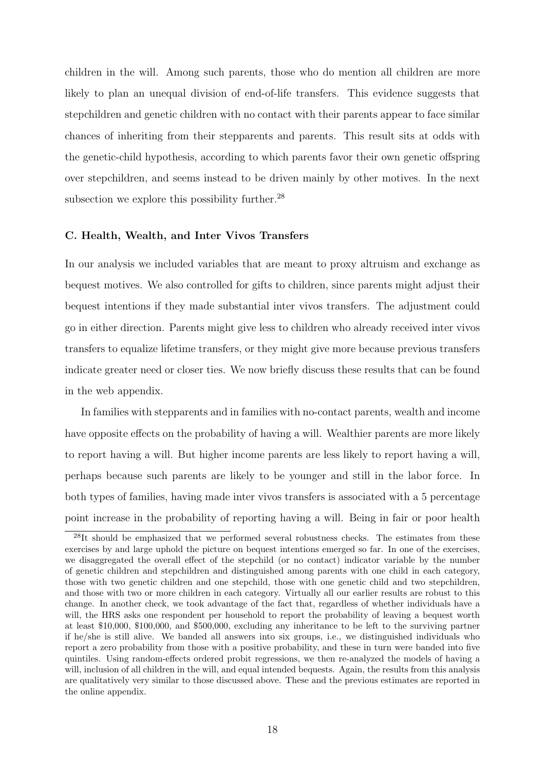children in the will. Among such parents, those who do mention all children are more likely to plan an unequal division of end-of-life transfers. This evidence suggests that stepchildren and genetic children with no contact with their parents appear to face similar chances of inheriting from their stepparents and parents. This result sits at odds with the genetic-child hypothesis, according to which parents favor their own genetic offspring over stepchildren, and seems instead to be driven mainly by other motives. In the next subsection we explore this possibility further. $^{28}$ 

#### C. Health, Wealth, and Inter Vivos Transfers

In our analysis we included variables that are meant to proxy altruism and exchange as bequest motives. We also controlled for gifts to children, since parents might adjust their bequest intentions if they made substantial inter vivos transfers. The adjustment could go in either direction. Parents might give less to children who already received inter vivos transfers to equalize lifetime transfers, or they might give more because previous transfers indicate greater need or closer ties. We now briefly discuss these results that can be found in the web appendix.

In families with stepparents and in families with no-contact parents, wealth and income have opposite effects on the probability of having a will. Wealthier parents are more likely to report having a will. But higher income parents are less likely to report having a will, perhaps because such parents are likely to be younger and still in the labor force. In both types of families, having made inter vivos transfers is associated with a 5 percentage point increase in the probability of reporting having a will. Being in fair or poor health

<sup>&</sup>lt;sup>28</sup>It should be emphasized that we performed several robustness checks. The estimates from these exercises by and large uphold the picture on bequest intentions emerged so far. In one of the exercises, we disaggregated the overall effect of the stepchild (or no contact) indicator variable by the number of genetic children and stepchildren and distinguished among parents with one child in each category, those with two genetic children and one stepchild, those with one genetic child and two stepchildren, and those with two or more children in each category. Virtually all our earlier results are robust to this change. In another check, we took advantage of the fact that, regardless of whether individuals have a will, the HRS asks one respondent per household to report the probability of leaving a bequest worth at least \$10,000, \$100,000, and \$500,000, excluding any inheritance to be left to the surviving partner if he/she is still alive. We banded all answers into six groups, i.e., we distinguished individuals who report a zero probability from those with a positive probability, and these in turn were banded into five quintiles. Using random-effects ordered probit regressions, we then re-analyzed the models of having a will, inclusion of all children in the will, and equal intended bequests. Again, the results from this analysis are qualitatively very similar to those discussed above. These and the previous estimates are reported in the online appendix.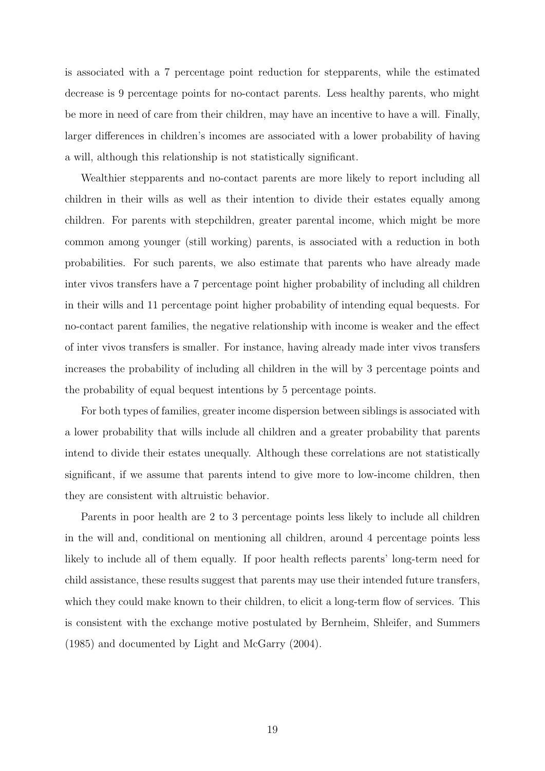is associated with a 7 percentage point reduction for stepparents, while the estimated decrease is 9 percentage points for no-contact parents. Less healthy parents, who might be more in need of care from their children, may have an incentive to have a will. Finally, larger differences in children's incomes are associated with a lower probability of having a will, although this relationship is not statistically significant.

Wealthier stepparents and no-contact parents are more likely to report including all children in their wills as well as their intention to divide their estates equally among children. For parents with stepchildren, greater parental income, which might be more common among younger (still working) parents, is associated with a reduction in both probabilities. For such parents, we also estimate that parents who have already made inter vivos transfers have a 7 percentage point higher probability of including all children in their wills and 11 percentage point higher probability of intending equal bequests. For no-contact parent families, the negative relationship with income is weaker and the effect of inter vivos transfers is smaller. For instance, having already made inter vivos transfers increases the probability of including all children in the will by 3 percentage points and the probability of equal bequest intentions by 5 percentage points.

For both types of families, greater income dispersion between siblings is associated with a lower probability that wills include all children and a greater probability that parents intend to divide their estates unequally. Although these correlations are not statistically significant, if we assume that parents intend to give more to low-income children, then they are consistent with altruistic behavior.

Parents in poor health are 2 to 3 percentage points less likely to include all children in the will and, conditional on mentioning all children, around 4 percentage points less likely to include all of them equally. If poor health reflects parents' long-term need for child assistance, these results suggest that parents may use their intended future transfers, which they could make known to their children, to elicit a long-term flow of services. This is consistent with the exchange motive postulated by Bernheim, Shleifer, and Summers (1985) and documented by Light and McGarry (2004).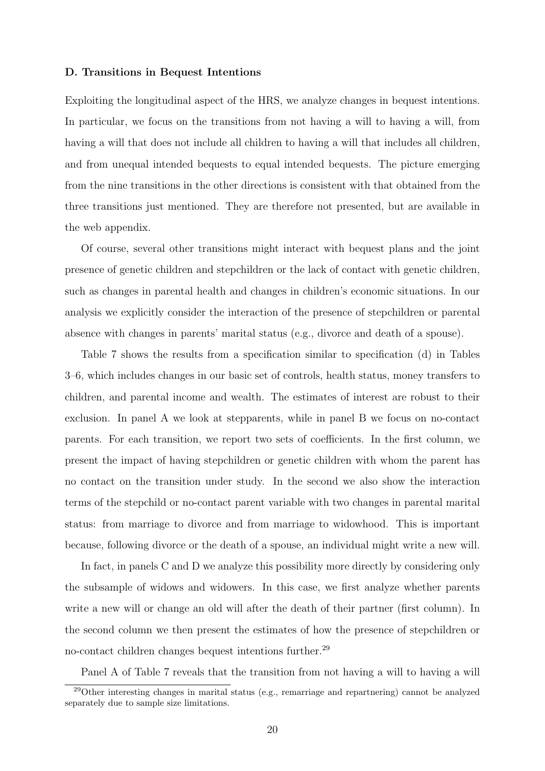#### D. Transitions in Bequest Intentions

Exploiting the longitudinal aspect of the HRS, we analyze changes in bequest intentions. In particular, we focus on the transitions from not having a will to having a will, from having a will that does not include all children to having a will that includes all children, and from unequal intended bequests to equal intended bequests. The picture emerging from the nine transitions in the other directions is consistent with that obtained from the three transitions just mentioned. They are therefore not presented, but are available in the web appendix.

Of course, several other transitions might interact with bequest plans and the joint presence of genetic children and stepchildren or the lack of contact with genetic children, such as changes in parental health and changes in children's economic situations. In our analysis we explicitly consider the interaction of the presence of stepchildren or parental absence with changes in parents' marital status (e.g., divorce and death of a spouse).

Table 7 shows the results from a specification similar to specification (d) in Tables 3–6, which includes changes in our basic set of controls, health status, money transfers to children, and parental income and wealth. The estimates of interest are robust to their exclusion. In panel A we look at stepparents, while in panel B we focus on no-contact parents. For each transition, we report two sets of coefficients. In the first column, we present the impact of having stepchildren or genetic children with whom the parent has no contact on the transition under study. In the second we also show the interaction terms of the stepchild or no-contact parent variable with two changes in parental marital status: from marriage to divorce and from marriage to widowhood. This is important because, following divorce or the death of a spouse, an individual might write a new will.

In fact, in panels C and D we analyze this possibility more directly by considering only the subsample of widows and widowers. In this case, we first analyze whether parents write a new will or change an old will after the death of their partner (first column). In the second column we then present the estimates of how the presence of stepchildren or no-contact children changes bequest intentions further.<sup>29</sup>

Panel A of Table 7 reveals that the transition from not having a will to having a will

<sup>29</sup>Other interesting changes in marital status (e.g., remarriage and repartnering) cannot be analyzed separately due to sample size limitations.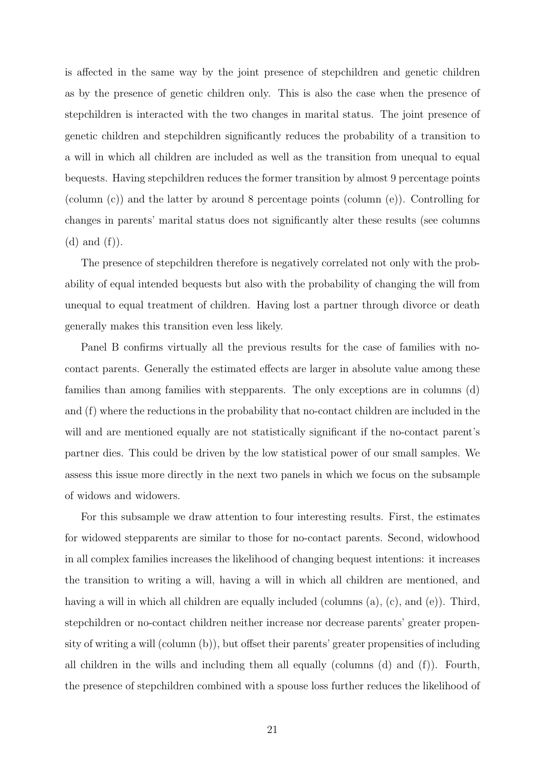is affected in the same way by the joint presence of stepchildren and genetic children as by the presence of genetic children only. This is also the case when the presence of stepchildren is interacted with the two changes in marital status. The joint presence of genetic children and stepchildren significantly reduces the probability of a transition to a will in which all children are included as well as the transition from unequal to equal bequests. Having stepchildren reduces the former transition by almost 9 percentage points (column (c)) and the latter by around 8 percentage points (column (e)). Controlling for changes in parents' marital status does not significantly alter these results (see columns  $(d)$  and  $(f)$ ).

The presence of stepchildren therefore is negatively correlated not only with the probability of equal intended bequests but also with the probability of changing the will from unequal to equal treatment of children. Having lost a partner through divorce or death generally makes this transition even less likely.

Panel B confirms virtually all the previous results for the case of families with nocontact parents. Generally the estimated effects are larger in absolute value among these families than among families with stepparents. The only exceptions are in columns (d) and (f) where the reductions in the probability that no-contact children are included in the will and are mentioned equally are not statistically significant if the no-contact parent's partner dies. This could be driven by the low statistical power of our small samples. We assess this issue more directly in the next two panels in which we focus on the subsample of widows and widowers.

For this subsample we draw attention to four interesting results. First, the estimates for widowed stepparents are similar to those for no-contact parents. Second, widowhood in all complex families increases the likelihood of changing bequest intentions: it increases the transition to writing a will, having a will in which all children are mentioned, and having a will in which all children are equally included (columns (a), (c), and (e)). Third, stepchildren or no-contact children neither increase nor decrease parents' greater propensity of writing a will (column (b)), but offset their parents' greater propensities of including all children in the wills and including them all equally (columns (d) and (f)). Fourth, the presence of stepchildren combined with a spouse loss further reduces the likelihood of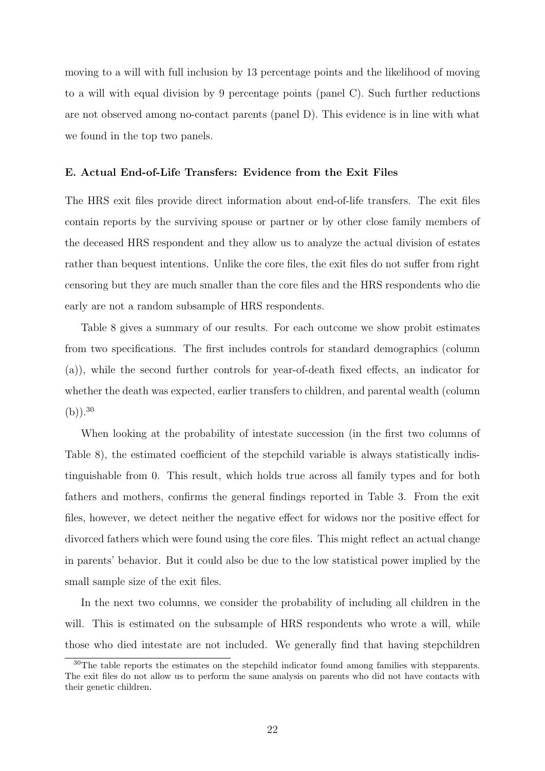moving to a will with full inclusion by 13 percentage points and the likelihood of moving to a will with equal division by 9 percentage points (panel C). Such further reductions are not observed among no-contact parents (panel D). This evidence is in line with what we found in the top two panels.

#### E. Actual End-of-Life Transfers: Evidence from the Exit Files

The HRS exit files provide direct information about end-of-life transfers. The exit files contain reports by the surviving spouse or partner or by other close family members of the deceased HRS respondent and they allow us to analyze the actual division of estates rather than bequest intentions. Unlike the core files, the exit files do not suffer from right censoring but they are much smaller than the core files and the HRS respondents who die early are not a random subsample of HRS respondents.

Table 8 gives a summary of our results. For each outcome we show probit estimates from two specifications. The first includes controls for standard demographics (column (a)), while the second further controls for year-of-death fixed effects, an indicator for whether the death was expected, earlier transfers to children, and parental wealth (column  $(b)$ ).<sup>30</sup>

When looking at the probability of intestate succession (in the first two columns of Table 8), the estimated coefficient of the stepchild variable is always statistically indistinguishable from 0. This result, which holds true across all family types and for both fathers and mothers, confirms the general findings reported in Table 3. From the exit files, however, we detect neither the negative effect for widows nor the positive effect for divorced fathers which were found using the core files. This might reflect an actual change in parents' behavior. But it could also be due to the low statistical power implied by the small sample size of the exit files.

In the next two columns, we consider the probability of including all children in the will. This is estimated on the subsample of HRS respondents who wrote a will, while those who died intestate are not included. We generally find that having stepchildren

<sup>&</sup>lt;sup>30</sup>The table reports the estimates on the stepchild indicator found among families with stepparents. The exit files do not allow us to perform the same analysis on parents who did not have contacts with their genetic children.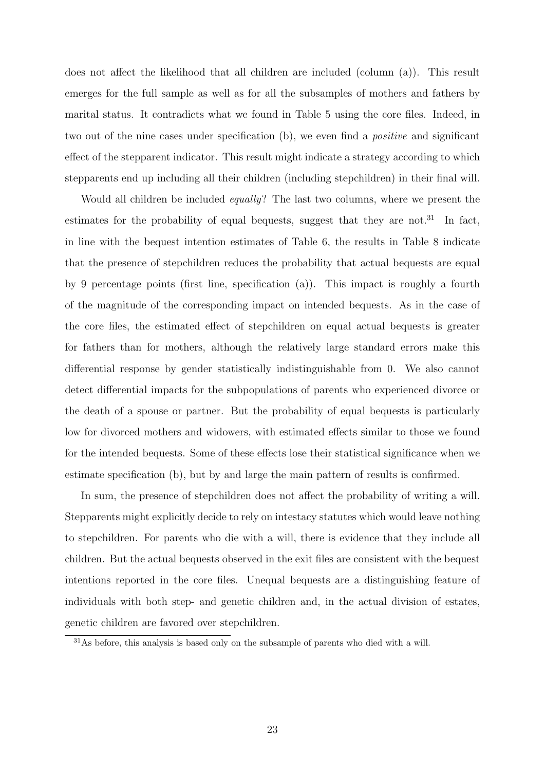does not affect the likelihood that all children are included (column (a)). This result emerges for the full sample as well as for all the subsamples of mothers and fathers by marital status. It contradicts what we found in Table 5 using the core files. Indeed, in two out of the nine cases under specification (b), we even find a positive and significant effect of the stepparent indicator. This result might indicate a strategy according to which stepparents end up including all their children (including stepchildren) in their final will.

Would all children be included equally? The last two columns, where we present the estimates for the probability of equal bequests, suggest that they are not.<sup>31</sup> In fact, in line with the bequest intention estimates of Table 6, the results in Table 8 indicate that the presence of stepchildren reduces the probability that actual bequests are equal by 9 percentage points (first line, specification (a)). This impact is roughly a fourth of the magnitude of the corresponding impact on intended bequests. As in the case of the core files, the estimated effect of stepchildren on equal actual bequests is greater for fathers than for mothers, although the relatively large standard errors make this differential response by gender statistically indistinguishable from 0. We also cannot detect differential impacts for the subpopulations of parents who experienced divorce or the death of a spouse or partner. But the probability of equal bequests is particularly low for divorced mothers and widowers, with estimated effects similar to those we found for the intended bequests. Some of these effects lose their statistical significance when we estimate specification (b), but by and large the main pattern of results is confirmed.

In sum, the presence of stepchildren does not affect the probability of writing a will. Stepparents might explicitly decide to rely on intestacy statutes which would leave nothing to stepchildren. For parents who die with a will, there is evidence that they include all children. But the actual bequests observed in the exit files are consistent with the bequest intentions reported in the core files. Unequal bequests are a distinguishing feature of individuals with both step- and genetic children and, in the actual division of estates, genetic children are favored over stepchildren.

<sup>31</sup>As before, this analysis is based only on the subsample of parents who died with a will.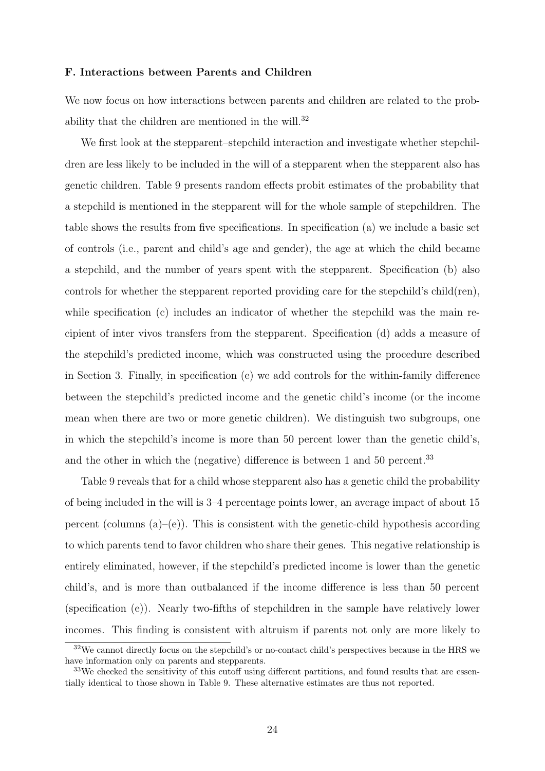#### F. Interactions between Parents and Children

We now focus on how interactions between parents and children are related to the probability that the children are mentioned in the will.<sup>32</sup>

We first look at the stepparent–stepchild interaction and investigate whether stepchildren are less likely to be included in the will of a stepparent when the stepparent also has genetic children. Table 9 presents random effects probit estimates of the probability that a stepchild is mentioned in the stepparent will for the whole sample of stepchildren. The table shows the results from five specifications. In specification (a) we include a basic set of controls (i.e., parent and child's age and gender), the age at which the child became a stepchild, and the number of years spent with the stepparent. Specification (b) also controls for whether the stepparent reported providing care for the stepchild's child(ren), while specification (c) includes an indicator of whether the stepchild was the main recipient of inter vivos transfers from the stepparent. Specification (d) adds a measure of the stepchild's predicted income, which was constructed using the procedure described in Section 3. Finally, in specification (e) we add controls for the within-family difference between the stepchild's predicted income and the genetic child's income (or the income mean when there are two or more genetic children). We distinguish two subgroups, one in which the stepchild's income is more than 50 percent lower than the genetic child's, and the other in which the (negative) difference is between 1 and 50 percent.<sup>33</sup>

Table 9 reveals that for a child whose stepparent also has a genetic child the probability of being included in the will is 3–4 percentage points lower, an average impact of about 15 percent (columns  $(a)$ –(e)). This is consistent with the genetic-child hypothesis according to which parents tend to favor children who share their genes. This negative relationship is entirely eliminated, however, if the stepchild's predicted income is lower than the genetic child's, and is more than outbalanced if the income difference is less than 50 percent (specification (e)). Nearly two-fifths of stepchildren in the sample have relatively lower incomes. This finding is consistent with altruism if parents not only are more likely to

<sup>&</sup>lt;sup>32</sup>We cannot directly focus on the stepchild's or no-contact child's perspectives because in the HRS we have information only on parents and stepparents.

<sup>&</sup>lt;sup>33</sup>We checked the sensitivity of this cutoff using different partitions, and found results that are essentially identical to those shown in Table 9. These alternative estimates are thus not reported.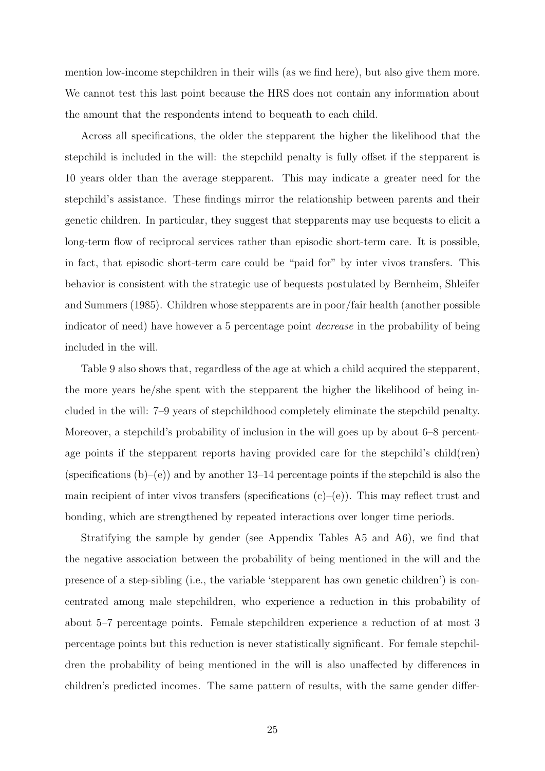mention low-income stepchildren in their wills (as we find here), but also give them more. We cannot test this last point because the HRS does not contain any information about the amount that the respondents intend to bequeath to each child.

Across all specifications, the older the stepparent the higher the likelihood that the stepchild is included in the will: the stepchild penalty is fully offset if the stepparent is 10 years older than the average stepparent. This may indicate a greater need for the stepchild's assistance. These findings mirror the relationship between parents and their genetic children. In particular, they suggest that stepparents may use bequests to elicit a long-term flow of reciprocal services rather than episodic short-term care. It is possible, in fact, that episodic short-term care could be "paid for" by inter vivos transfers. This behavior is consistent with the strategic use of bequests postulated by Bernheim, Shleifer and Summers (1985). Children whose stepparents are in poor/fair health (another possible indicator of need) have however a 5 percentage point decrease in the probability of being included in the will.

Table 9 also shows that, regardless of the age at which a child acquired the stepparent, the more years he/she spent with the stepparent the higher the likelihood of being included in the will: 7–9 years of stepchildhood completely eliminate the stepchild penalty. Moreover, a stepchild's probability of inclusion in the will goes up by about 6–8 percentage points if the stepparent reports having provided care for the stepchild's child(ren) (specifications  $(b)$ –(e)) and by another 13–14 percentage points if the stepchild is also the main recipient of inter vivos transfers (specifications  $(c)$ – $(e)$ ). This may reflect trust and bonding, which are strengthened by repeated interactions over longer time periods.

Stratifying the sample by gender (see Appendix Tables A5 and A6), we find that the negative association between the probability of being mentioned in the will and the presence of a step-sibling (i.e., the variable 'stepparent has own genetic children') is concentrated among male stepchildren, who experience a reduction in this probability of about 5–7 percentage points. Female stepchildren experience a reduction of at most 3 percentage points but this reduction is never statistically significant. For female stepchildren the probability of being mentioned in the will is also unaffected by differences in children's predicted incomes. The same pattern of results, with the same gender differ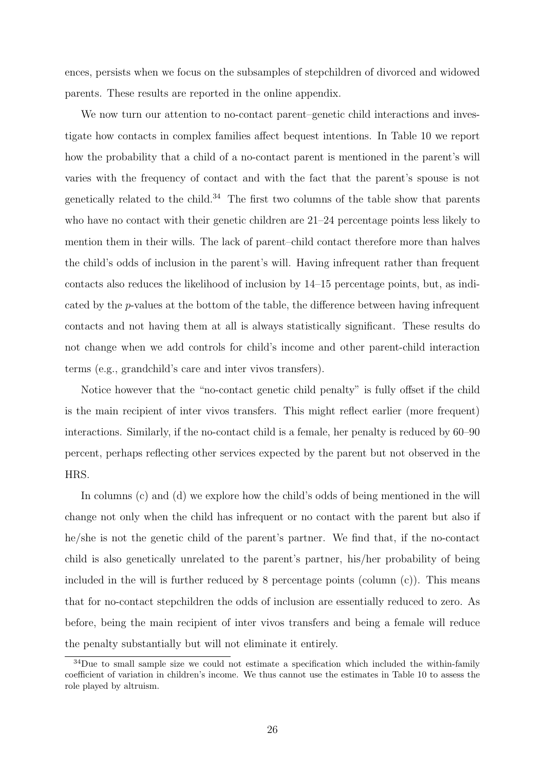ences, persists when we focus on the subsamples of stepchildren of divorced and widowed parents. These results are reported in the online appendix.

We now turn our attention to no-contact parent–genetic child interactions and investigate how contacts in complex families affect bequest intentions. In Table 10 we report how the probability that a child of a no-contact parent is mentioned in the parent's will varies with the frequency of contact and with the fact that the parent's spouse is not genetically related to the child.<sup>34</sup> The first two columns of the table show that parents who have no contact with their genetic children are 21–24 percentage points less likely to mention them in their wills. The lack of parent–child contact therefore more than halves the child's odds of inclusion in the parent's will. Having infrequent rather than frequent contacts also reduces the likelihood of inclusion by 14–15 percentage points, but, as indicated by the p-values at the bottom of the table, the difference between having infrequent contacts and not having them at all is always statistically significant. These results do not change when we add controls for child's income and other parent-child interaction terms (e.g., grandchild's care and inter vivos transfers).

Notice however that the "no-contact genetic child penalty" is fully offset if the child is the main recipient of inter vivos transfers. This might reflect earlier (more frequent) interactions. Similarly, if the no-contact child is a female, her penalty is reduced by 60–90 percent, perhaps reflecting other services expected by the parent but not observed in the HRS.

In columns (c) and (d) we explore how the child's odds of being mentioned in the will change not only when the child has infrequent or no contact with the parent but also if he/she is not the genetic child of the parent's partner. We find that, if the no-contact child is also genetically unrelated to the parent's partner, his/her probability of being included in the will is further reduced by 8 percentage points (column  $(c)$ ). This means that for no-contact stepchildren the odds of inclusion are essentially reduced to zero. As before, being the main recipient of inter vivos transfers and being a female will reduce the penalty substantially but will not eliminate it entirely.

<sup>&</sup>lt;sup>34</sup>Due to small sample size we could not estimate a specification which included the within-family coefficient of variation in children's income. We thus cannot use the estimates in Table 10 to assess the role played by altruism.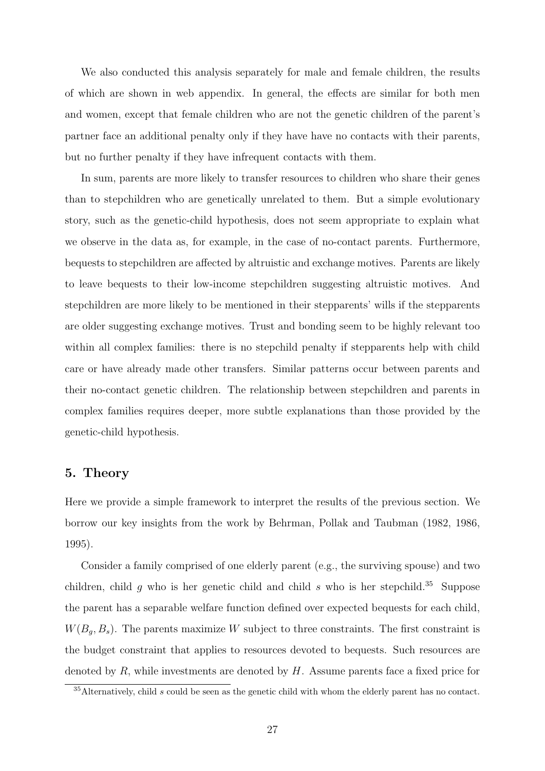We also conducted this analysis separately for male and female children, the results of which are shown in web appendix. In general, the effects are similar for both men and women, except that female children who are not the genetic children of the parent's partner face an additional penalty only if they have have no contacts with their parents, but no further penalty if they have infrequent contacts with them.

In sum, parents are more likely to transfer resources to children who share their genes than to stepchildren who are genetically unrelated to them. But a simple evolutionary story, such as the genetic-child hypothesis, does not seem appropriate to explain what we observe in the data as, for example, in the case of no-contact parents. Furthermore, bequests to stepchildren are affected by altruistic and exchange motives. Parents are likely to leave bequests to their low-income stepchildren suggesting altruistic motives. And stepchildren are more likely to be mentioned in their stepparents' wills if the stepparents are older suggesting exchange motives. Trust and bonding seem to be highly relevant too within all complex families: there is no stepchild penalty if stepparents help with child care or have already made other transfers. Similar patterns occur between parents and their no-contact genetic children. The relationship between stepchildren and parents in complex families requires deeper, more subtle explanations than those provided by the genetic-child hypothesis.

#### 5. Theory

Here we provide a simple framework to interpret the results of the previous section. We borrow our key insights from the work by Behrman, Pollak and Taubman (1982, 1986, 1995).

Consider a family comprised of one elderly parent (e.g., the surviving spouse) and two children, child g who is her genetic child and child s who is her stepchild.<sup>35</sup> Suppose the parent has a separable welfare function defined over expected bequests for each child,  $W(B_q, B_s)$ . The parents maximize W subject to three constraints. The first constraint is the budget constraint that applies to resources devoted to bequests. Such resources are denoted by  $R$ , while investments are denoted by  $H$ . Assume parents face a fixed price for

 $35$ Alternatively, child  $s$  could be seen as the genetic child with whom the elderly parent has no contact.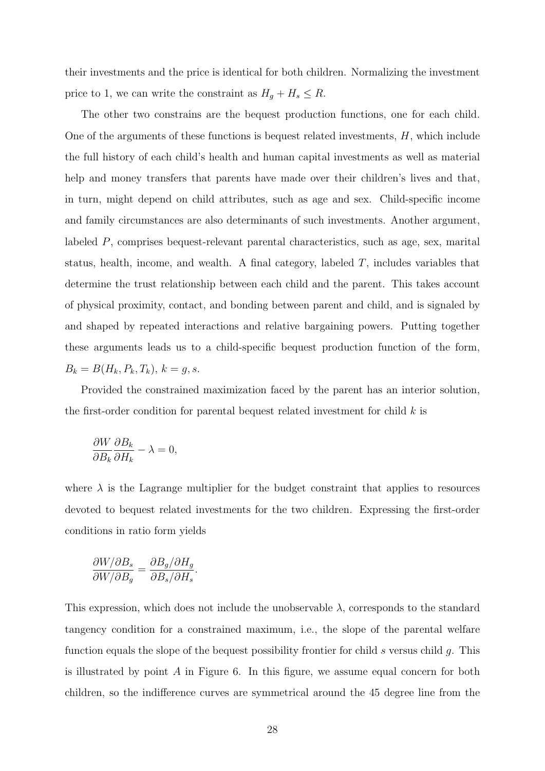their investments and the price is identical for both children. Normalizing the investment price to 1, we can write the constraint as  $H_g + H_s \leq R$ .

The other two constrains are the bequest production functions, one for each child. One of the arguments of these functions is bequest related investments,  $H$ , which include the full history of each child's health and human capital investments as well as material help and money transfers that parents have made over their children's lives and that, in turn, might depend on child attributes, such as age and sex. Child-specific income and family circumstances are also determinants of such investments. Another argument, labeled P, comprises bequest-relevant parental characteristics, such as age, sex, marital status, health, income, and wealth. A final category, labeled  $T$ , includes variables that determine the trust relationship between each child and the parent. This takes account of physical proximity, contact, and bonding between parent and child, and is signaled by and shaped by repeated interactions and relative bargaining powers. Putting together these arguments leads us to a child-specific bequest production function of the form,  $B_k = B(H_k, P_k, T_k), k = g, s.$ 

Provided the constrained maximization faced by the parent has an interior solution, the first-order condition for parental bequest related investment for child  $k$  is

$$
\frac{\partial W}{\partial B_k}\frac{\partial B_k}{\partial H_k} - \lambda = 0,
$$

where  $\lambda$  is the Lagrange multiplier for the budget constraint that applies to resources devoted to bequest related investments for the two children. Expressing the first-order conditions in ratio form yields

$$
\frac{\partial W/\partial B_s}{\partial W/\partial B_g} = \frac{\partial B_g/\partial H_g}{\partial B_s/\partial H_s}.
$$

This expression, which does not include the unobservable  $\lambda$ , corresponds to the standard tangency condition for a constrained maximum, i.e., the slope of the parental welfare function equals the slope of the bequest possibility frontier for child  $s$  versus child  $q$ . This is illustrated by point  $A$  in Figure 6. In this figure, we assume equal concern for both children, so the indifference curves are symmetrical around the 45 degree line from the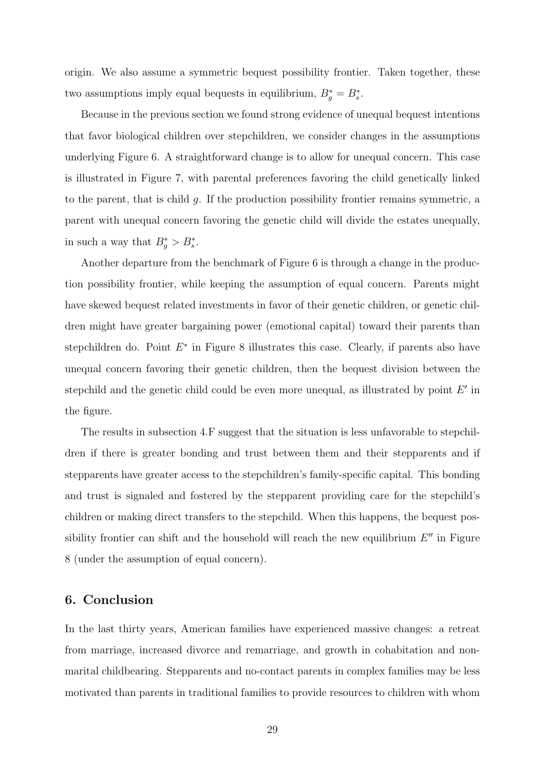origin. We also assume a symmetric bequest possibility frontier. Taken together, these two assumptions imply equal bequests in equilibrium,  $B_g^* = B_s^*$ .

Because in the previous section we found strong evidence of unequal bequest intentions that favor biological children over stepchildren, we consider changes in the assumptions underlying Figure 6. A straightforward change is to allow for unequal concern. This case is illustrated in Figure 7, with parental preferences favoring the child genetically linked to the parent, that is child g. If the production possibility frontier remains symmetric, a parent with unequal concern favoring the genetic child will divide the estates unequally, in such a way that  $B_g^* > B_s^*$ .

Another departure from the benchmark of Figure 6 is through a change in the production possibility frontier, while keeping the assumption of equal concern. Parents might have skewed bequest related investments in favor of their genetic children, or genetic children might have greater bargaining power (emotional capital) toward their parents than stepchildren do. Point  $E^*$  in Figure 8 illustrates this case. Clearly, if parents also have unequal concern favoring their genetic children, then the bequest division between the stepchild and the genetic child could be even more unequal, as illustrated by point  $E'$  in the figure.

The results in subsection 4.F suggest that the situation is less unfavorable to stepchildren if there is greater bonding and trust between them and their stepparents and if stepparents have greater access to the stepchildren's family-specific capital. This bonding and trust is signaled and fostered by the stepparent providing care for the stepchild's children or making direct transfers to the stepchild. When this happens, the bequest possibility frontier can shift and the household will reach the new equilibrium  $E''$  in Figure 8 (under the assumption of equal concern).

#### 6. Conclusion

In the last thirty years, American families have experienced massive changes: a retreat from marriage, increased divorce and remarriage, and growth in cohabitation and nonmarital childbearing. Stepparents and no-contact parents in complex families may be less motivated than parents in traditional families to provide resources to children with whom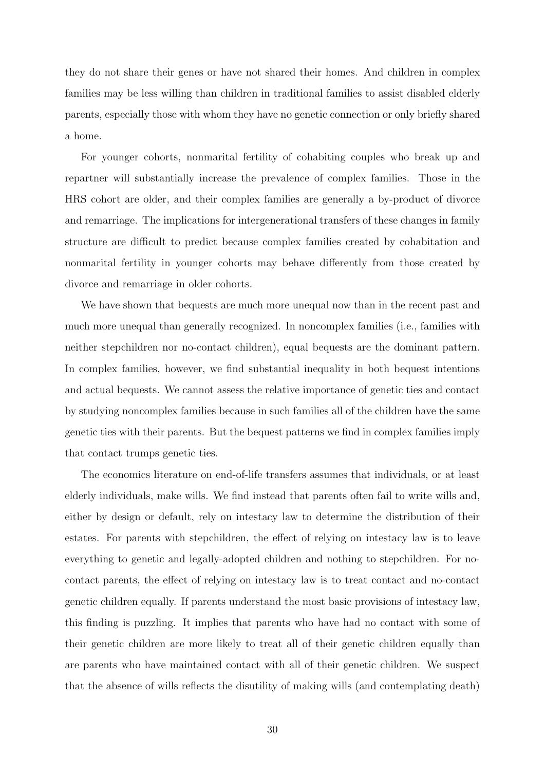they do not share their genes or have not shared their homes. And children in complex families may be less willing than children in traditional families to assist disabled elderly parents, especially those with whom they have no genetic connection or only briefly shared a home.

For younger cohorts, nonmarital fertility of cohabiting couples who break up and repartner will substantially increase the prevalence of complex families. Those in the HRS cohort are older, and their complex families are generally a by-product of divorce and remarriage. The implications for intergenerational transfers of these changes in family structure are difficult to predict because complex families created by cohabitation and nonmarital fertility in younger cohorts may behave differently from those created by divorce and remarriage in older cohorts.

We have shown that bequests are much more unequal now than in the recent past and much more unequal than generally recognized. In noncomplex families (i.e., families with neither stepchildren nor no-contact children), equal bequests are the dominant pattern. In complex families, however, we find substantial inequality in both bequest intentions and actual bequests. We cannot assess the relative importance of genetic ties and contact by studying noncomplex families because in such families all of the children have the same genetic ties with their parents. But the bequest patterns we find in complex families imply that contact trumps genetic ties.

The economics literature on end-of-life transfers assumes that individuals, or at least elderly individuals, make wills. We find instead that parents often fail to write wills and, either by design or default, rely on intestacy law to determine the distribution of their estates. For parents with stepchildren, the effect of relying on intestacy law is to leave everything to genetic and legally-adopted children and nothing to stepchildren. For nocontact parents, the effect of relying on intestacy law is to treat contact and no-contact genetic children equally. If parents understand the most basic provisions of intestacy law, this finding is puzzling. It implies that parents who have had no contact with some of their genetic children are more likely to treat all of their genetic children equally than are parents who have maintained contact with all of their genetic children. We suspect that the absence of wills reflects the disutility of making wills (and contemplating death)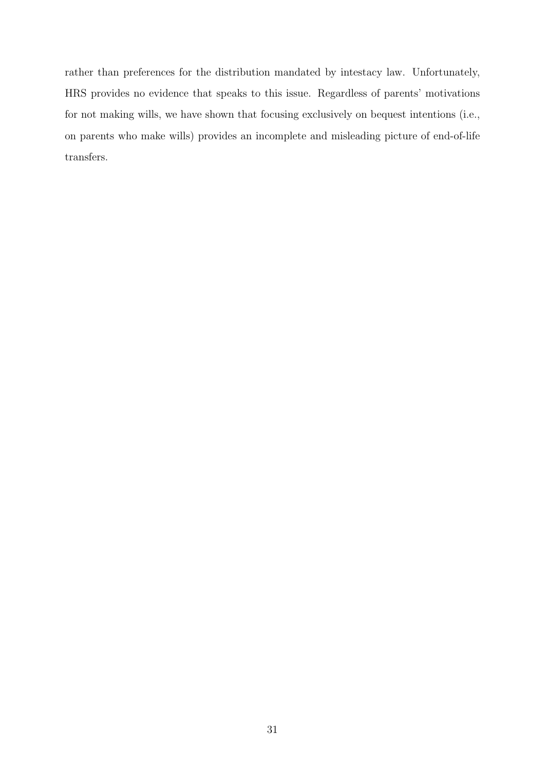rather than preferences for the distribution mandated by intestacy law. Unfortunately, HRS provides no evidence that speaks to this issue. Regardless of parents' motivations for not making wills, we have shown that focusing exclusively on bequest intentions (i.e., on parents who make wills) provides an incomplete and misleading picture of end-of-life transfers.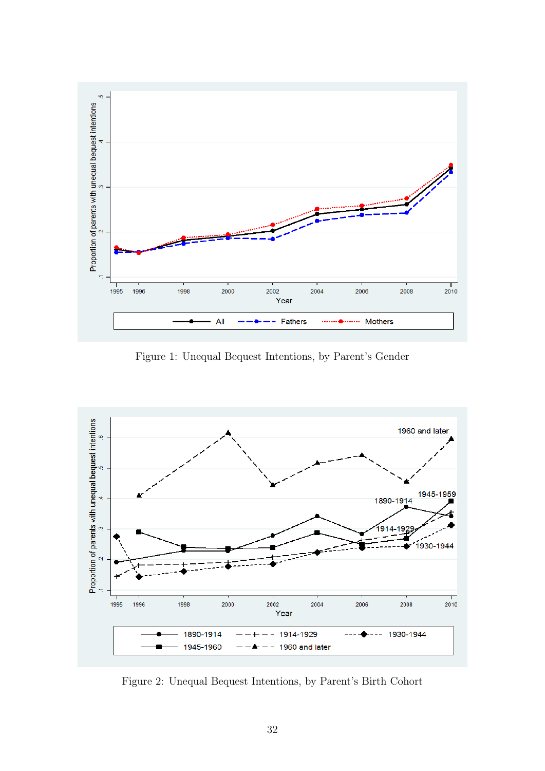

Figure 1: Unequal Bequest Intentions, by Parent's Gender



Figure 2: Unequal Bequest Intentions, by Parent's Birth Cohort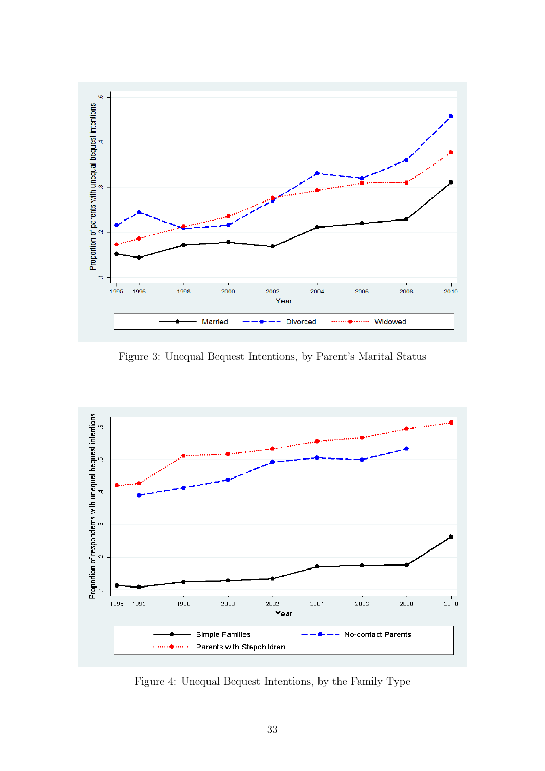

Figure 3: Unequal Bequest Intentions, by Parent's Marital Status



Figure 4: Unequal Bequest Intentions, by the Family Type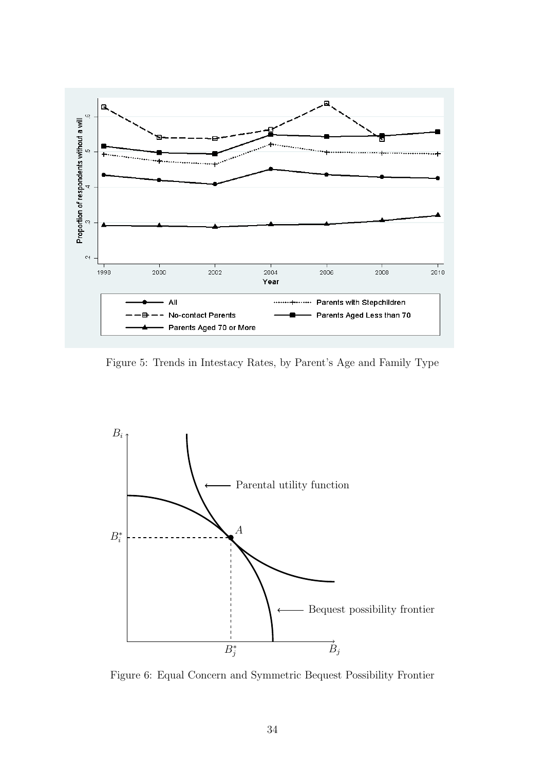

Figure 5: Trends in Intestacy Rates, by Parent's Age and Family Type



Figure 6: Equal Concern and Symmetric Bequest Possibility Frontier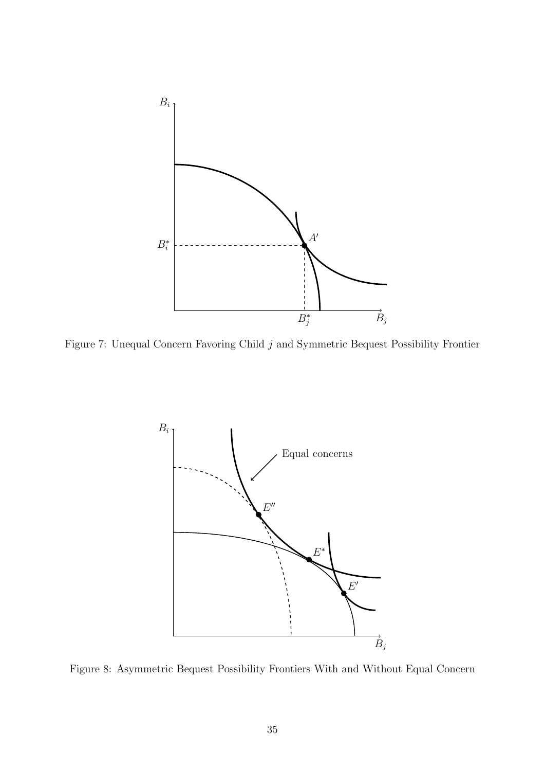

Figure 7: Unequal Concern Favoring Child  $j$  and Symmetric Bequest Possibility Frontier



Figure 8: Asymmetric Bequest Possibility Frontiers With and Without Equal Concern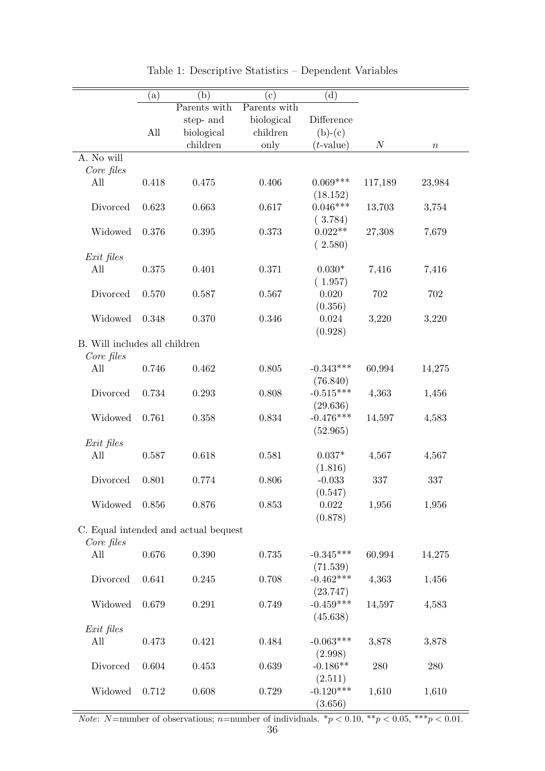|                               | (a)   | (b)                                  | $\rm (c)$    | (d)          |                  |        |
|-------------------------------|-------|--------------------------------------|--------------|--------------|------------------|--------|
|                               |       | Parents with                         | Parents with |              |                  |        |
|                               |       | step- and                            | biological   | Difference   |                  |        |
|                               | All   | biological                           | children     | $(b)-(c)$    |                  |        |
|                               |       | children                             | only         | $(t$ -value) | $\boldsymbol{N}$ | $\, n$ |
| A. No will                    |       |                                      |              |              |                  |        |
| Core files                    |       |                                      |              |              |                  |        |
| All                           | 0.418 | 0.475                                | 0.406        | $0.069***$   | 117,189          | 23,984 |
|                               |       |                                      |              | (18.152)     |                  |        |
| Divorced                      | 0.623 | 0.663                                | 0.617        | $0.046***$   | 13,703           | 3,754  |
|                               |       |                                      |              | (3.784)      |                  |        |
| Widowed                       | 0.376 | 0.395                                | 0.373        | $0.022**$    | 27,308           | 7,679  |
|                               |       |                                      |              | (2.580)      |                  |        |
| Exit files                    |       |                                      |              |              |                  |        |
| All                           | 0.375 | 0.401                                | 0.371        | $0.030*$     | 7,416            | 7,416  |
|                               |       |                                      |              | (1.957)      |                  |        |
| Divorced                      | 0.570 | 0.587                                | 0.567        | 0.020        | 702              | 702    |
|                               |       |                                      |              | (0.356)      |                  |        |
| Widowed                       | 0.348 | 0.370                                | 0.346        | 0.024        | 3,220            | 3,220  |
|                               |       |                                      |              | (0.928)      |                  |        |
| B. Will includes all children |       |                                      |              |              |                  |        |
| Core files                    |       |                                      |              |              |                  |        |
| All                           | 0.746 | 0.462                                | 0.805        | $-0.343***$  | 60,994           | 14,275 |
|                               |       |                                      |              | (76.840)     |                  |        |
| Divorced                      | 0.734 | 0.293                                | 0.808        | $-0.515***$  | 4,363            | 1,456  |
|                               |       |                                      |              | (29.636)     |                  |        |
| Widowed                       | 0.761 | 0.358                                | 0.834        | $-0.476***$  | 14,597           | 4,583  |
|                               |       |                                      |              | (52.965)     |                  |        |
| Exit files                    |       |                                      |              |              |                  |        |
| All                           | 0.587 | 0.618                                | 0.581        | $0.037*$     | 4,567            | 4,567  |
|                               |       |                                      |              | (1.816)      |                  |        |
| Divorced                      | 0.801 | 0.774                                | 0.806        | $-0.033$     | 337              | 337    |
|                               |       |                                      |              | (0.547)      |                  |        |
| Widowed                       | 0.856 | 0.876                                | 0.853        | 0.022        | 1,956            | 1,956  |
|                               |       |                                      |              | (0.878)      |                  |        |
|                               |       | C. Equal intended and actual bequest |              |              |                  |        |
| Core files                    |       |                                      |              |              |                  |        |
| All                           | 0.676 | 0.390                                | 0.735        | $-0.345***$  | 60,994           | 14,275 |
|                               |       |                                      |              | (71.539)     |                  |        |
| Divorced                      | 0.641 | 0.245                                | 0.708        | $-0.462***$  | 4,363            | 1,456  |
|                               |       |                                      |              | (23.747)     |                  |        |
| Widowed                       | 0.679 | 0.291                                | 0.749        | $-0.459***$  | 14,597           | 4,583  |
|                               |       |                                      |              | (45.638)     |                  |        |
| Exit files                    |       |                                      |              |              |                  |        |
| All                           | 0.473 | 0.421                                | 0.484        | $-0.063***$  | 3,878            | 3,878  |
|                               |       |                                      |              | (2.998)      |                  |        |
| Divorced                      | 0.604 | 0.453                                | 0.639        | $-0.186**$   | 280              | 280    |
|                               |       |                                      |              | (2.511)      |                  |        |
| Widowed                       | 0.712 | 0.608                                | 0.729        | $-0.120***$  | 1,610            | 1,610  |
|                               |       |                                      |              | (3.656)      |                  |        |

Table 1: Descriptive Statistics – Dependent Variables

*Note:* N=number of observations; n=number of individuals.  ${}^*p < 0.10, {}^{**}p < 0.05, {}^{***}p < 0.01$ .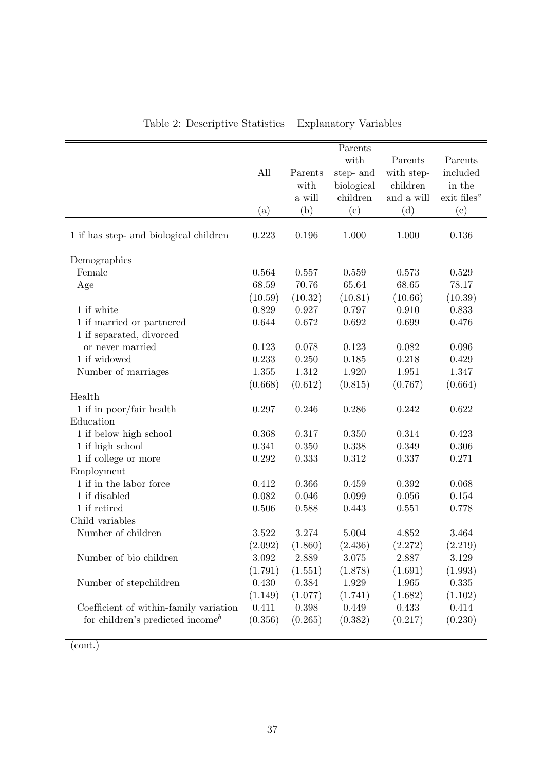|                                                           |           |         | Parents      |            |                                                    |
|-----------------------------------------------------------|-----------|---------|--------------|------------|----------------------------------------------------|
|                                                           |           |         | with         | Parents    | Parents                                            |
|                                                           | All       | Parents | step- and    | with step- | included                                           |
|                                                           |           | with    | biological   | children   | in the                                             |
|                                                           |           | a will  | children     | and a will | $\mathop{\text{exit}}\nolimits$ files <sup>a</sup> |
|                                                           | $\rm (a)$ | (b)     | $\rm ^{(c)}$ | (d)        | (e)                                                |
| 1 if has step- and biological children                    | 0.223     | 0.196   | 1.000        | 1.000      | 0.136                                              |
| Demographics                                              |           |         |              |            |                                                    |
| Female                                                    | 0.564     | 0.557   | 0.559        | 0.573      | 0.529                                              |
| Age                                                       | 68.59     | 70.76   | 65.64        | 68.65      | 78.17                                              |
|                                                           | (10.59)   | (10.32) | (10.81)      | (10.66)    | (10.39)                                            |
| 1 if white                                                | 0.829     | 0.927   | 0.797        | 0.910      | 0.833                                              |
| 1 if married or partnered                                 | 0.644     | 0.672   | 0.692        | 0.699      | 0.476                                              |
| 1 if separated, divorced                                  |           |         |              |            |                                                    |
| or never married                                          | 0.123     | 0.078   | 0.123        | 0.082      | 0.096                                              |
| 1 if widowed                                              | 0.233     | 0.250   | 0.185        | 0.218      | 0.429                                              |
| Number of marriages                                       | $1.355\,$ | 1.312   | 1.920        | 1.951      | 1.347                                              |
|                                                           | (0.668)   | (0.612) | (0.815)      | (0.767)    | (0.664)                                            |
| Health                                                    |           |         |              |            |                                                    |
| 1 if in poor/fair health                                  | 0.297     | 0.246   | 0.286        | 0.242      | 0.622                                              |
| Education                                                 |           |         |              |            |                                                    |
| 1 if below high school                                    | 0.368     | 0.317   | 0.350        | 0.314      | 0.423                                              |
| 1 if high school                                          | 0.341     | 0.350   | 0.338        | 0.349      | 0.306                                              |
| 1 if college or more                                      | $0.292\,$ | 0.333   | 0.312        | 0.337      | 0.271                                              |
| Employment                                                |           |         |              |            |                                                    |
| 1 if in the labor force                                   | 0.412     | 0.366   | 0.459        | 0.392      | 0.068                                              |
| 1 if disabled                                             | 0.082     | 0.046   | 0.099        | 0.056      | 0.154                                              |
| 1 if retired                                              | $0.506\,$ | 0.588   | 0.443        | 0.551      | 0.778                                              |
| Child variables                                           |           |         |              |            |                                                    |
| Number of children                                        | 3.522     | 3.274   | 5.004        | 4.852      | 3.464                                              |
|                                                           | (2.092)   | (1.860) | (2.436)      | (2.272)    | (2.219)                                            |
| Number of bio children                                    | 3.092     | 2.889   | 3.075        | 2.887      | 3.129                                              |
|                                                           | (1.791)   | (1.551) | (1.878)      | (1.691)    | (1.993)                                            |
| Number of stepchildren                                    | 0.430     | 0.384   | 1.929        | 1.965      | 0.335                                              |
|                                                           | (1.149)   | (1.077) | (1.741)      | (1.682)    | (1.102)                                            |
| Coefficient of within-family variation                    | 0.411     | 0.398   | 0.449        | 0.433      | 0.414                                              |
| for children's predicted income <sup><math>b</math></sup> | (0.356)   | (0.265) | (0.382)      | (0.217)    | (0.230)                                            |
|                                                           |           |         |              |            |                                                    |

Table 2: Descriptive Statistics – Explanatory Variables

(cont.)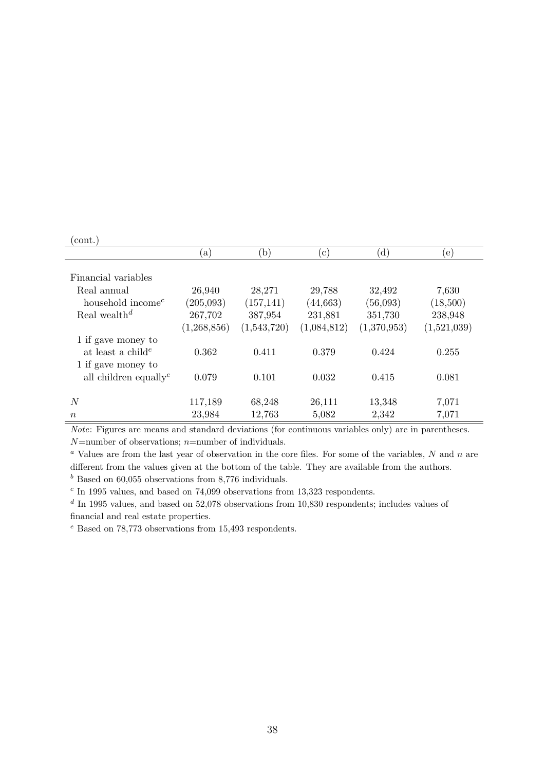## $\frac{\text{(cont.)}}{\ }$

| $\overline{\phantom{a}}$                                                  | $\lbrack a)$ | $\mathbf{b}$ | $(\mathbf{c})$ | (d)         | (e)         |  |
|---------------------------------------------------------------------------|--------------|--------------|----------------|-------------|-------------|--|
| Financial variables                                                       |              |              |                |             |             |  |
| Real annual                                                               | 26,940       | 28,271       | 29,788         | 32,492      | 7,630       |  |
| household income <sup><math>c</math></sup>                                | (205,093)    | (157, 141)   | (44, 663)      | (56,093)    | (18,500)    |  |
| Real wealth <sup>d</sup>                                                  | 267,702      | 387,954      | 231,881        | 351,730     | 238,948     |  |
|                                                                           | (1,268,856)  | (1,543,720)  | (1,084,812)    | (1,370,953) | (1,521,039) |  |
| 1 if gave money to<br>at least a child <sup>e</sup><br>1 if gave money to | 0.362        | 0.411        | 0.379          | 0.424       | 0.255       |  |
| all children equally <sup><math>e</math></sup>                            | 0.079        | 0.101        | 0.032          | 0.415       | 0.081       |  |
| N                                                                         | 117,189      | 68,248       | 26,111         | 13,348      | 7,071       |  |
| $\, n$                                                                    | 23,984       | 12,763       | 5,082          | 2,342       | 7,071       |  |

Note: Figures are means and standard deviations (for continuous variables only) are in parentheses.  $N$ =number of observations;  $n$ =number of individuals.

<sup>a</sup> Values are from the last year of observation in the core files. For some of the variables,  $N$  and  $n$  are different from the values given at the bottom of the table. They are available from the authors.  $<sup>b</sup>$  Based on 60,055 observations from 8,776 individuals.</sup>

 $c$  In 1995 values, and based on 74,099 observations from 13,323 respondents.

 $d$  In 1995 values, and based on 52,078 observations from 10,830 respondents; includes values of financial and real estate properties.

<sup>e</sup> Based on 78,773 observations from 15,493 respondents.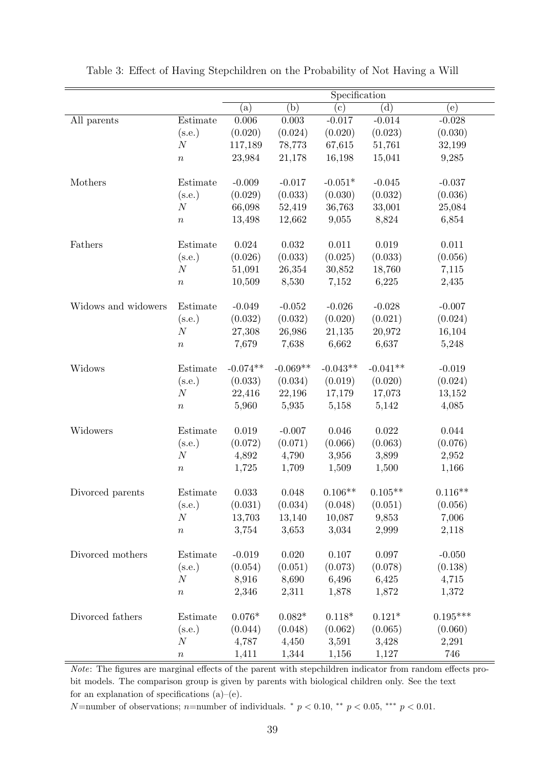|                     |                  | Specification  |                |              |                |             |  |
|---------------------|------------------|----------------|----------------|--------------|----------------|-------------|--|
|                     |                  | (a)            | (b)            | $^{\rm (c)}$ | (d)            | $\rm(e)$    |  |
| All parents         | Estimate         | 0.006          | $\,0.003\,$    | $-0.017$     | $-0.014$       | $-0.028$    |  |
|                     | (s.e.)           | (0.020)        | (0.024)        | (0.020)      | (0.023)        | (0.030)     |  |
|                     | $\cal N$         | 117,189        | 78,773         | 67,615       | 51,761         | 32,199      |  |
|                     | $\boldsymbol{n}$ | 23,984         | 21,178         | 16,198       | 15,041         | 9,285       |  |
|                     |                  |                |                |              |                |             |  |
| Mothers             | Estimate         | $-0.009$       | $-0.017$       | $-0.051*$    | $-0.045$       | $-0.037$    |  |
|                     | (s.e.)           | (0.029)        | (0.033)        | (0.030)      | (0.032)        | (0.036)     |  |
|                     | $\boldsymbol{N}$ | 66,098         | 52,419         | 36,763       | 33,001         | 25,084      |  |
|                     | $\boldsymbol{n}$ | 13,498         | 12,662         | 9,055        | 8,824          | 6,854       |  |
| Fathers             | Estimate         | 0.024          | 0.032          | 0.011        | 0.019          | 0.011       |  |
|                     | (s.e.)           | (0.026)        | (0.033)        | (0.025)      | (0.033)        | (0.056)     |  |
|                     | $\cal N$         | 51,091         | 26,354         | 30,852       | 18,760         | 7,115       |  |
|                     | $\boldsymbol{n}$ | 10,509         | 8,530          | 7,152        | 6,225          | 2,435       |  |
|                     |                  |                |                |              |                |             |  |
| Widows and widowers | Estimate         | $-0.049$       | $-0.052$       | $-0.026$     | $-0.028$       | $-0.007$    |  |
|                     | (s.e.)           | (0.032)        | (0.032)        | (0.020)      | (0.021)        | (0.024)     |  |
|                     | $\cal N$         | 27,308         | 26,986         | 21,135       | 20,972         | 16,104      |  |
|                     | $\boldsymbol{n}$ | 7,679          | 7,638          | 6,662        | 6,637          | 5,248       |  |
| Widows              | Estimate         | $-0.074**$     | $-0.069**$     | $-0.043**$   | $-0.041**$     | $-0.019$    |  |
|                     | (s.e.)           | (0.033)        | (0.034)        | (0.019)      | (0.020)        | (0.024)     |  |
|                     | $\boldsymbol{N}$ | 22,416         | 22,196         | 17,179       | 17,073         | 13,152      |  |
|                     | $\boldsymbol{n}$ | 5,960          | 5,935          | 5,158        | 5,142          | 4,085       |  |
|                     |                  |                |                |              |                |             |  |
| Widowers            | Estimate         | $0.019\,$      | $-0.007$       | 0.046        | 0.022          | $\,0.044\,$ |  |
|                     | (s.e.)           | (0.072)        | (0.071)        | (0.066)      | (0.063)        | (0.076)     |  |
|                     | $\cal N$         | 4,892          | 4,790          | 3,956        | 3,899          | 2,952       |  |
|                     | $\boldsymbol{n}$ | 1,725          | 1,709          | 1,509        | 1,500          | 1,166       |  |
| Divorced parents    | Estimate         | 0.033          | 0.048          | $0.106**$    | $0.105**$      | $0.116**$   |  |
|                     | (s.e.)           | (0.031)        | (0.034)        | (0.048)      | (0.051)        | (0.056)     |  |
|                     | $\cal N$         | 13,703         | 13,140         | 10,087       | 9,853          | 7,006       |  |
|                     | $\boldsymbol{n}$ | 3,754          | 3,653          | 3,034        | 2,999          | 2,118       |  |
|                     |                  |                |                |              |                |             |  |
| Divorced mothers    | Estimate         | $-0.019$       | $0.020\,$      | 0.107        | 0.097          | $-0.050$    |  |
|                     | (s.e.)           | (0.054)        | (0.051)        | (0.073)      | (0.078)        | (0.138)     |  |
|                     | $\boldsymbol{N}$ | 8,916          | 8,690          | 6,496        | 6,425          | 4,715       |  |
|                     | $\boldsymbol{n}$ | 2,346          | 2,311          | 1,878        | 1,872          | 1,372       |  |
| Divorced fathers    | Estimate         | $0.076^{\ast}$ | $0.082^{\ast}$ | $0.118*$     | $0.121^{\ast}$ | $0.195***$  |  |
|                     | (s.e.)           | (0.044)        | (0.048)        | (0.062)      | (0.065)        | (0.060)     |  |
|                     | $\boldsymbol{N}$ | 4,787          | 4,450          | 3,591        | 3,428          | 2,291       |  |
|                     | $\,n$            | 1,411          | 1,344          | 1,156        | 1,127          | 746         |  |

Table 3: Effect of Having Stepchildren on the Probability of Not Having a Will

Note: The figures are marginal effects of the parent with stepchildren indicator from random effects probit models. The comparison group is given by parents with biological children only. See the text for an explanation of specifications (a)–(e).

N=number of observations; n=number of individuals.  $*$  p < 0.10,  $*$  $*$  p < 0.05,  $**$  p < 0.01.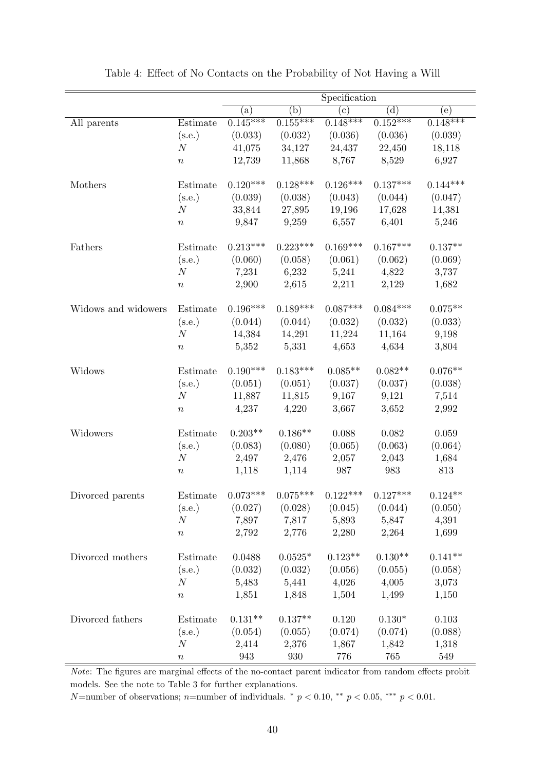|                     |                  | Specification |                  |            |                |            |
|---------------------|------------------|---------------|------------------|------------|----------------|------------|
|                     |                  | (a)           | $\overline{(b)}$ | (c)        | $\overline{d}$ | (e)        |
| All parents         | Estimate         | $0.145***$    | $0.155***$       | $0.148***$ | $0.152***$     | $0.148***$ |
|                     | (s.e.)           | (0.033)       | (0.032)          | (0.036)    | (0.036)        | (0.039)    |
|                     | $\boldsymbol{N}$ | 41,075        | 34,127           | 24,437     | 22,450         | 18,118     |
|                     | $\, n$           | 12,739        | 11,868           | 8,767      | 8,529          | 6,927      |
| Mothers             | Estimate         | $0.120***$    | $0.128***$       | $0.126***$ | $0.137***$     | $0.144***$ |
|                     | (s.e.)           | (0.039)       | (0.038)          | (0.043)    | (0.044)        | (0.047)    |
|                     | $\boldsymbol{N}$ | 33,844        | 27,895           | 19,196     | 17,628         | 14,381     |
|                     | $\, n$           | 9,847         | 9,259            | 6,557      | 6,401          | 5,246      |
| Fathers             | Estimate         | $0.213***$    | $0.223***$       | $0.169***$ | $0.167***$     | $0.137**$  |
|                     | (s.e.)           | (0.060)       | (0.058)          | (0.061)    | (0.062)        | (0.069)    |
|                     | N                | 7,231         | 6,232            | 5,241      | 4,822          | 3,737      |
|                     | $\, n$           | 2,900         | 2,615            | 2,211      | 2,129          | 1,682      |
| Widows and widowers | Estimate         | $0.196***$    | $0.189***$       | $0.087***$ | $0.084***$     | $0.075**$  |
|                     | (s.e.)           | (0.044)       | (0.044)          | (0.032)    | (0.032)        | (0.033)    |
|                     | $\boldsymbol{N}$ | 14,384        | 14,291           | 11,224     | 11,164         | 9,198      |
|                     | $\boldsymbol{n}$ | 5,352         | 5,331            | 4,653      | 4,634          | 3,804      |
| Widows              | Estimate         | $0.190***$    | $0.183***$       | $0.085**$  | $0.082**$      | $0.076**$  |
|                     | (s.e.)           | (0.051)       | (0.051)          | (0.037)    | (0.037)        | (0.038)    |
|                     | $\boldsymbol{N}$ | 11,887        | 11,815           | 9,167      | 9,121          | 7,514      |
|                     | $\, n$           | 4,237         | 4,220            | 3,667      | 3,652          | 2,992      |
| Widowers            | Estimate         | $0.203**$     | $0.186**$        | 0.088      | 0.082          | 0.059      |
|                     | (s.e.)           | (0.083)       | (0.080)          | (0.065)    | (0.063)        | (0.064)    |
|                     | $\boldsymbol{N}$ | 2,497         | 2,476            | 2,057      | 2,043          | 1,684      |
|                     | $\, n$           | 1,118         | 1,114            | 987        | 983            | 813        |
|                     |                  |               |                  |            |                |            |
| Divorced parents    | Estimate         | $0.073***$    | $0.075***$       | $0.122***$ | $0.127***$     | $0.124**$  |
|                     | (s.e.)           | (0.027)       | (0.028)          | (0.045)    | (0.044)        | (0.050)    |
|                     | $\cal N$         | 7,897         | 7,817            | 5,893      | 5,847          | 4,391      |
|                     | $\boldsymbol{n}$ | 2,792         | 2,776            | 2,280      | 2,264          | 1,699      |
| Divorced mothers    | Estimate         | 0.0488        | $0.0525*$        | $0.123**$  | $0.130**$      | $0.141**$  |
|                     | (s.e.)           | (0.032)       | (0.032)          | (0.056)    | (0.055)        | (0.058)    |
|                     | $\mathcal N$     | 5,483         | 5,441            | 4,026      | 4,005          | 3,073      |
|                     | $\boldsymbol{n}$ | 1,851         | 1,848            | 1,504      | 1,499          | 1,150      |
| Divorced fathers    | Estimate         | $0.131**$     | $0.137**$        | 0.120      | $0.130*$       | 0.103      |
|                     | (s.e.)           | (0.054)       | (0.055)          | (0.074)    | (0.074)        | (0.088)    |
|                     | $\cal N$         | 2,414         | 2,376            | 1,867      | 1,842          | 1,318      |
|                     | $\, n$           | 943           | 930              | 776        | 765            | 549        |

Table 4: Effect of No Contacts on the Probability of Not Having a Will

Note: The figures are marginal effects of the no-contact parent indicator from random effects probit models. See the note to Table 3 for further explanations.

N=number of observations; n=number of individuals.  $*$   $p < 0.10$ ,  $**$   $p < 0.05$ ,  $**$   $p < 0.01$ .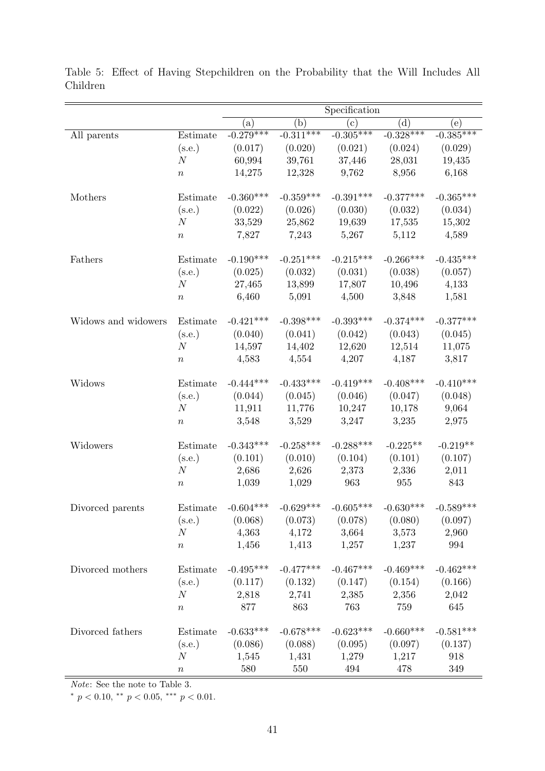|                     |                  | Specification        |                 |                                         |                    |             |
|---------------------|------------------|----------------------|-----------------|-----------------------------------------|--------------------|-------------|
|                     |                  | (a)                  | (b)             | (c)                                     | (d)                | (e)         |
| All parents         | Estimate         | $-0.279***$          | $-0.311***$     | $-0.305***$                             | $-0.328***$        | $-0.385***$ |
|                     | (s.e.)           | (0.017)              | (0.020)         | (0.021)                                 | (0.024)            | (0.029)     |
|                     | $\boldsymbol{N}$ | 60,994               | 39,761          | 37,446                                  | 28,031             | 19,435      |
|                     | $\boldsymbol{n}$ | 14,275               | 12,328          | 9,762                                   | 8,956              | 6,168       |
|                     |                  |                      |                 |                                         |                    |             |
| Mothers             | Estimate         | $-0.360***$          | $-0.359***$     | $-0.391***$                             | $-0.377***$        | $-0.365***$ |
|                     | (s.e.)           | (0.022)              | (0.026)         | (0.030)                                 | (0.032)            | (0.034)     |
|                     | $\boldsymbol{N}$ | 33,529               | 25,862          | 19,639                                  | 17,535             | 15,302      |
|                     | $\, n$           | 7,827                | 7,243           | 5,267                                   | 5,112              | 4,589       |
| Fathers             | Estimate         | $-0.190***$          | $-0.251***$     | $-0.215***$                             | $-0.266***$        | $-0.435***$ |
|                     | (s.e.)           | (0.025)              | (0.032)         | (0.031)                                 | (0.038)            | (0.057)     |
|                     | N                | 27,465               | 13,899          | 17,807                                  | 10,496             | 4,133       |
|                     | $\, n$           | 6,460                | 5,091           | 4,500                                   | 3,848              | 1,581       |
| Widows and widowers | Estimate         | $-0.421***$          | $-0.398***$     | $-0.393***$                             | $-0.374***$        | $-0.377***$ |
|                     | (s.e.)           | (0.040)              | (0.041)         | (0.042)                                 | (0.043)            | (0.045)     |
|                     | N                | 14,597               | 14,402          | 12,620                                  | 12,514             | 11,075      |
|                     |                  | 4,583                | 4,554           | 4,207                                   | 4,187              | 3,817       |
|                     | $\, n$           |                      |                 |                                         |                    |             |
| Widows              | Estimate         | $-0.444***$          | $-0.433***$     | $-0.419***$                             | $-0.408***$        | $-0.410***$ |
|                     | (s.e.)           | (0.044)              | (0.045)         | (0.046)                                 | (0.047)            | (0.048)     |
|                     | N                | 11,911               | 11,776          | 10,247                                  | 10,178             | 9,064       |
|                     | $\, n$           | 3,548                | 3,529           | 3,247                                   | 3,235              | 2,975       |
| Widowers            | Estimate         | $-0.343***$          | $-0.258***$     | $-0.288***$                             | $-0.225**$         | $-0.219**$  |
|                     | (s.e.)           | (0.101)              | (0.010)         | (0.104)                                 | (0.101)            | (0.107)     |
|                     | N                | 2,686                | 2,626           | 2,373                                   | 2,336              | 2,011       |
|                     | $\boldsymbol{n}$ | 1,039                | 1,029           | 963                                     | $\boldsymbol{955}$ | 843         |
|                     |                  |                      |                 |                                         |                    |             |
| Divorced parents    |                  | Estimate $-0.604***$ | $-0.629***$     | $-0.605***$                             | $-0.630***$        | $-0.589***$ |
|                     | (s.e.)           |                      |                 | $(0.068)$ $(0.073)$ $(0.078)$           | (0.080)            | (0.097)     |
|                     | N                | 4,363                | $4,172$ $3,664$ |                                         | 3,573              | 2,960       |
|                     | $\, n$           | 1,456                | 1,413           |                                         | $1,257$ $1,237$    | 994         |
| Divorced mothers    | Estimate         | $-0.495***$          | $-0.477***$     | $-0.467***$                             | $-0.469***$        | $-0.462***$ |
|                     | (s.e.)           |                      |                 | $(0.117)$ $(0.132)$ $(0.147)$ $(0.154)$ |                    | (0.166)     |
|                     | N                |                      |                 | 2,818 2,741 2,385 2,356                 |                    | 2,042       |
|                     | $\, n$           | 877                  | 863             | 763                                     | 759                | 645         |
|                     |                  |                      |                 |                                         |                    |             |
| Divorced fathers    | Estimate         | $-0.633***$          | $-0.678***$     | $-0.623***$                             | $-0.660***$        | $-0.581***$ |
|                     | (s.e.)           |                      |                 | $(0.086)$ $(0.088)$ $(0.095)$ $(0.097)$ |                    | (0.137)     |
|                     | N                | 1,545                | $1,431$ $1,279$ |                                         | 1,217              | 918         |
|                     | $\, n$           | 580                  | 550             | 494                                     | 478                | 349         |

Table 5: Effect of Having Stepchildren on the Probability that the Will Includes All Children

Note: See the note to Table 3.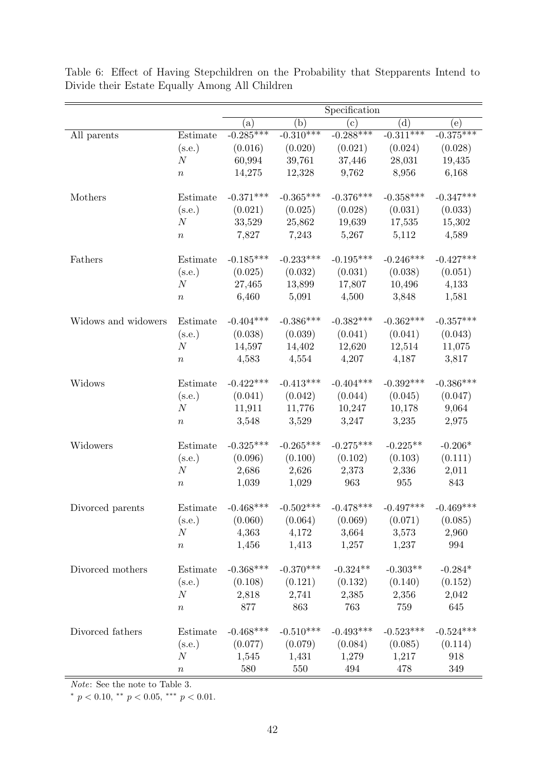|                     |                  | Specification        |                 |                                         |                    |             |
|---------------------|------------------|----------------------|-----------------|-----------------------------------------|--------------------|-------------|
|                     |                  | (a)                  | (b)             | (c)                                     | (d)                | (e)         |
| All parents         | Estimate         | $-0.285***$          | $-0.310***$     | $-0.288***$                             | $-0.311***$        | $-0.375***$ |
|                     | (s.e.)           | (0.016)              | (0.020)         | (0.021)                                 | (0.024)            | (0.028)     |
|                     | $\boldsymbol{N}$ | 60,994               | 39,761          | 37,446                                  | 28,031             | 19,435      |
|                     | $\boldsymbol{n}$ | 14,275               | 12,328          | 9,762                                   | 8,956              | 6,168       |
|                     |                  |                      |                 |                                         |                    |             |
| Mothers             | Estimate         | $-0.371***$          | $-0.365***$     | $-0.376***$                             | $-0.358***$        | $-0.347***$ |
|                     | (s.e.)           | (0.021)              | (0.025)         | (0.028)                                 | (0.031)            | (0.033)     |
|                     | N                | 33,529               | 25,862          | 19,639                                  | 17,535             | 15,302      |
|                     | $\, n$           | 7,827                | 7,243           | 5,267                                   | 5,112              | 4,589       |
| Fathers             | Estimate         | $-0.185***$          | $-0.233***$     | $-0.195***$                             | $-0.246***$        | $-0.427***$ |
|                     | (s.e.)           | (0.025)              | (0.032)         | (0.031)                                 | (0.038)            | (0.051)     |
|                     | $\boldsymbol{N}$ | 27,465               | 13,899          | 17,807                                  | 10,496             | 4,133       |
|                     | $\, n$           | 6,460                | 5,091           | 4,500                                   | 3,848              | 1,581       |
| Widows and widowers | Estimate         | $-0.404***$          | $-0.386***$     | $-0.382***$                             | $-0.362***$        | $-0.357***$ |
|                     | (s.e.)           | (0.038)              | (0.039)         | (0.041)                                 | (0.041)            | (0.043)     |
|                     | $\cal N$         | 14,597               | 14,402          | 12,620                                  | 12,514             | 11,075      |
|                     | $\, n$           | 4,583                | 4,554           | 4,207                                   | 4,187              | 3,817       |
|                     |                  |                      |                 |                                         |                    |             |
| Widows              | Estimate         | $-0.422***$          | $-0.413***$     | $-0.404***$                             | $-0.392***$        | $-0.386***$ |
|                     | (s.e.)           | (0.041)              | (0.042)         | (0.044)                                 | (0.045)            | (0.047)     |
|                     | N                | 11,911               | 11,776          | 10,247                                  | 10,178             | 9,064       |
|                     | $\, n$           | 3,548                | 3,529           | 3,247                                   | 3,235              | 2,975       |
| Widowers            | Estimate         | $-0.325***$          | $-0.265***$     | $-0.275***$                             | $-0.225**$         | $-0.206*$   |
|                     | (s.e.)           | (0.096)              | (0.100)         | (0.102)                                 | (0.103)            | (0.111)     |
|                     | $\boldsymbol{N}$ | 2,686                | 2,626           | 2,373                                   | 2,336              | 2,011       |
|                     | $\boldsymbol{n}$ | 1,039                | 1,029           | 963                                     | $\boldsymbol{955}$ | 843         |
|                     |                  |                      |                 |                                         |                    |             |
| Divorced parents    |                  | Estimate $-0.468***$ | $-0.502***$     | $-0.478***$                             | $-0.497***$        | $-0.469***$ |
|                     | (s.e.)           |                      |                 | $(0.060)$ $(0.064)$ $(0.069)$           | (0.071)            | (0.085)     |
|                     | N                | 4,363                | $4,172$ $3,664$ |                                         | 3,573              | 2,960       |
|                     | $\, n$           | 1,456                | 1,413           | 1,257                                   | 1,237              | 994         |
| Divorced mothers    | Estimate         | $-0.368***$          | $-0.370***$     | $-0.324**$                              | $-0.303**$         | $-0.284*$   |
|                     | (s.e.)           |                      |                 | $(0.108)$ $(0.121)$ $(0.132)$ $(0.140)$ |                    | (0.152)     |
|                     | N                |                      |                 | 2,818 2,741 2,385 2,356                 |                    | 2,042       |
|                     | $\, n$           | 877                  | 863             | 763                                     | 759                | 645         |
| Divorced fathers    | Estimate         | $-0.468***$          | $-0.510***$     | $-0.493***$                             | $-0.523***$        | $-0.524***$ |
|                     | (s.e.)           |                      |                 | $(0.077)$ $(0.079)$ $(0.084)$ $(0.085)$ |                    | (0.114)     |
|                     | $\boldsymbol{N}$ | 1,545                | 1,431           | $1,279$ $1,217$                         |                    | 918         |
|                     | $\, n$           | 580                  | 550             | 494                                     | 478                | 349         |
|                     |                  |                      |                 |                                         |                    |             |

Table 6: Effect of Having Stepchildren on the Probability that Stepparents Intend to Divide their Estate Equally Among All Children

 $\overline{\it Note:}$  See the note to Table 3.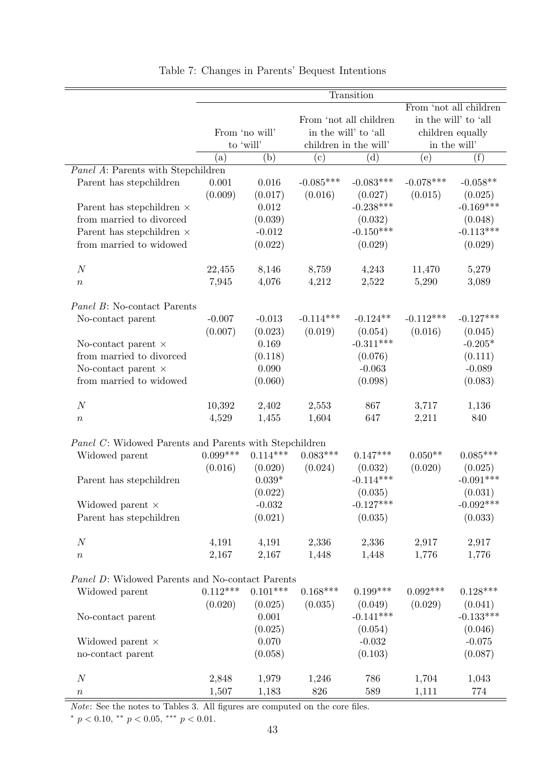|                                                              |            |                |             | Transition             |             |                        |
|--------------------------------------------------------------|------------|----------------|-------------|------------------------|-------------|------------------------|
|                                                              |            |                |             |                        |             | From 'not all children |
|                                                              |            |                |             | From 'not all children |             | in the will' to 'all   |
|                                                              |            | From 'no will' |             | in the will' to 'all   |             | children equally       |
|                                                              |            | to 'will'      |             | children in the will'  |             | in the will'           |
|                                                              | (a)        | (b)            | (c)         | (d)                    | (e)         | (f)                    |
| Panel A: Parents with Stepchildren                           |            |                |             |                        |             |                        |
| Parent has stepchildren                                      | 0.001      | 0.016          | $-0.085***$ | $-0.083***$            | $-0.078***$ | $-0.058**$             |
|                                                              | (0.009)    | (0.017)        | (0.016)     | (0.027)                | (0.015)     | (0.025)                |
|                                                              |            | 0.012          |             | $-0.238***$            |             | $-0.169***$            |
| Parent has stepchildren $\times$<br>from married to divorced |            |                |             |                        |             |                        |
|                                                              |            | (0.039)        |             | (0.032)                |             | (0.048)                |
| Parent has stepchildren $\times$                             |            | $-0.012$       |             | $-0.150***$            |             | $-0.113***$            |
| from married to widowed                                      |            | (0.022)        |             | (0.029)                |             | (0.029)                |
| $\boldsymbol{N}$                                             | 22,455     | 8,146          | 8,759       | 4,243                  | 11,470      | 5,279                  |
| $\, n$                                                       | 7,945      | 4,076          | 4,212       | 2,522                  | 5,290       | 3,089                  |
| Panel B: No-contact Parents                                  |            |                |             |                        |             |                        |
| No-contact parent                                            | $-0.007$   | $-0.013$       | $-0.114***$ | $-0.124**$             | $-0.112***$ | $-0.127***$            |
|                                                              | (0.007)    | (0.023)        | (0.019)     | (0.054)                | (0.016)     | (0.045)                |
| No-contact parent $\times$                                   |            | 0.169          |             | $-0.311***$            |             | $-0.205*$              |
| from married to divorced                                     |            | (0.118)        |             | (0.076)                |             | (0.111)                |
| No-contact parent $\times$                                   |            | 0.090          |             | $-0.063$               |             | $-0.089$               |
| from married to widowed                                      |            | (0.060)        |             | (0.098)                |             | (0.083)                |
|                                                              |            |                |             |                        |             |                        |
| $\boldsymbol{N}$                                             | 10,392     | 2,402          | 2,553       | 867                    | 3,717       | 1,136                  |
| $\, n$                                                       | 4,529      | 1,455          | 1,604       | 647                    | 2,211       | 840                    |
|                                                              |            |                |             |                        |             |                        |
| Panel C: Widowed Parents and Parents with Stepchildren       |            |                |             |                        |             |                        |
| Widowed parent                                               | $0.099***$ | $0.114***$     | $0.083***$  | $0.147***$             | $0.050**$   | $0.085***$             |
|                                                              | (0.016)    | (0.020)        | (0.024)     | (0.032)                | (0.020)     | (0.025)                |
| Parent has stepchildren                                      |            | $0.039*$       |             | $-0.114***$            |             | $-0.091***$            |
|                                                              |            | (0.022)        |             | (0.035)                |             | (0.031)                |
| Widowed parent $\times$                                      |            | $-0.032$       |             | $-0.127***$            |             | $-0.092***$            |
| Parent has stepchildren                                      |            | (0.021)        |             | (0.035)                |             | (0.033)                |
| $\cal N$                                                     | 4,191      | 4,191          | 2,336       | 2,336                  | 2,917       | 2,917                  |
| $\, n$                                                       | 2,167      | 2,167          | 1,448       | 1,448                  | 1,776       | 1,776                  |
| Panel D: Widowed Parents and No-contact Parents              |            |                |             |                        |             |                        |
| Widowed parent                                               | $0.112***$ | $0.101***$     | $0.168***$  | $0.199***$             | $0.092***$  | $0.128***$             |
|                                                              | (0.020)    | (0.025)        | (0.035)     | (0.049)                | (0.029)     | (0.041)                |
| No-contact parent                                            |            | 0.001          |             | $-0.141***$            |             | $-0.133***$            |
|                                                              |            | (0.025)        |             | (0.054)                |             | (0.046)                |
| Widowed parent ×                                             |            | 0.070          |             | $-0.032$               |             | $-0.075$               |
| no-contact parent                                            |            | (0.058)        |             | (0.103)                |             | (0.087)                |
|                                                              |            |                |             |                        |             |                        |
| $\boldsymbol{N}$                                             | 2,848      | 1,979          | 1,246       | 786                    | 1,704       | 1,043                  |
| $\, n$                                                       | 1,507      | 1,183          | 826         | 589                    | 1,111       | 774                    |

Table 7: Changes in Parents' Bequest Intentions

Note: See the notes to Tables 3. All figures are computed on the core files.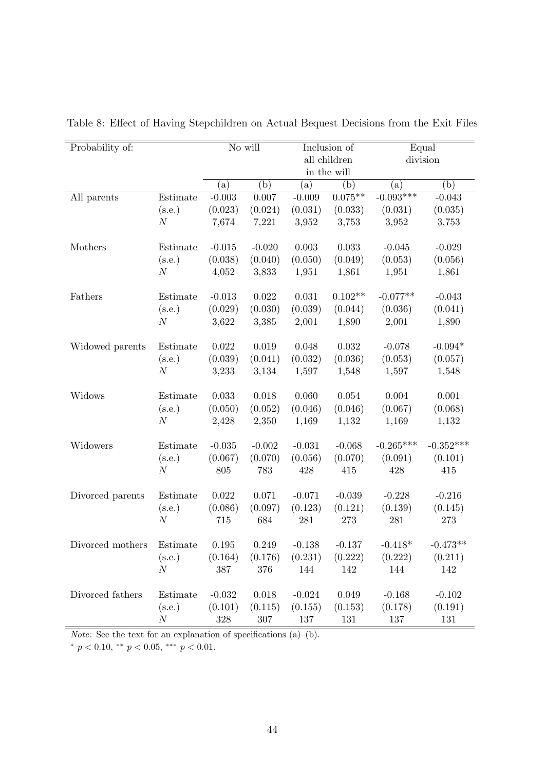| Probability of:  |                                             |          | No will     |              | Inclusion of |             | Equal<br>division<br>(b)<br>(a)<br>$-0.043$<br>(0.035)<br>3,753<br>$-0.029$<br>(0.056)<br>1,861<br>$-0.043$<br>(0.041)<br>1,890<br>$-0.094*$<br>(0.057)<br>1,548<br>0.001<br>(0.068) |  |
|------------------|---------------------------------------------|----------|-------------|--------------|--------------|-------------|--------------------------------------------------------------------------------------------------------------------------------------------------------------------------------------|--|
|                  |                                             |          |             | all children |              |             |                                                                                                                                                                                      |  |
|                  |                                             |          |             |              | in the will  |             |                                                                                                                                                                                      |  |
|                  |                                             | (a)      | (b)         | (a)          | (b)          |             |                                                                                                                                                                                      |  |
| All parents      | Estimate                                    | $-0.003$ | 0.007       | $-0.009$     | $0.075***$   | $-0.093***$ |                                                                                                                                                                                      |  |
|                  | (s.e.)                                      | (0.023)  | (0.024)     | (0.031)      | (0.033)      | (0.031)     |                                                                                                                                                                                      |  |
|                  | N                                           | 7,674    | 7,221       | 3,952        | 3,753        | 3,952       |                                                                                                                                                                                      |  |
| Mothers          | Estimate                                    | $-0.015$ | $-0.020$    | $0.003\,$    | 0.033        | $-0.045$    |                                                                                                                                                                                      |  |
|                  | (s.e.)                                      | (0.038)  | (0.040)     | (0.050)      | (0.049)      | (0.053)     |                                                                                                                                                                                      |  |
|                  | $\boldsymbol{N}$                            | 4,052    | 3,833       | 1,951        | 1,861        | 1,951       |                                                                                                                                                                                      |  |
| Fathers          | Estimate                                    | $-0.013$ | $\,0.022\,$ | 0.031        | $0.102**$    | $-0.077**$  |                                                                                                                                                                                      |  |
|                  | (s.e.)                                      | (0.029)  | (0.030)     | (0.039)      | (0.044)      | (0.036)     |                                                                                                                                                                                      |  |
|                  | $\boldsymbol{N}$                            | 3,622    | 3,385       | 2,001        | 1,890        | 2,001       |                                                                                                                                                                                      |  |
| Widowed parents  | Estimate                                    | 0.022    | $\,0.019\,$ | 0.048        | $\,0.032\,$  | $-0.078$    |                                                                                                                                                                                      |  |
|                  | (s.e.)                                      | (0.039)  | (0.041)     | (0.032)      | (0.036)      | (0.053)     |                                                                                                                                                                                      |  |
|                  | $\boldsymbol{N}$                            | 3,233    | 3,134       | 1,597        | 1,548        | 1,597       |                                                                                                                                                                                      |  |
| Widows           | Estimate                                    | 0.033    | 0.018       | 0.060        | 0.054        | 0.004       |                                                                                                                                                                                      |  |
|                  | (s.e.)                                      | (0.050)  | (0.052)     | (0.046)      | (0.046)      | (0.067)     |                                                                                                                                                                                      |  |
|                  | $\boldsymbol{N}$                            | 2,428    | 2,350       | 1,169        | 1,132        | 1,169       | 1,132                                                                                                                                                                                |  |
| Widowers         | Estimate                                    | $-0.035$ | $-0.002$    | $-0.031$     | $-0.068$     | $-0.265***$ | $-0.352***$                                                                                                                                                                          |  |
|                  | (s.e.)                                      | (0.067)  | (0.070)     | (0.056)      | (0.070)      | (0.091)     | (0.101)                                                                                                                                                                              |  |
|                  | $\boldsymbol{N}$                            | 805      | 783         | 428          | 415          | 428         | 415                                                                                                                                                                                  |  |
| Divorced parents | Estimate                                    | 0.022    | 0.071       | $-0.071$     | $-0.039$     | $-0.228$    | $-0.216$                                                                                                                                                                             |  |
|                  | (s.e.)                                      | (0.086)  | (0.097)     | (0.123)      | (0.121)      | (0.139)     | (0.145)                                                                                                                                                                              |  |
|                  | $\boldsymbol{N}$                            | 715      | 684         | 281          | 273          | 281         | 273                                                                                                                                                                                  |  |
| Divorced mothers | Estimate                                    | 0.195    | 0.249       | $-0.138$     | $-0.137$     | $-0.418*$   | $-0.473**$                                                                                                                                                                           |  |
|                  | (s.e.)                                      | (0.164)  | (0.176)     | (0.231)      | (0.222)      | (0.222)     | (0.211)                                                                                                                                                                              |  |
|                  | $\cal N$                                    | 387      | 376         | 144          | 142          | 144         | 142                                                                                                                                                                                  |  |
| Divorced fathers | $\begin{array}{c} \rm Estimate \end{array}$ | $-0.032$ | 0.018       | $-0.024$     | $0.049\,$    | $-0.168$    | $-0.102$                                                                                                                                                                             |  |
|                  | (s.e.)                                      | (0.101)  | (0.115)     | (0.155)      | (0.153)      | (0.178)     | (0.191)                                                                                                                                                                              |  |
|                  | $\boldsymbol{N}$                            | 328      | 307         | 137          | 131          | 137         | 131                                                                                                                                                                                  |  |

Table 8: Effect of Having Stepchildren on Actual Bequest Decisions from the Exit Files

*Note:* See the text for an explanation of specifications  $(a)$ – $(b)$ .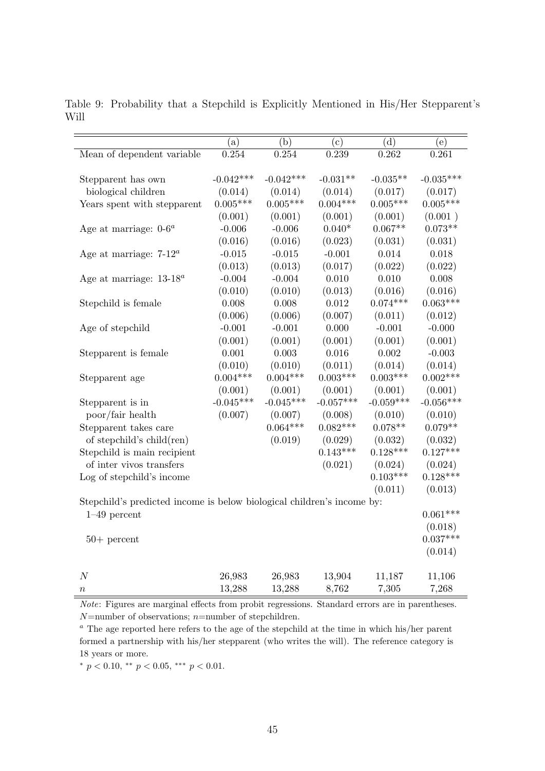|                                                                        | (a)         | (b)         | (c)         | (d)         | (e)         |
|------------------------------------------------------------------------|-------------|-------------|-------------|-------------|-------------|
| Mean of dependent variable                                             | 0.254       | 0.254       | 0.239       | 0.262       | 0.261       |
|                                                                        |             |             |             |             |             |
| Stepparent has own                                                     | $-0.042***$ | $-0.042***$ | $-0.031**$  | $-0.035**$  | $-0.035***$ |
| biological children                                                    | (0.014)     | (0.014)     | (0.014)     | (0.017)     | (0.017)     |
| Years spent with stepparent                                            | $0.005***$  | $0.005***$  | $0.004***$  | $0.005***$  | $0.005***$  |
|                                                                        | (0.001)     | (0.001)     | (0.001)     | (0.001)     | (0.001)     |
| Age at marriage: $0-6^a$                                               | $-0.006$    | $-0.006$    | $0.040*$    | $0.067**$   | $0.073**$   |
|                                                                        | (0.016)     | (0.016)     | (0.023)     | (0.031)     | (0.031)     |
| Age at marriage: $7-12^a$                                              | $-0.015$    | $-0.015$    | $-0.001$    | 0.014       | 0.018       |
|                                                                        | (0.013)     | (0.013)     | (0.017)     | (0.022)     | (0.022)     |
| Age at marriage: $13-18^a$                                             | $-0.004$    | $-0.004$    | 0.010       | 0.010       | 0.008       |
|                                                                        | (0.010)     | (0.010)     | (0.013)     | (0.016)     | (0.016)     |
| Stepchild is female                                                    | 0.008       | 0.008       | 0.012       | $0.074***$  | $0.063***$  |
|                                                                        | (0.006)     | (0.006)     | (0.007)     | (0.011)     | (0.012)     |
| Age of stepchild                                                       | $-0.001$    | $-0.001$    | 0.000       | $-0.001$    | $-0.000$    |
|                                                                        | (0.001)     | (0.001)     | (0.001)     | (0.001)     | (0.001)     |
| Stepparent is female                                                   | 0.001       | 0.003       | 0.016       | 0.002       | $-0.003$    |
|                                                                        | (0.010)     | (0.010)     | (0.011)     | (0.014)     | (0.014)     |
| Stepparent age                                                         | $0.004***$  | $0.004***$  | $0.003***$  | $0.003***$  | $0.002***$  |
|                                                                        | (0.001)     | (0.001)     | (0.001)     | (0.001)     | (0.001)     |
| Stepparent is in                                                       | $-0.045***$ | $-0.045***$ | $-0.057***$ | $-0.059***$ | $-0.056***$ |
| poor/fair health                                                       | (0.007)     | (0.007)     | (0.008)     | (0.010)     | (0.010)     |
| Stepparent takes care                                                  |             | $0.064***$  | $0.082***$  | $0.078**$   | $0.079**$   |
| of stepchild's child(ren)                                              |             | (0.019)     | (0.029)     | (0.032)     | (0.032)     |
| Stepchild is main recipient                                            |             |             | $0.143***$  | $0.128***$  | $0.127***$  |
| of inter vivos transfers                                               |             |             | (0.021)     | (0.024)     | (0.024)     |
| Log of stepchild's income                                              |             |             |             | $0.103***$  | $0.128***$  |
|                                                                        |             |             |             | (0.011)     | (0.013)     |
| Stepchild's predicted income is below biological children's income by: |             |             |             |             |             |
| $1-49$ percent                                                         |             |             |             |             | $0.061***$  |
|                                                                        |             |             |             |             | (0.018)     |
| $50+$ percent                                                          |             |             |             |             | $0.037***$  |
|                                                                        |             |             |             |             | (0.014)     |
| $\cal N$                                                               | 26,983      | 26,983      | 13,904      | 11,187      | 11,106      |
| $\it{n}$                                                               | 13,288      | 13,288      | 8,762       | 7,305       | 7,268       |
|                                                                        |             |             |             |             |             |

Table 9: Probability that a Stepchild is Explicitly Mentioned in His/Her Stepparent's Will

Note: Figures are marginal effects from probit regressions. Standard errors are in parentheses.  $N$ =number of observations; n=number of stepchildren.

 $a$  The age reported here refers to the age of the stepchild at the time in which his/her parent formed a partnership with his/her stepparent (who writes the will). The reference category is 18 years or more.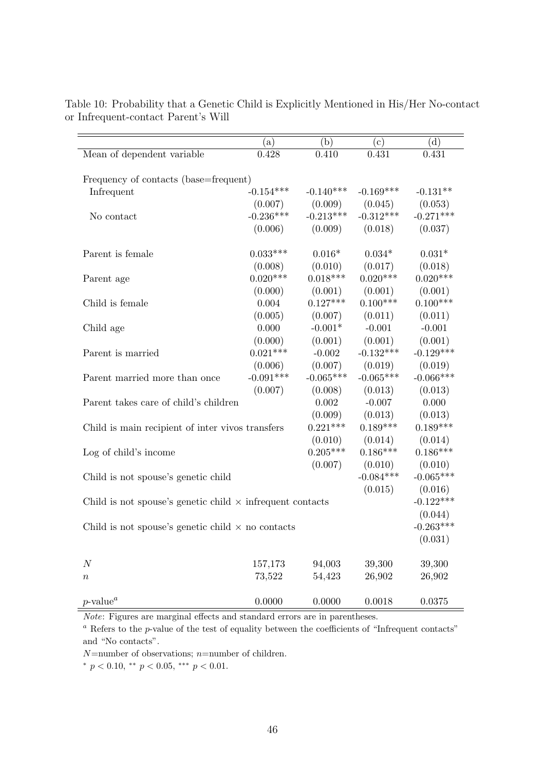|                                                                  | (a)         | (b)         | (c)         | (d)         |  |  |  |
|------------------------------------------------------------------|-------------|-------------|-------------|-------------|--|--|--|
| Mean of dependent variable                                       | 0.428       | 0.410       | 0.431       | 0.431       |  |  |  |
|                                                                  |             |             |             |             |  |  |  |
| Frequency of contacts (base=frequent)                            |             |             |             |             |  |  |  |
| Infrequent                                                       | $-0.154***$ | $-0.140***$ | $-0.169***$ | $-0.131**$  |  |  |  |
|                                                                  | (0.007)     | (0.009)     | (0.045)     | (0.053)     |  |  |  |
| No contact                                                       | $-0.236***$ | $-0.213***$ | $-0.312***$ | $-0.271***$ |  |  |  |
|                                                                  | (0.006)     | (0.009)     | (0.018)     | (0.037)     |  |  |  |
|                                                                  |             |             |             |             |  |  |  |
| Parent is female                                                 | $0.033***$  | $0.016*$    | $0.034*$    | $0.031*$    |  |  |  |
|                                                                  | (0.008)     | (0.010)     | (0.017)     | (0.018)     |  |  |  |
| Parent age                                                       | $0.020***$  | $0.018***$  | $0.020***$  | $0.020***$  |  |  |  |
|                                                                  | (0.000)     | (0.001)     | (0.001)     | (0.001)     |  |  |  |
| Child is female                                                  | 0.004       | $0.127***$  | $0.100***$  | $0.100***$  |  |  |  |
|                                                                  | (0.005)     | (0.007)     | (0.011)     | (0.011)     |  |  |  |
| Child age                                                        | 0.000       | $-0.001*$   | $-0.001$    | $-0.001$    |  |  |  |
|                                                                  | (0.000)     | (0.001)     | (0.001)     | (0.001)     |  |  |  |
| Parent is married                                                | $0.021***$  | $-0.002$    | $-0.132***$ | $-0.129***$ |  |  |  |
|                                                                  | (0.006)     | (0.007)     | (0.019)     | (0.019)     |  |  |  |
| Parent married more than once                                    | $-0.091***$ | $-0.065***$ | $-0.065***$ | $-0.066***$ |  |  |  |
|                                                                  | (0.007)     | (0.008)     | (0.013)     | (0.013)     |  |  |  |
| Parent takes care of child's children                            |             | 0.002       | $-0.007$    | 0.000       |  |  |  |
|                                                                  |             | (0.009)     | (0.013)     | (0.013)     |  |  |  |
| Child is main recipient of inter vivos transfers                 |             | $0.221***$  | $0.189***$  | $0.189***$  |  |  |  |
|                                                                  |             | (0.010)     | (0.014)     | (0.014)     |  |  |  |
| Log of child's income                                            |             | $0.205***$  | $0.186***$  | $0.186***$  |  |  |  |
|                                                                  |             | (0.007)     | (0.010)     | (0.010)     |  |  |  |
| Child is not spouse's genetic child                              |             |             | $-0.084***$ | $-0.065***$ |  |  |  |
|                                                                  |             |             | (0.015)     | (0.016)     |  |  |  |
| Child is not spouse's genetic child $\times$ infrequent contacts |             |             |             | $-0.122***$ |  |  |  |
|                                                                  |             |             |             | (0.044)     |  |  |  |
| Child is not spouse's genetic child $\times$ no contacts         |             |             |             | $-0.263***$ |  |  |  |
|                                                                  |             |             |             | (0.031)     |  |  |  |
|                                                                  |             |             |             |             |  |  |  |
| $\boldsymbol{N}$                                                 | 157,173     | 94,003      | 39,300      | 39,300      |  |  |  |
| $\it n$                                                          | 73,522      | 54,423      | 26,902      | 26,902      |  |  |  |
|                                                                  |             |             |             |             |  |  |  |
| $p$ -value <sup><i>a</i></sup>                                   | 0.0000      | 0.0000      | 0.0018      | 0.0375      |  |  |  |

Table 10: Probability that a Genetic Child is Explicitly Mentioned in His/Her No-contact or Infrequent-contact Parent's Will

Note: Figures are marginal effects and standard errors are in parentheses.

 $a$  Refers to the p-value of the test of equality between the coefficients of "Infrequent contacts" and "No contacts".

 $N$ =number of observations;  $n$ =number of children.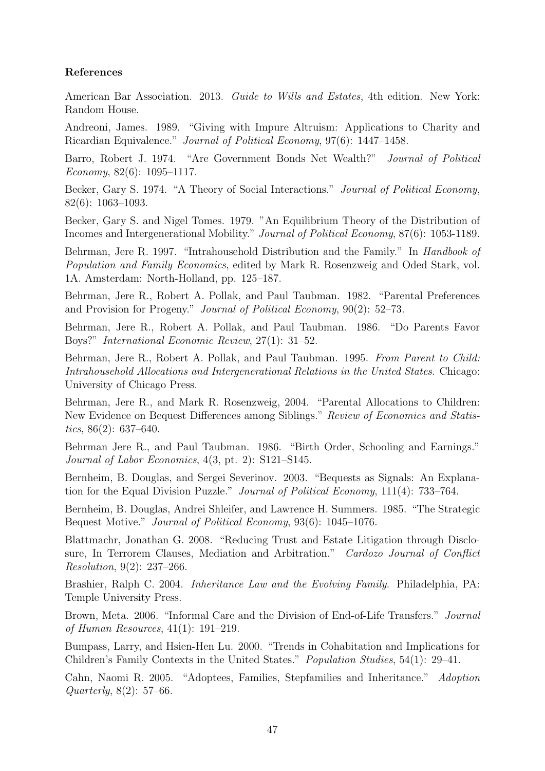#### References

American Bar Association. 2013. Guide to Wills and Estates, 4th edition. New York: Random House.

Andreoni, James. 1989. "Giving with Impure Altruism: Applications to Charity and Ricardian Equivalence." Journal of Political Economy, 97(6): 1447–1458.

Barro, Robert J. 1974. "Are Government Bonds Net Wealth?" Journal of Political Economy,  $82(6)$ : 1095–1117.

Becker, Gary S. 1974. "A Theory of Social Interactions." Journal of Political Economy, 82(6): 1063–1093.

Becker, Gary S. and Nigel Tomes. 1979. "An Equilibrium Theory of the Distribution of Incomes and Intergenerational Mobility." Journal of Political Economy, 87(6): 1053-1189.

Behrman, Jere R. 1997. "Intrahousehold Distribution and the Family." In *Handbook of* Population and Family Economics, edited by Mark R. Rosenzweig and Oded Stark, vol. 1A. Amsterdam: North-Holland, pp. 125–187.

Behrman, Jere R., Robert A. Pollak, and Paul Taubman. 1982. "Parental Preferences and Provision for Progeny." Journal of Political Economy, 90(2): 52–73.

Behrman, Jere R., Robert A. Pollak, and Paul Taubman. 1986. "Do Parents Favor Boys?" International Economic Review, 27(1): 31–52.

Behrman, Jere R., Robert A. Pollak, and Paul Taubman. 1995. From Parent to Child: Intrahousehold Allocations and Intergenerational Relations in the United States. Chicago: University of Chicago Press.

Behrman, Jere R., and Mark R. Rosenzweig, 2004. "Parental Allocations to Children: New Evidence on Bequest Differences among Siblings." Review of Economics and Statistics,  $86(2)$ : 637–640.

Behrman Jere R., and Paul Taubman. 1986. "Birth Order, Schooling and Earnings." Journal of Labor Economics, 4(3, pt. 2): S121–S145.

Bernheim, B. Douglas, and Sergei Severinov. 2003. "Bequests as Signals: An Explanation for the Equal Division Puzzle." Journal of Political Economy, 111(4): 733–764.

Bernheim, B. Douglas, Andrei Shleifer, and Lawrence H. Summers. 1985. "The Strategic Bequest Motive." Journal of Political Economy, 93(6): 1045–1076.

Blattmachr, Jonathan G. 2008. "Reducing Trust and Estate Litigation through Disclosure, In Terrorem Clauses, Mediation and Arbitration." Cardozo Journal of Conflict Resolution, 9(2): 237–266.

Brashier, Ralph C. 2004. Inheritance Law and the Evolving Family. Philadelphia, PA: Temple University Press.

Brown, Meta. 2006. "Informal Care and the Division of End-of-Life Transfers." Journal of Human Resources, 41(1): 191–219.

Bumpass, Larry, and Hsien-Hen Lu. 2000. "Trends in Cohabitation and Implications for Children's Family Contexts in the United States." Population Studies, 54(1): 29–41.

Cahn, Naomi R. 2005. "Adoptees, Families, Stepfamilies and Inheritance." Adoption Quarterly, 8(2): 57–66.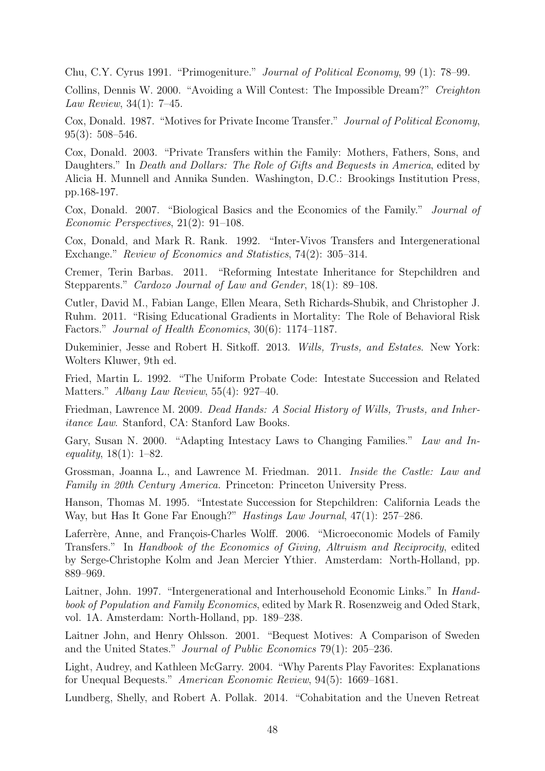Chu, C.Y. Cyrus 1991. "Primogeniture." Journal of Political Economy, 99 (1): 78–99.

Collins, Dennis W. 2000. "Avoiding a Will Contest: The Impossible Dream?" Creighton Law Review, 34(1): 7–45.

Cox, Donald. 1987. "Motives for Private Income Transfer." Journal of Political Economy, 95(3): 508–546.

Cox, Donald. 2003. "Private Transfers within the Family: Mothers, Fathers, Sons, and Daughters." In *Death and Dollars: The Role of Gifts and Bequests in America*, edited by Alicia H. Munnell and Annika Sunden. Washington, D.C.: Brookings Institution Press, pp.168-197.

Cox, Donald. 2007. "Biological Basics and the Economics of the Family." Journal of Economic Perspectives, 21(2): 91–108.

Cox, Donald, and Mark R. Rank. 1992. "Inter-Vivos Transfers and Intergenerational Exchange." *Review of Economics and Statistics*, 74(2): 305–314.

Cremer, Terin Barbas. 2011. "Reforming Intestate Inheritance for Stepchildren and Stepparents." Cardozo Journal of Law and Gender, 18(1): 89–108.

Cutler, David M., Fabian Lange, Ellen Meara, Seth Richards-Shubik, and Christopher J. Ruhm. 2011. "Rising Educational Gradients in Mortality: The Role of Behavioral Risk Factors." Journal of Health Economics, 30(6): 1174–1187.

Dukeminier, Jesse and Robert H. Sitkoff. 2013. Wills, Trusts, and Estates. New York: Wolters Kluwer, 9th ed.

Fried, Martin L. 1992. "The Uniform Probate Code: Intestate Succession and Related Matters." Albany Law Review, 55(4): 927–40.

Friedman, Lawrence M. 2009. Dead Hands: A Social History of Wills, Trusts, and Inheritance Law. Stanford, CA: Stanford Law Books.

Gary, Susan N. 2000. "Adapting Intestacy Laws to Changing Families." Law and Inequality,  $18(1)$ :  $1-82$ .

Grossman, Joanna L., and Lawrence M. Friedman. 2011. Inside the Castle: Law and Family in 20th Century America. Princeton: Princeton University Press.

Hanson, Thomas M. 1995. "Intestate Succession for Stepchildren: California Leads the Way, but Has It Gone Far Enough?" Hastings Law Journal, 47(1): 257–286.

Laferrère, Anne, and François-Charles Wolff. 2006. "Microeconomic Models of Family Transfers." In Handbook of the Economics of Giving, Altruism and Reciprocity, edited by Serge-Christophe Kolm and Jean Mercier Ythier. Amsterdam: North-Holland, pp. 889–969.

Laitner, John. 1997. "Intergenerational and Interhousehold Economic Links." In Handbook of Population and Family Economics, edited by Mark R. Rosenzweig and Oded Stark, vol. 1A. Amsterdam: North-Holland, pp. 189–238.

Laitner John, and Henry Ohlsson. 2001. "Bequest Motives: A Comparison of Sweden and the United States." Journal of Public Economics 79(1): 205–236.

Light, Audrey, and Kathleen McGarry. 2004. "Why Parents Play Favorites: Explanations for Unequal Bequests." American Economic Review, 94(5): 1669–1681.

Lundberg, Shelly, and Robert A. Pollak. 2014. "Cohabitation and the Uneven Retreat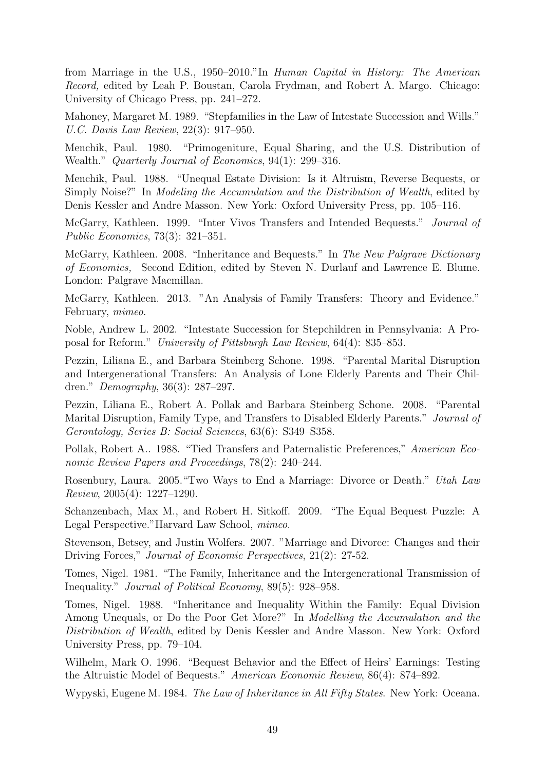from Marriage in the U.S., 1950–2010."In Human Capital in History: The American Record, edited by Leah P. Boustan, Carola Frydman, and Robert A. Margo. Chicago: University of Chicago Press, pp. 241–272.

Mahoney, Margaret M. 1989. "Stepfamilies in the Law of Intestate Succession and Wills." U.C. Davis Law Review, 22(3): 917–950.

Menchik, Paul. 1980. "Primogeniture, Equal Sharing, and the U.S. Distribution of Wealth." *Quarterly Journal of Economics*, 94(1): 299–316.

Menchik, Paul. 1988. "Unequal Estate Division: Is it Altruism, Reverse Bequests, or Simply Noise?" In Modeling the Accumulation and the Distribution of Wealth, edited by Denis Kessler and Andre Masson. New York: Oxford University Press, pp. 105–116.

McGarry, Kathleen. 1999. "Inter Vivos Transfers and Intended Bequests." Journal of Public Economics, 73(3): 321–351.

McGarry, Kathleen. 2008. "Inheritance and Bequests." In The New Palgrave Dictionary of Economics, Second Edition, edited by Steven N. Durlauf and Lawrence E. Blume. London: Palgrave Macmillan.

McGarry, Kathleen. 2013. "An Analysis of Family Transfers: Theory and Evidence." February, mimeo.

Noble, Andrew L. 2002. "Intestate Succession for Stepchildren in Pennsylvania: A Proposal for Reform." University of Pittsburgh Law Review, 64(4): 835–853.

Pezzin, Liliana E., and Barbara Steinberg Schone. 1998. "Parental Marital Disruption and Intergenerational Transfers: An Analysis of Lone Elderly Parents and Their Children." Demography, 36(3): 287–297.

Pezzin, Liliana E., Robert A. Pollak and Barbara Steinberg Schone. 2008. "Parental Marital Disruption, Family Type, and Transfers to Disabled Elderly Parents." Journal of Gerontology, Series B: Social Sciences, 63(6): S349–S358.

Pollak, Robert A.. 1988. "Tied Transfers and Paternalistic Preferences," American Economic Review Papers and Proceedings, 78(2): 240–244.

Rosenbury, Laura. 2005."Two Ways to End a Marriage: Divorce or Death." Utah Law Review, 2005(4): 1227–1290.

Schanzenbach, Max M., and Robert H. Sitkoff. 2009. "The Equal Bequest Puzzle: A Legal Perspective."Harvard Law School, mimeo.

Stevenson, Betsey, and Justin Wolfers. 2007. "Marriage and Divorce: Changes and their Driving Forces," Journal of Economic Perspectives, 21(2): 27-52.

Tomes, Nigel. 1981. "The Family, Inheritance and the Intergenerational Transmission of Inequality." Journal of Political Economy, 89(5): 928–958.

Tomes, Nigel. 1988. "Inheritance and Inequality Within the Family: Equal Division Among Unequals, or Do the Poor Get More?" In Modelling the Accumulation and the Distribution of Wealth, edited by Denis Kessler and Andre Masson. New York: Oxford University Press, pp. 79–104.

Wilhelm, Mark O. 1996. "Bequest Behavior and the Effect of Heirs' Earnings: Testing the Altruistic Model of Bequests." American Economic Review, 86(4): 874–892.

Wypyski, Eugene M. 1984. *The Law of Inheritance in All Fifty States*. New York: Oceana.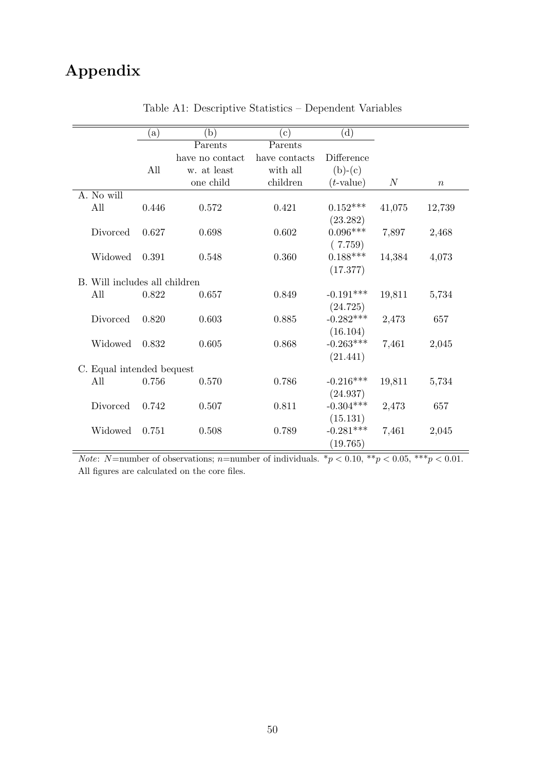## Appendix

|                               | (a)   | (b)             | $(\rm c)$     | (d)             |        |                  |
|-------------------------------|-------|-----------------|---------------|-----------------|--------|------------------|
|                               |       | Parents         | Parents       |                 |        |                  |
|                               |       | have no contact | have contacts | Difference      |        |                  |
|                               | All   | w. at least     | with all      | $(b)-(c)$       |        |                  |
|                               |       | one child       | children      | $(t$ -value)    | N      | $\boldsymbol{n}$ |
| A. No will                    |       |                 |               |                 |        |                  |
| All                           | 0.446 | 0.572           | 0.421         | $0.152^{***}\,$ | 41,075 | 12,739           |
|                               |       |                 |               | (23.282)        |        |                  |
| Divorced                      | 0.627 | 0.698           | 0.602         | $0.096***$      | 7,897  | 2,468            |
|                               |       |                 |               | (7.759)         |        |                  |
| Widowed                       | 0.391 | 0.548           | 0.360         | $0.188***$      | 14,384 | 4,073            |
|                               |       |                 |               | (17.377)        |        |                  |
| B. Will includes all children |       |                 |               |                 |        |                  |
| All                           | 0.822 | 0.657           | 0.849         | $-0.191***$     | 19,811 | 5,734            |
|                               |       |                 |               | (24.725)        |        |                  |
| Divorced                      | 0.820 | 0.603           | 0.885         | $-0.282***$     | 2,473  | 657              |
|                               |       |                 |               | (16.104)        |        |                  |
| Widowed                       | 0.832 | 0.605           | 0.868         | $-0.263***$     | 7,461  | 2,045            |
|                               |       |                 |               | (21.441)        |        |                  |
| C. Equal intended bequest     |       |                 |               |                 |        |                  |
| All                           | 0.756 | 0.570           | 0.786         | $-0.216***$     | 19,811 | 5,734            |
|                               |       |                 |               | (24.937)        |        |                  |
| Divorced                      | 0.742 | 0.507           | 0.811         | $-0.304***$     | 2,473  | 657              |
|                               |       |                 |               | (15.131)        |        |                  |
| Widowed                       | 0.751 | 0.508           | 0.789         | $-0.281***$     | 7,461  | 2,045            |
|                               |       |                 |               | (19.765)        |        |                  |

Table A1: Descriptive Statistics – Dependent Variables

*Note:* N=number of observations; n=number of individuals.  $*_p$  < 0.10,  $*_p$  < 0.05,  $**_p$  < 0.01. All figures are calculated on the core files.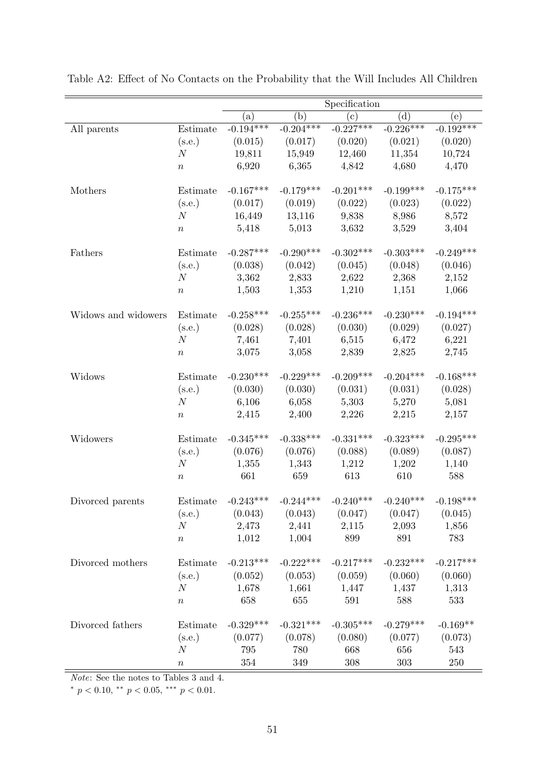|                     |                  | Specification        |             |                                         |             |              |
|---------------------|------------------|----------------------|-------------|-----------------------------------------|-------------|--------------|
|                     |                  | (a)                  | (b)         | $(\rm c)$                               | (d)         | $^{(\rm e)}$ |
| All parents         | Estimate         | $-0.194***$          | $-0.204***$ | $-0.227***$                             | $-0.226***$ | $-0.192***$  |
|                     | (s.e.)           | (0.015)              | (0.017)     | (0.020)                                 | (0.021)     | (0.020)      |
|                     | $\boldsymbol{N}$ | 19,811               | 15,949      | 12,460                                  | 11,354      | 10,724       |
|                     | $\, n$           | 6,920                | 6,365       | 4,842                                   | 4,680       | 4,470        |
|                     |                  |                      |             |                                         |             |              |
| Mothers             | Estimate         | $-0.167***$          | $-0.179***$ | $-0.201***$                             | $-0.199***$ | $-0.175***$  |
|                     | (s.e.)           | (0.017)              | (0.019)     | (0.022)                                 | (0.023)     | (0.022)      |
|                     | N                | 16,449               | 13,116      | 9,838                                   | 8,986       | 8,572        |
|                     | $\, n$           | 5,418                | 5,013       | 3,632                                   | 3,529       | 3,404        |
| Fathers             | Estimate         | $-0.287***$          | $-0.290***$ | $-0.302***$                             | $-0.303***$ | $-0.249***$  |
|                     | (s.e.)           | (0.038)              | (0.042)     | (0.045)                                 | (0.048)     | (0.046)      |
|                     | $\cal N$         | 3,362                | 2,833       | 2,622                                   | 2,368       | 2,152        |
|                     | $\boldsymbol{n}$ | 1,503                | 1,353       | 1,210                                   | 1,151       | 1,066        |
| Widows and widowers | Estimate         | $-0.258***$          | $-0.255***$ | $-0.236***$                             | $-0.230***$ | $-0.194***$  |
|                     | (s.e.)           | (0.028)              | (0.028)     | (0.030)                                 | (0.029)     | (0.027)      |
|                     | $\boldsymbol{N}$ | 7,461                | 7,401       | 6,515                                   | 6,472       | 6,221        |
|                     | $\boldsymbol{n}$ | 3,075                | 3,058       | 2,839                                   | 2,825       | 2,745        |
| Widows              | Estimate         | $-0.230***$          | $-0.229***$ | $-0.209***$                             | $-0.204***$ | $-0.168***$  |
|                     | (s.e.)           | (0.030)              | (0.030)     | (0.031)                                 | (0.031)     | (0.028)      |
|                     | $\boldsymbol{N}$ | 6,106                | 6,058       | 5,303                                   | 5,270       | 5,081        |
|                     | $\boldsymbol{n}$ | 2,415                | 2,400       | 2,226                                   | 2,215       | 2,157        |
| Widowers            | Estimate         | $-0.345***$          | $-0.338***$ | $-0.331***$                             | $-0.323***$ | $-0.295***$  |
|                     | (s.e.)           | (0.076)              | (0.076)     | (0.088)                                 | (0.089)     | (0.087)      |
|                     | $\boldsymbol{N}$ | 1,355                | 1,343       | 1,212                                   | 1,202       | 1,140        |
|                     | $\, n$           | 661                  | 659         | 613                                     | 610         | 588          |
| Divorced parents    |                  | Estimate $-0.243***$ | $-0.244***$ | $-0.240***$                             | $-0.240***$ | $-0.198***$  |
|                     | (s.e.)           | (0.043)              | (0.043)     | (0.047)                                 | (0.047)     | (0.045)      |
|                     | N                |                      | 2,473 2,441 | 2,115                                   | 2,093       | 1,856        |
|                     | $\, n$           | 1,012                | 1,004       | 899                                     | 891         | 783          |
| Divorced mothers    | Estimate         | $-0.213***$          | $-0.222***$ | $-0.217***$                             | $-0.232***$ | $-0.217***$  |
|                     | (s.e.)           |                      |             | $(0.052)$ $(0.053)$ $(0.059)$ $(0.060)$ |             | (0.060)      |
|                     | N                | 1,678                |             | $1,661$ $1,447$ $1,437$                 |             | 1,313        |
|                     | $\, n$           | 658                  | 655         | 591                                     | 588         | 533          |
| Divorced fathers    | Estimate         | $-0.329***$          | $-0.321***$ | $-0.305***$                             | $-0.279***$ | $-0.169**$   |
|                     | (s.e.)           | (0.077)              | (0.078)     | (0.080)                                 | (0.077)     | (0.073)      |
|                     | N                | 795                  | 780         | 668                                     | 656         | 543          |
|                     | $\, n$           | 354                  | 349         | 308                                     | 303         | $250\,$      |

Table A2: Effect of No Contacts on the Probability that the Will Includes All Children

Note: See the notes to Tables 3 and 4.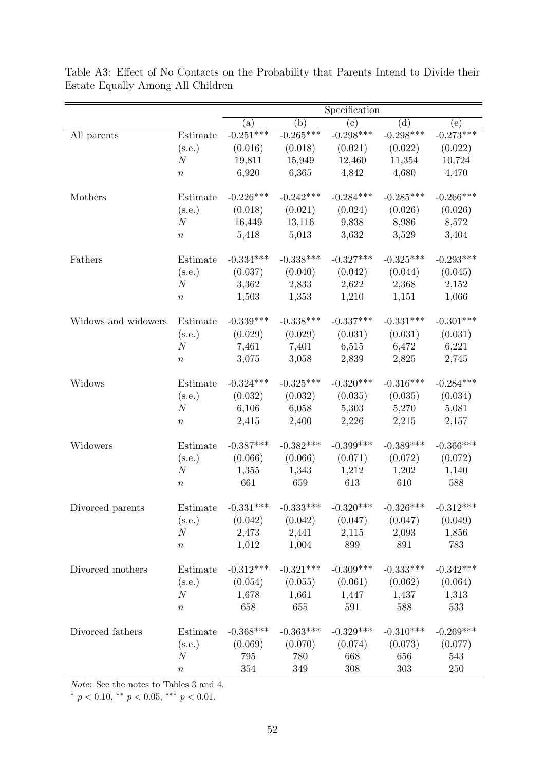| (b)<br>(d)<br>(c)<br>(e)<br>(a)<br>$-0.298***$<br>$-0.298***$<br>$-0.273***$<br>$-0.251***$<br>$-0.265***$<br>Estimate<br>All parents<br>(s.e.)<br>(0.016)<br>(0.018)<br>(0.021)<br>(0.022)<br>(0.022)<br>19,811<br>15,949<br>12,460<br>11,354<br>10,724<br>$\boldsymbol{N}$<br>6,920<br>6,365<br>4,842<br>4,680<br>4,470<br>$\boldsymbol{n}$<br>$-0.242***$<br>$-0.285***$<br>$-0.226***$<br>$-0.284***$<br>$-0.266***$<br>Mothers<br>Estimate<br>(s.e.)<br>(0.021)<br>(0.026)<br>(0.018)<br>(0.024)<br>(0.026)<br>N<br>16,449<br>13,116<br>9,838<br>8,986<br>8,572<br>5,418<br>5,013<br>3,632<br>3,529<br>3,404<br>$\, n$<br>$-0.338***$<br>$-0.327***$<br>$-0.325***$<br>$-0.293***$<br>$-0.334***$<br>Fathers<br>Estimate<br>(s.e.)<br>(0.040)<br>(0.042)<br>(0.044)<br>(0.045)<br>(0.037)<br>2,833<br>2,622<br>N<br>3,362<br>2,368<br>2,152<br>1,503<br>1,353<br>1,210<br>1,151<br>1,066<br>$\, n$<br>$-0.338***$<br>$-0.337***$<br>$-0.331***$<br>$-0.339***$<br>$-0.301***$<br>Widows and widowers<br>Estimate<br>(0.029)<br>(0.029)<br>(0.031)<br>(0.031)<br>(0.031)<br>(s.e.)<br>6,515<br>6,472<br>6,221<br>$\cal N$<br>7,461<br>7,401<br>3,075<br>2,839<br>3,058<br>2,825<br>2,745<br>$\, n$<br>$-0.325***$<br>$-0.324***$<br>$-0.320***$<br>$-0.316***$<br>$-0.284***$<br>Estimate<br>Widows<br>(0.032)<br>(0.032)<br>(0.035)<br>(0.035)<br>(0.034)<br>(s.e.)<br>6,106<br>N<br>6,058<br>5,303<br>5,270<br>5,081<br>2,400<br>2,226<br>2,157<br>2,415<br>2,215<br>$\, n$<br>$-0.387***$<br>$-0.382***$<br>$-0.399***$<br>$-0.389***$<br>$-0.366***$<br>Widowers<br>Estimate<br>(s.e.)<br>(0.066)<br>(0.066)<br>(0.071)<br>(0.072)<br>(0.072)<br>N<br>1,355<br>1,343<br>1,212<br>1,202<br>1,140<br>661<br>659<br>613<br>610<br>588<br>$\boldsymbol{n}$<br>$-0.320***$<br>Estimate $-0.331***$<br>$-0.333***$<br>$-0.326***$<br>$-0.312***$<br>Divorced parents<br>$(0.042)$ $(0.042)$ $(0.047)$<br>(0.047)<br>(0.049)<br>(s.e.)<br>N<br>2,441<br>2,115<br>2,473<br>2,093<br>1,856<br>783<br>1,012<br>1,004<br>899<br>891<br>$\, n$<br>$-0.321***$<br>$-0.309***$<br>$-0.312***$<br>$-0.333***$<br>$-0.342***$<br>Divorced mothers<br>Estimate<br>$(0.055)$ $(0.061)$ $(0.062)$<br>(s.e.)<br>(0.054)<br>(0.064)<br>1,661<br>1,313<br>N<br>1,678<br>1,447<br>1,437<br>658<br>655<br>591<br>588<br>533<br>$\, n$<br>$-0.329***$<br>$-0.310***$<br>$-0.368***$<br>$-0.363***$<br>$-0.269***$<br>Divorced fathers<br>Estimate<br>(s.e.)<br>(0.074)<br>(0.069)<br>(0.070)<br>(0.073)<br>(0.077)<br>795<br>780<br>668<br>656<br>543<br>$\boldsymbol{N}$ |  | Specification |  |  |  |  |
|----------------------------------------------------------------------------------------------------------------------------------------------------------------------------------------------------------------------------------------------------------------------------------------------------------------------------------------------------------------------------------------------------------------------------------------------------------------------------------------------------------------------------------------------------------------------------------------------------------------------------------------------------------------------------------------------------------------------------------------------------------------------------------------------------------------------------------------------------------------------------------------------------------------------------------------------------------------------------------------------------------------------------------------------------------------------------------------------------------------------------------------------------------------------------------------------------------------------------------------------------------------------------------------------------------------------------------------------------------------------------------------------------------------------------------------------------------------------------------------------------------------------------------------------------------------------------------------------------------------------------------------------------------------------------------------------------------------------------------------------------------------------------------------------------------------------------------------------------------------------------------------------------------------------------------------------------------------------------------------------------------------------------------------------------------------------------------------------------------------------------------------------------------------------------------------------------------------------------------------------------------------------------------------------------------------------------------------------------------------------------------------------------------------------------------------------------------------------------------------------------------------------------------------------------------|--|---------------|--|--|--|--|
|                                                                                                                                                                                                                                                                                                                                                                                                                                                                                                                                                                                                                                                                                                                                                                                                                                                                                                                                                                                                                                                                                                                                                                                                                                                                                                                                                                                                                                                                                                                                                                                                                                                                                                                                                                                                                                                                                                                                                                                                                                                                                                                                                                                                                                                                                                                                                                                                                                                                                                                                                          |  |               |  |  |  |  |
|                                                                                                                                                                                                                                                                                                                                                                                                                                                                                                                                                                                                                                                                                                                                                                                                                                                                                                                                                                                                                                                                                                                                                                                                                                                                                                                                                                                                                                                                                                                                                                                                                                                                                                                                                                                                                                                                                                                                                                                                                                                                                                                                                                                                                                                                                                                                                                                                                                                                                                                                                          |  |               |  |  |  |  |
|                                                                                                                                                                                                                                                                                                                                                                                                                                                                                                                                                                                                                                                                                                                                                                                                                                                                                                                                                                                                                                                                                                                                                                                                                                                                                                                                                                                                                                                                                                                                                                                                                                                                                                                                                                                                                                                                                                                                                                                                                                                                                                                                                                                                                                                                                                                                                                                                                                                                                                                                                          |  |               |  |  |  |  |
|                                                                                                                                                                                                                                                                                                                                                                                                                                                                                                                                                                                                                                                                                                                                                                                                                                                                                                                                                                                                                                                                                                                                                                                                                                                                                                                                                                                                                                                                                                                                                                                                                                                                                                                                                                                                                                                                                                                                                                                                                                                                                                                                                                                                                                                                                                                                                                                                                                                                                                                                                          |  |               |  |  |  |  |
|                                                                                                                                                                                                                                                                                                                                                                                                                                                                                                                                                                                                                                                                                                                                                                                                                                                                                                                                                                                                                                                                                                                                                                                                                                                                                                                                                                                                                                                                                                                                                                                                                                                                                                                                                                                                                                                                                                                                                                                                                                                                                                                                                                                                                                                                                                                                                                                                                                                                                                                                                          |  |               |  |  |  |  |
|                                                                                                                                                                                                                                                                                                                                                                                                                                                                                                                                                                                                                                                                                                                                                                                                                                                                                                                                                                                                                                                                                                                                                                                                                                                                                                                                                                                                                                                                                                                                                                                                                                                                                                                                                                                                                                                                                                                                                                                                                                                                                                                                                                                                                                                                                                                                                                                                                                                                                                                                                          |  |               |  |  |  |  |
|                                                                                                                                                                                                                                                                                                                                                                                                                                                                                                                                                                                                                                                                                                                                                                                                                                                                                                                                                                                                                                                                                                                                                                                                                                                                                                                                                                                                                                                                                                                                                                                                                                                                                                                                                                                                                                                                                                                                                                                                                                                                                                                                                                                                                                                                                                                                                                                                                                                                                                                                                          |  |               |  |  |  |  |
|                                                                                                                                                                                                                                                                                                                                                                                                                                                                                                                                                                                                                                                                                                                                                                                                                                                                                                                                                                                                                                                                                                                                                                                                                                                                                                                                                                                                                                                                                                                                                                                                                                                                                                                                                                                                                                                                                                                                                                                                                                                                                                                                                                                                                                                                                                                                                                                                                                                                                                                                                          |  |               |  |  |  |  |
|                                                                                                                                                                                                                                                                                                                                                                                                                                                                                                                                                                                                                                                                                                                                                                                                                                                                                                                                                                                                                                                                                                                                                                                                                                                                                                                                                                                                                                                                                                                                                                                                                                                                                                                                                                                                                                                                                                                                                                                                                                                                                                                                                                                                                                                                                                                                                                                                                                                                                                                                                          |  |               |  |  |  |  |
|                                                                                                                                                                                                                                                                                                                                                                                                                                                                                                                                                                                                                                                                                                                                                                                                                                                                                                                                                                                                                                                                                                                                                                                                                                                                                                                                                                                                                                                                                                                                                                                                                                                                                                                                                                                                                                                                                                                                                                                                                                                                                                                                                                                                                                                                                                                                                                                                                                                                                                                                                          |  |               |  |  |  |  |
|                                                                                                                                                                                                                                                                                                                                                                                                                                                                                                                                                                                                                                                                                                                                                                                                                                                                                                                                                                                                                                                                                                                                                                                                                                                                                                                                                                                                                                                                                                                                                                                                                                                                                                                                                                                                                                                                                                                                                                                                                                                                                                                                                                                                                                                                                                                                                                                                                                                                                                                                                          |  |               |  |  |  |  |
|                                                                                                                                                                                                                                                                                                                                                                                                                                                                                                                                                                                                                                                                                                                                                                                                                                                                                                                                                                                                                                                                                                                                                                                                                                                                                                                                                                                                                                                                                                                                                                                                                                                                                                                                                                                                                                                                                                                                                                                                                                                                                                                                                                                                                                                                                                                                                                                                                                                                                                                                                          |  |               |  |  |  |  |
|                                                                                                                                                                                                                                                                                                                                                                                                                                                                                                                                                                                                                                                                                                                                                                                                                                                                                                                                                                                                                                                                                                                                                                                                                                                                                                                                                                                                                                                                                                                                                                                                                                                                                                                                                                                                                                                                                                                                                                                                                                                                                                                                                                                                                                                                                                                                                                                                                                                                                                                                                          |  |               |  |  |  |  |
|                                                                                                                                                                                                                                                                                                                                                                                                                                                                                                                                                                                                                                                                                                                                                                                                                                                                                                                                                                                                                                                                                                                                                                                                                                                                                                                                                                                                                                                                                                                                                                                                                                                                                                                                                                                                                                                                                                                                                                                                                                                                                                                                                                                                                                                                                                                                                                                                                                                                                                                                                          |  |               |  |  |  |  |
|                                                                                                                                                                                                                                                                                                                                                                                                                                                                                                                                                                                                                                                                                                                                                                                                                                                                                                                                                                                                                                                                                                                                                                                                                                                                                                                                                                                                                                                                                                                                                                                                                                                                                                                                                                                                                                                                                                                                                                                                                                                                                                                                                                                                                                                                                                                                                                                                                                                                                                                                                          |  |               |  |  |  |  |
|                                                                                                                                                                                                                                                                                                                                                                                                                                                                                                                                                                                                                                                                                                                                                                                                                                                                                                                                                                                                                                                                                                                                                                                                                                                                                                                                                                                                                                                                                                                                                                                                                                                                                                                                                                                                                                                                                                                                                                                                                                                                                                                                                                                                                                                                                                                                                                                                                                                                                                                                                          |  |               |  |  |  |  |
|                                                                                                                                                                                                                                                                                                                                                                                                                                                                                                                                                                                                                                                                                                                                                                                                                                                                                                                                                                                                                                                                                                                                                                                                                                                                                                                                                                                                                                                                                                                                                                                                                                                                                                                                                                                                                                                                                                                                                                                                                                                                                                                                                                                                                                                                                                                                                                                                                                                                                                                                                          |  |               |  |  |  |  |
|                                                                                                                                                                                                                                                                                                                                                                                                                                                                                                                                                                                                                                                                                                                                                                                                                                                                                                                                                                                                                                                                                                                                                                                                                                                                                                                                                                                                                                                                                                                                                                                                                                                                                                                                                                                                                                                                                                                                                                                                                                                                                                                                                                                                                                                                                                                                                                                                                                                                                                                                                          |  |               |  |  |  |  |
|                                                                                                                                                                                                                                                                                                                                                                                                                                                                                                                                                                                                                                                                                                                                                                                                                                                                                                                                                                                                                                                                                                                                                                                                                                                                                                                                                                                                                                                                                                                                                                                                                                                                                                                                                                                                                                                                                                                                                                                                                                                                                                                                                                                                                                                                                                                                                                                                                                                                                                                                                          |  |               |  |  |  |  |
|                                                                                                                                                                                                                                                                                                                                                                                                                                                                                                                                                                                                                                                                                                                                                                                                                                                                                                                                                                                                                                                                                                                                                                                                                                                                                                                                                                                                                                                                                                                                                                                                                                                                                                                                                                                                                                                                                                                                                                                                                                                                                                                                                                                                                                                                                                                                                                                                                                                                                                                                                          |  |               |  |  |  |  |
|                                                                                                                                                                                                                                                                                                                                                                                                                                                                                                                                                                                                                                                                                                                                                                                                                                                                                                                                                                                                                                                                                                                                                                                                                                                                                                                                                                                                                                                                                                                                                                                                                                                                                                                                                                                                                                                                                                                                                                                                                                                                                                                                                                                                                                                                                                                                                                                                                                                                                                                                                          |  |               |  |  |  |  |
|                                                                                                                                                                                                                                                                                                                                                                                                                                                                                                                                                                                                                                                                                                                                                                                                                                                                                                                                                                                                                                                                                                                                                                                                                                                                                                                                                                                                                                                                                                                                                                                                                                                                                                                                                                                                                                                                                                                                                                                                                                                                                                                                                                                                                                                                                                                                                                                                                                                                                                                                                          |  |               |  |  |  |  |
|                                                                                                                                                                                                                                                                                                                                                                                                                                                                                                                                                                                                                                                                                                                                                                                                                                                                                                                                                                                                                                                                                                                                                                                                                                                                                                                                                                                                                                                                                                                                                                                                                                                                                                                                                                                                                                                                                                                                                                                                                                                                                                                                                                                                                                                                                                                                                                                                                                                                                                                                                          |  |               |  |  |  |  |
|                                                                                                                                                                                                                                                                                                                                                                                                                                                                                                                                                                                                                                                                                                                                                                                                                                                                                                                                                                                                                                                                                                                                                                                                                                                                                                                                                                                                                                                                                                                                                                                                                                                                                                                                                                                                                                                                                                                                                                                                                                                                                                                                                                                                                                                                                                                                                                                                                                                                                                                                                          |  |               |  |  |  |  |
|                                                                                                                                                                                                                                                                                                                                                                                                                                                                                                                                                                                                                                                                                                                                                                                                                                                                                                                                                                                                                                                                                                                                                                                                                                                                                                                                                                                                                                                                                                                                                                                                                                                                                                                                                                                                                                                                                                                                                                                                                                                                                                                                                                                                                                                                                                                                                                                                                                                                                                                                                          |  |               |  |  |  |  |
|                                                                                                                                                                                                                                                                                                                                                                                                                                                                                                                                                                                                                                                                                                                                                                                                                                                                                                                                                                                                                                                                                                                                                                                                                                                                                                                                                                                                                                                                                                                                                                                                                                                                                                                                                                                                                                                                                                                                                                                                                                                                                                                                                                                                                                                                                                                                                                                                                                                                                                                                                          |  |               |  |  |  |  |
|                                                                                                                                                                                                                                                                                                                                                                                                                                                                                                                                                                                                                                                                                                                                                                                                                                                                                                                                                                                                                                                                                                                                                                                                                                                                                                                                                                                                                                                                                                                                                                                                                                                                                                                                                                                                                                                                                                                                                                                                                                                                                                                                                                                                                                                                                                                                                                                                                                                                                                                                                          |  |               |  |  |  |  |
|                                                                                                                                                                                                                                                                                                                                                                                                                                                                                                                                                                                                                                                                                                                                                                                                                                                                                                                                                                                                                                                                                                                                                                                                                                                                                                                                                                                                                                                                                                                                                                                                                                                                                                                                                                                                                                                                                                                                                                                                                                                                                                                                                                                                                                                                                                                                                                                                                                                                                                                                                          |  |               |  |  |  |  |
|                                                                                                                                                                                                                                                                                                                                                                                                                                                                                                                                                                                                                                                                                                                                                                                                                                                                                                                                                                                                                                                                                                                                                                                                                                                                                                                                                                                                                                                                                                                                                                                                                                                                                                                                                                                                                                                                                                                                                                                                                                                                                                                                                                                                                                                                                                                                                                                                                                                                                                                                                          |  |               |  |  |  |  |
|                                                                                                                                                                                                                                                                                                                                                                                                                                                                                                                                                                                                                                                                                                                                                                                                                                                                                                                                                                                                                                                                                                                                                                                                                                                                                                                                                                                                                                                                                                                                                                                                                                                                                                                                                                                                                                                                                                                                                                                                                                                                                                                                                                                                                                                                                                                                                                                                                                                                                                                                                          |  |               |  |  |  |  |
|                                                                                                                                                                                                                                                                                                                                                                                                                                                                                                                                                                                                                                                                                                                                                                                                                                                                                                                                                                                                                                                                                                                                                                                                                                                                                                                                                                                                                                                                                                                                                                                                                                                                                                                                                                                                                                                                                                                                                                                                                                                                                                                                                                                                                                                                                                                                                                                                                                                                                                                                                          |  |               |  |  |  |  |
|                                                                                                                                                                                                                                                                                                                                                                                                                                                                                                                                                                                                                                                                                                                                                                                                                                                                                                                                                                                                                                                                                                                                                                                                                                                                                                                                                                                                                                                                                                                                                                                                                                                                                                                                                                                                                                                                                                                                                                                                                                                                                                                                                                                                                                                                                                                                                                                                                                                                                                                                                          |  |               |  |  |  |  |
|                                                                                                                                                                                                                                                                                                                                                                                                                                                                                                                                                                                                                                                                                                                                                                                                                                                                                                                                                                                                                                                                                                                                                                                                                                                                                                                                                                                                                                                                                                                                                                                                                                                                                                                                                                                                                                                                                                                                                                                                                                                                                                                                                                                                                                                                                                                                                                                                                                                                                                                                                          |  |               |  |  |  |  |
|                                                                                                                                                                                                                                                                                                                                                                                                                                                                                                                                                                                                                                                                                                                                                                                                                                                                                                                                                                                                                                                                                                                                                                                                                                                                                                                                                                                                                                                                                                                                                                                                                                                                                                                                                                                                                                                                                                                                                                                                                                                                                                                                                                                                                                                                                                                                                                                                                                                                                                                                                          |  |               |  |  |  |  |
|                                                                                                                                                                                                                                                                                                                                                                                                                                                                                                                                                                                                                                                                                                                                                                                                                                                                                                                                                                                                                                                                                                                                                                                                                                                                                                                                                                                                                                                                                                                                                                                                                                                                                                                                                                                                                                                                                                                                                                                                                                                                                                                                                                                                                                                                                                                                                                                                                                                                                                                                                          |  |               |  |  |  |  |
|                                                                                                                                                                                                                                                                                                                                                                                                                                                                                                                                                                                                                                                                                                                                                                                                                                                                                                                                                                                                                                                                                                                                                                                                                                                                                                                                                                                                                                                                                                                                                                                                                                                                                                                                                                                                                                                                                                                                                                                                                                                                                                                                                                                                                                                                                                                                                                                                                                                                                                                                                          |  |               |  |  |  |  |
|                                                                                                                                                                                                                                                                                                                                                                                                                                                                                                                                                                                                                                                                                                                                                                                                                                                                                                                                                                                                                                                                                                                                                                                                                                                                                                                                                                                                                                                                                                                                                                                                                                                                                                                                                                                                                                                                                                                                                                                                                                                                                                                                                                                                                                                                                                                                                                                                                                                                                                                                                          |  |               |  |  |  |  |
|                                                                                                                                                                                                                                                                                                                                                                                                                                                                                                                                                                                                                                                                                                                                                                                                                                                                                                                                                                                                                                                                                                                                                                                                                                                                                                                                                                                                                                                                                                                                                                                                                                                                                                                                                                                                                                                                                                                                                                                                                                                                                                                                                                                                                                                                                                                                                                                                                                                                                                                                                          |  |               |  |  |  |  |
|                                                                                                                                                                                                                                                                                                                                                                                                                                                                                                                                                                                                                                                                                                                                                                                                                                                                                                                                                                                                                                                                                                                                                                                                                                                                                                                                                                                                                                                                                                                                                                                                                                                                                                                                                                                                                                                                                                                                                                                                                                                                                                                                                                                                                                                                                                                                                                                                                                                                                                                                                          |  |               |  |  |  |  |
| 349<br>308<br>$250\,$<br>354<br>303<br>$\, n$                                                                                                                                                                                                                                                                                                                                                                                                                                                                                                                                                                                                                                                                                                                                                                                                                                                                                                                                                                                                                                                                                                                                                                                                                                                                                                                                                                                                                                                                                                                                                                                                                                                                                                                                                                                                                                                                                                                                                                                                                                                                                                                                                                                                                                                                                                                                                                                                                                                                                                            |  |               |  |  |  |  |

Table A3: Effect of No Contacts on the Probability that Parents Intend to Divide their Estate Equally Among All Children

 $\overline{\textit{Note:} }$  See the notes to Tables 3 and 4.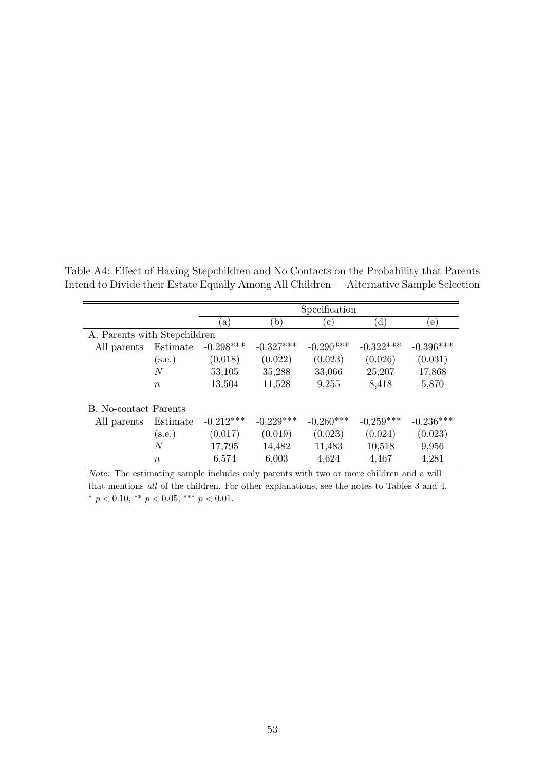|                              |                  | Specification |              |             |             |             |  |  |
|------------------------------|------------------|---------------|--------------|-------------|-------------|-------------|--|--|
|                              |                  | a)            | $\mathbf{b}$ | $\rm (c)$   | (d)         | (e)         |  |  |
| A. Parents with Stepchildren |                  |               |              |             |             |             |  |  |
| All parents                  | Estimate         | $-0.298***$   | $-0.327***$  | $-0.290***$ | $-0.322***$ | $-0.396***$ |  |  |
|                              | (s.e.)           | (0.018)       | (0.022)      | (0.023)     | (0.026)     | (0.031)     |  |  |
|                              | N                | 53,105        | 35,288       | 33,066      | 25,207      | 17,868      |  |  |
|                              | $\boldsymbol{n}$ | 13,504        | 11,528       | 9,255       | 8,418       | 5,870       |  |  |
| <b>B.</b> No-contact Parents |                  |               |              |             |             |             |  |  |
| All parents                  | Estimate         | $-0.212***$   | $-0.229***$  | $-0.260***$ | $-0.259***$ | $-0.236***$ |  |  |
|                              | (s.e.)           | (0.017)       | (0.019)      | (0.023)     | (0.024)     | (0.023)     |  |  |
|                              | N                | 17,795        | 14,482       | 11,483      | 10,518      | 9,956       |  |  |
|                              | $\boldsymbol{n}$ | 6,574         | 6,003        | 4,624       | 4,467       | 4,281       |  |  |

Table A4: Effect of Having Stepchildren and No Contacts on the Probability that Parents Intend to Divide their Estate Equally Among All Children — Alternative Sample Selection

Note: The estimating sample includes only parents with two or more children and a will that mentions all of the children. For other explanations, see the notes to Tables 3 and 4. \*  $p < 0.10$ , \*\*  $p < 0.05$ , \*\*\*  $p < 0.01$ .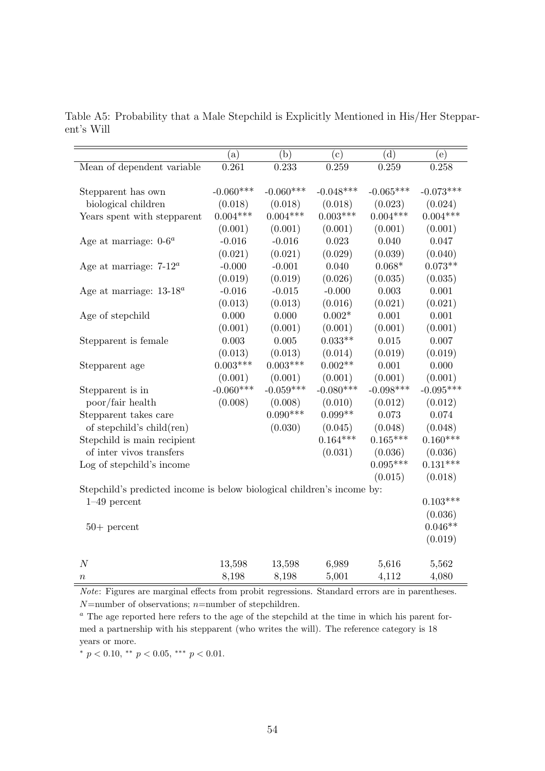|            |                                                                                                   |                                                                                                                 |                                                                                                                            | (e)                                                                                                                                                                                                 |
|------------|---------------------------------------------------------------------------------------------------|-----------------------------------------------------------------------------------------------------------------|----------------------------------------------------------------------------------------------------------------------------|-----------------------------------------------------------------------------------------------------------------------------------------------------------------------------------------------------|
|            |                                                                                                   |                                                                                                                 |                                                                                                                            | 0.258                                                                                                                                                                                               |
|            |                                                                                                   |                                                                                                                 |                                                                                                                            |                                                                                                                                                                                                     |
|            |                                                                                                   |                                                                                                                 |                                                                                                                            | $-0.073***$                                                                                                                                                                                         |
|            |                                                                                                   |                                                                                                                 |                                                                                                                            | (0.024)                                                                                                                                                                                             |
| $0.004***$ | $0.004***$                                                                                        | $0.003***$                                                                                                      | $0.004***$                                                                                                                 | $0.004***$                                                                                                                                                                                          |
| (0.001)    | (0.001)                                                                                           | (0.001)                                                                                                         | (0.001)                                                                                                                    | (0.001)                                                                                                                                                                                             |
| $-0.016$   | $-0.016$                                                                                          | 0.023                                                                                                           | 0.040                                                                                                                      | 0.047                                                                                                                                                                                               |
| (0.021)    | (0.021)                                                                                           | (0.029)                                                                                                         | (0.039)                                                                                                                    | (0.040)                                                                                                                                                                                             |
| $-0.000$   | $-0.001$                                                                                          | 0.040                                                                                                           | $0.068*$                                                                                                                   | $0.073**$                                                                                                                                                                                           |
| (0.019)    | (0.019)                                                                                           | (0.026)                                                                                                         | (0.035)                                                                                                                    | (0.035)                                                                                                                                                                                             |
| $-0.016$   | $-0.015$                                                                                          | $-0.000$                                                                                                        | 0.003                                                                                                                      | 0.001                                                                                                                                                                                               |
| (0.013)    | (0.013)                                                                                           | (0.016)                                                                                                         | (0.021)                                                                                                                    | (0.021)                                                                                                                                                                                             |
| 0.000      | 0.000                                                                                             | $0.002*$                                                                                                        | 0.001                                                                                                                      | 0.001                                                                                                                                                                                               |
| (0.001)    | (0.001)                                                                                           | (0.001)                                                                                                         | (0.001)                                                                                                                    | (0.001)                                                                                                                                                                                             |
| 0.003      | 0.005                                                                                             | $0.033**$                                                                                                       | 0.015                                                                                                                      | 0.007                                                                                                                                                                                               |
| (0.013)    | (0.013)                                                                                           | (0.014)                                                                                                         | (0.019)                                                                                                                    | (0.019)                                                                                                                                                                                             |
|            |                                                                                                   |                                                                                                                 | 0.001                                                                                                                      | 0.000                                                                                                                                                                                               |
| (0.001)    | (0.001)                                                                                           | (0.001)                                                                                                         | (0.001)                                                                                                                    | (0.001)                                                                                                                                                                                             |
|            |                                                                                                   |                                                                                                                 |                                                                                                                            | $-0.095***$                                                                                                                                                                                         |
|            | (0.008)                                                                                           | (0.010)                                                                                                         | (0.012)                                                                                                                    | (0.012)                                                                                                                                                                                             |
|            |                                                                                                   |                                                                                                                 | 0.073                                                                                                                      | 0.074                                                                                                                                                                                               |
|            |                                                                                                   | (0.045)                                                                                                         | (0.048)                                                                                                                    | (0.048)                                                                                                                                                                                             |
|            |                                                                                                   |                                                                                                                 |                                                                                                                            | $0.160***$                                                                                                                                                                                          |
|            |                                                                                                   |                                                                                                                 |                                                                                                                            | (0.036)                                                                                                                                                                                             |
|            |                                                                                                   |                                                                                                                 |                                                                                                                            | $0.131***$                                                                                                                                                                                          |
|            |                                                                                                   |                                                                                                                 |                                                                                                                            | (0.018)                                                                                                                                                                                             |
|            |                                                                                                   |                                                                                                                 |                                                                                                                            |                                                                                                                                                                                                     |
|            |                                                                                                   |                                                                                                                 |                                                                                                                            | $0.103***$                                                                                                                                                                                          |
|            |                                                                                                   |                                                                                                                 |                                                                                                                            | (0.036)                                                                                                                                                                                             |
|            |                                                                                                   |                                                                                                                 |                                                                                                                            | $0.046**$                                                                                                                                                                                           |
|            |                                                                                                   |                                                                                                                 |                                                                                                                            | (0.019)                                                                                                                                                                                             |
|            |                                                                                                   |                                                                                                                 |                                                                                                                            | 5,562                                                                                                                                                                                               |
|            |                                                                                                   |                                                                                                                 |                                                                                                                            | 4,080                                                                                                                                                                                               |
|            | (a)<br>0.261<br>$-0.060***$<br>(0.018)<br>$0.003***$<br>$-0.060***$<br>(0.008)<br>13,598<br>8,198 | (b)<br>0.233<br>$-0.060***$<br>(0.018)<br>$0.003***$<br>$-0.059***$<br>$0.090***$<br>(0.030)<br>13,598<br>8,198 | (c)<br>0.259<br>$-0.048***$<br>(0.018)<br>$0.002**$<br>$-0.080***$<br>$0.099**$<br>$0.164***$<br>(0.031)<br>6,989<br>5,001 | (d)<br>0.259<br>$-0.065***$<br>(0.023)<br>$-0.098***$<br>$0.165***$<br>(0.036)<br>$0.095***$<br>(0.015)<br>Stepchild's predicted income is below biological children's income by:<br>5,616<br>4,112 |

Table A5: Probability that a Male Stepchild is Explicitly Mentioned in His/Her Stepparent's Will

Note: Figures are marginal effects from probit regressions. Standard errors are in parentheses.  $N$ =number of observations;  $n$ =number of stepchildren.

 $a$  The age reported here refers to the age of the stepchild at the time in which his parent formed a partnership with his stepparent (who writes the will). The reference category is 18 years or more.